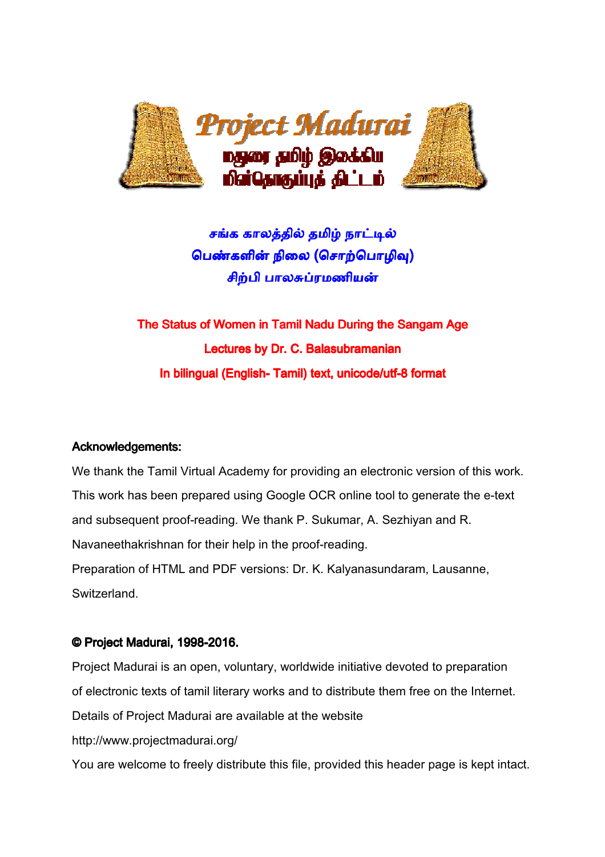

## சங்க காலத்தில் தமிழ் நாட்டி<mark>ல்</mark> பெ<mark>ண்களின் நிலை (சொற்பொழிவு)</mark> சிற்பி பாலசுப்ரமணியன்

# The Status of Women in Tamil Nadu During the Sangam Age Age Lectures by Dr. C. Balasubramanian In bilingual (English- Tamil) text, unicode/utf-8 format

### Acknowledgements:

We thank the Tamil Virtual Academy for providing an electronic version of this work. This work has been prepared using Google OCR online tool to generate the e-text and subsequent proof-reading. We thank P. Sukumar, A. Sezhiyan and R. Navaneethakrishnan for their help in the proof proof-reading. Preparation of HTML and PDF versions: Dr. K. Kalyanasundaram, Lausanne, Switzerland. mar, A. Sezhiyan<br>ding.<br>Iyanasundaram, I<br>nitiative devoted t<br>tribute them free o

### © Project Madurai, 1998-2016.

Project Madurai is an open, voluntary, worldwide initiative devoted to preparation of electronic texts of tamil literary works and to distribute them free on the Internet. Details of Project Madurai are available at the website http://www.projectmadurai.org/ You are welcome to freely distribute this file, provided this header page is kept intact.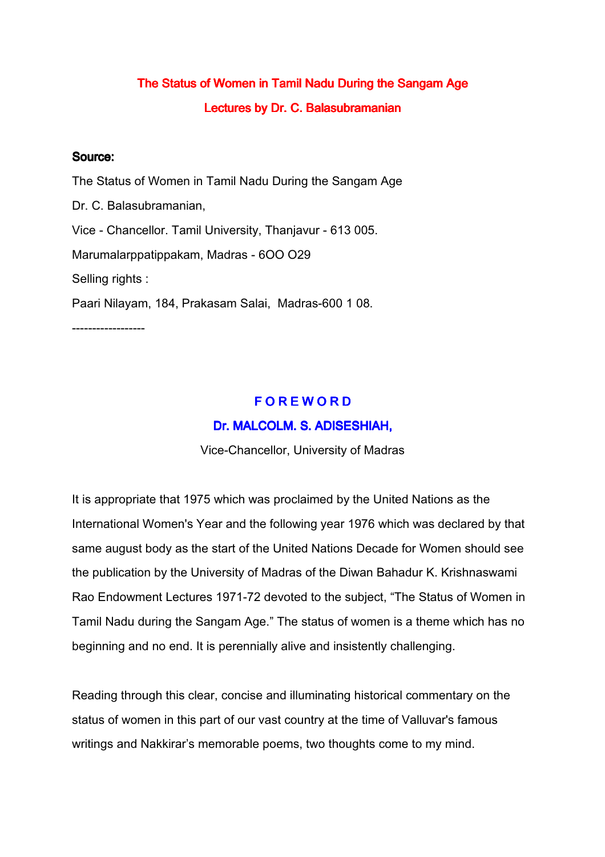## The Status of Women in Tamil Nadu During the Sangam Age Lectures by Dr. C. Balasubramanian

#### Source:

The Status of Women in Tamil Nadu During the Sangam Age Dr. C. Balasubramanian, Vice - Chancellor. Tamil University, Τhanjavur - 613 005. Мarumalarppatippakam, Madras - 6OO O29 Selling rights : Paari Nilayam, 184, Prakasam Salai, Madras-600 1 08. ------------------

### **FOREWORD**

#### Dr. MALCOLM. S. ADISESHIAH,

Vice-Chancellor, University of Madras

It is appropriate that 1975 which was proclaimed by the United Nations as the International Women's Year and the following year 1976 which was declared by that same august body as the start of the United Nations Decade for Women should see the publication by the University of Madras of the Diwan Bahadur K. Krishnaswami Rao Endowment Lectures 1971-72 devoted to the subject, "The Status of Women in Tamil Nadu during the Sangam Age." The status of women is a theme which has no beginning and no end. It is perennially alive and insistently challenging.

Reading through this clear, concise and illuminating historical commentary on the status of women in this part of our vast country at the time of Valluvar's famous writings and Nakkirar's memorable poems, two thoughts come to my mind.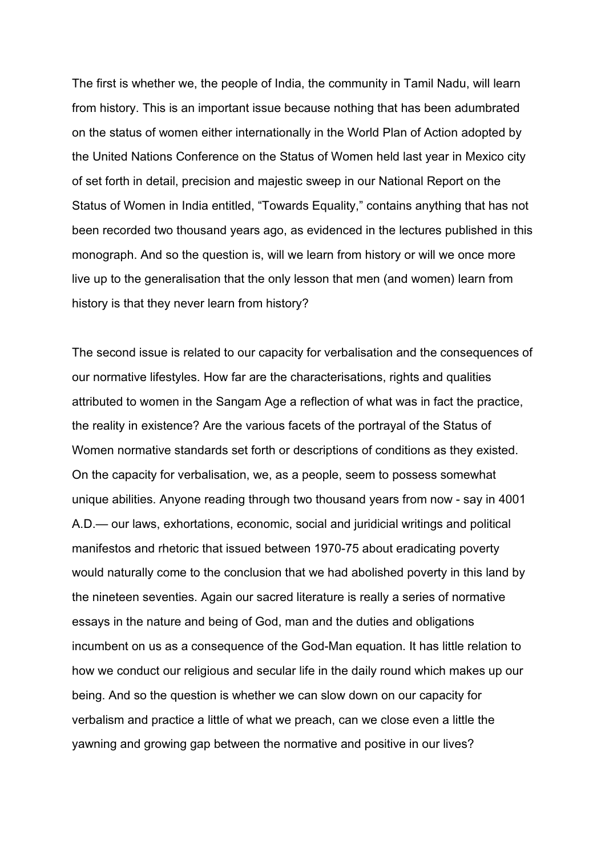The first is whether we, the people of India, the community in Tamil Nadu, will learn from history. This is an important issue because nothing that has been adumbrated on the status of women either internationally in the World Plan of Action adopted by the United Nations Conference on the Status of Women held last year in Mexico city of set forth in detail, precision and majestic sweep in our National Report on the Status of Women in India entitled, "Towards Equality," contains anything that has not been recorded two thousand years ago, as evidenced in the lectures published in this monograph. And so the question is, will we learn from history or will we once more live up to the generalisation that the only lesson that men (and women) learn from history is that they never learn from history?

The second issue is related to our capacity for verbalisation and the consequences of our normative lifestyles. How far are the characterisations, rights and qualities attributed to women in the Sangam Age a reflection of what was in fact the practice, the reality in existence? Are the various facets of the portrayal of the Status of Women normative standards set forth or descriptions of conditions as they existed. On the capacity for verbalisation, we, as a people, seem to possess somewhat unique abilities. Anyone reading through two thousand years from now - say in 4001 A.D.— our laws, exhortations, economic, social and juridicial writings and political manifestos and rhetoric that issued between 1970-75 about eradicating poverty would naturally come to the conclusion that we had abolished poverty in this land by the nineteen seventies. Again our sacred literature is really a series of normative essays in the nature and being of God, man and the duties and obligations incumbent on us as a consequence of the God-Man equation. It has little relation to how we conduct our religious and secular life in the daily round which makes up our being. And so the question is whether we can slow down on our capacity for verbalism and practice a little of what we preach, can we close even a little the yawning and growing gap between the normative and positive in our lives?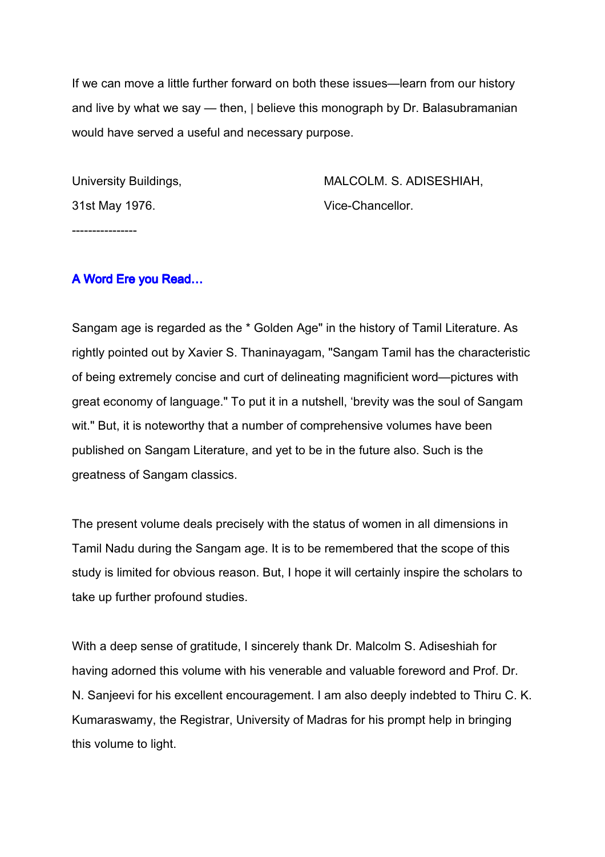If we can move a little further forward on both these issues—learn from our history and live by what we say — then, | believe this monograph by Dr. Balasubramanian would have served a useful and necessary purpose.

31st May 1976. Vice-Chancellor.

----------------

University Buildings, MALCOLM. S. ADISESHIAH,

#### A Word Ere you Read…

Sangam age is regarded as the \* Golden Age" in the history of Tamil Literature. As rightly pointed out by Xavier S. Thaninayagam, "Sangam Tamil has the characteristic of being extremely concise and curt of delineating magnificient word—pictures with great economy of language." To put it in a nutshell, 'brevity was the soul of Sangam wit." But, it is noteworthy that a number of comprehensive volumes have been published on Sangam Literature, and yet to be in the future also. Such is the greatness of Sangam classics.

The present volume deals precisely with the status of women in all dimensions in Tamil Nadu during the Sangam age. It is to be remembered that the scope of this study is limited for obvious reason. But, I hope it will certainly inspire the scholars to take up further profound studies.

With a deep sense of gratitude, I sincerely thank Dr. Malcolm S. Adiseshiah for having adorned this volume with his venerable and valuable foreword and Prof. Dr. N. Sanjeevi for his excellent encouragement. I am also deeply indebted to Thiru C. K. Kumaraswamy, the Registrar, University of Madras for his prompt help in bringing this volume to light.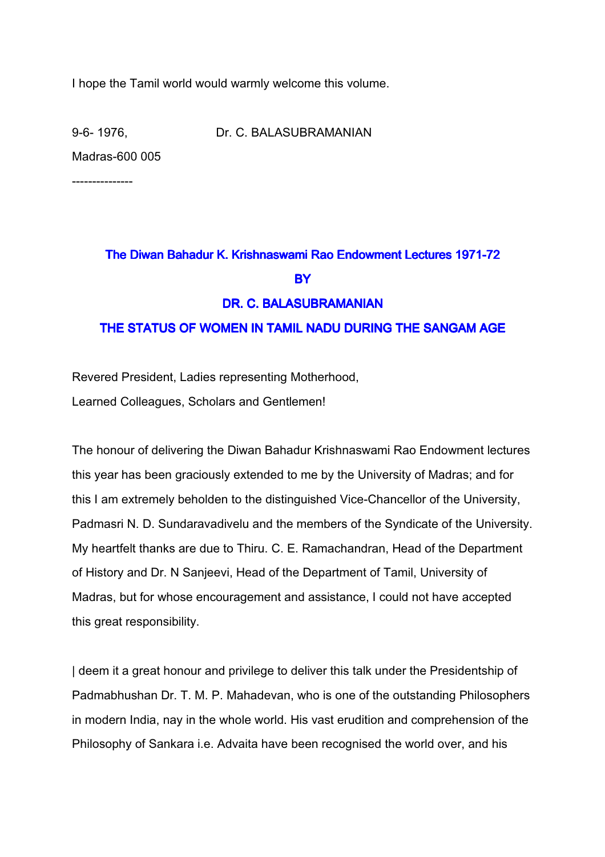I hope the Tamil world would warmly welcome this volume.

9-6- 1976, Dr. C. BALASUBRAMANIAN Madras-600 005

---------------

## The Diwan Bahadur K. Krishnaswami Rao Endowment Lectures 1971-72 **BY** DR. C. BALASUBRAMANIAN THE STATUS OF WOMEN IN TAMIL NADU DURING THE SANGAM AGE

Revered President, Ladies representing Motherhood,

Learned Colleagues, Scholars and Gentlemen!

The honour of delivering the Diwan Bahadur Krishnaswami Rao Endowment lectures this year has been graciously extended to me by the University of Madras; and for this I am extremely beholden to the distinguished Vice-Chancellor of the University, Padmasri N. D. Sundaravadivelu and the members of the Syndicate of the University. My heartfelt thanks are due to Thiru. C. E. Ramachandran, Head of the Department of History and Dr. N Sanjeevi, Head of the Department of Tamil, University of Madras, but for whose encouragement and assistance, I could not have accepted this great responsibility.

| deem it a great honour and privilege to deliver this talk under the Presidentship of Padmabhushan Dr. T. M. P. Mahadevan, who is one of the outstanding Philosophers in modern India, nay in the whole world. His vast erudition and comprehension of the Philosophy of Sankara i.e. Advaita have been recognised the world over, and his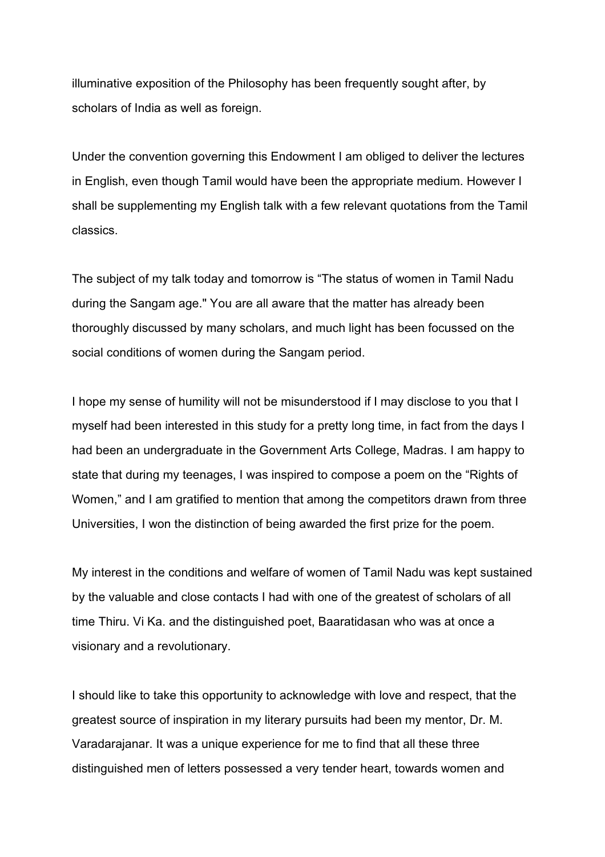illuminative exposition of the Philosophy has been frequently sought after, by scholars of India as well as foreign.

Under the convention governing this Endowment I am obliged to deliver the lectures in English, even though Tamil would have been the appropriate medium. However I shall be supplementing my English talk with a few relevant quotations from the Tamil classics.

The subject of my talk today and tomorrow is "The status of women in Tamil Nadu during the Sangam age." You are all aware that the matter has already been thoroughly discussed by many scholars, and much light has been focussed on the social conditions of women during the Sangam period.

I hope my sense of humility will not be misunderstood if I may disclose to you that I myself had been interested in this study for a pretty long time, in fact from the days I had been an undergraduate in the Government Arts College, Madras. I am happy to state that during my teenages, I was inspired to compose a poem on the "Rights of Women," and I am gratified to mention that among the competitors drawn from three Universities, I won the distinction of being awarded the first prize for the poem.

My interest in the conditions and welfare of women of Tamil Nadu was kept sustained by the valuable and close contacts I had with one of the greatest of scholars of all time Thiru. Vi Ka. and the distinguished poet, Baaratidasan who was at once a visionary and a revolutionary.

I should like to take this opportunity to acknowledge with love and respect, that the greatest source of inspiration in my literary pursuits had been my mentor, Dr. M. Varadarajanar. It was a unique experience for me to find that all these three distinguished men of letters possessed a very tender heart, towards women and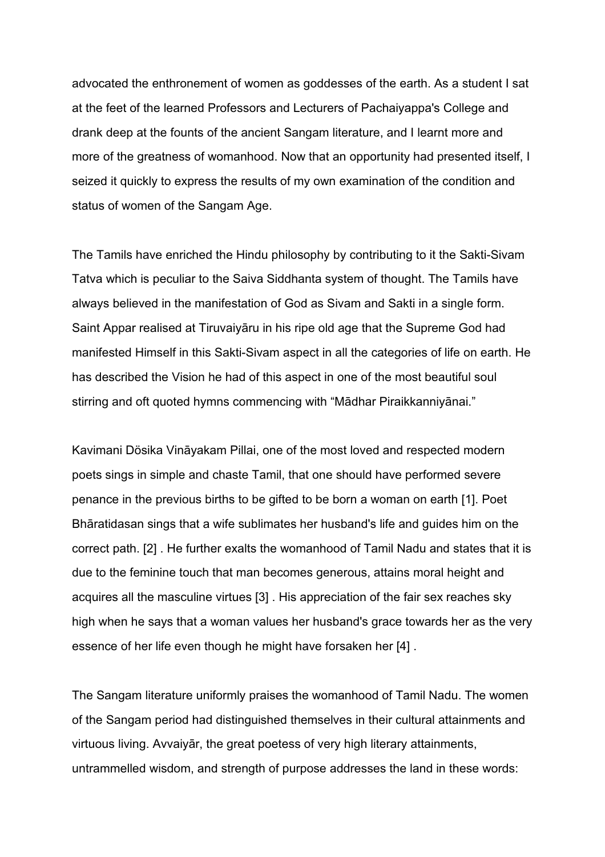advocated the enthronement of women as goddesses of the earth. As a student I sat at the feet of the learned Professors and Lecturers of Pachaiyappa's College and drank deep at the founts of the ancient Sangam literature, and I learnt more and more of the greatness of womanhood. Now that an opportunity had presented itself, I seized it quickly to express the results of my own examination of the condition and status of women of the Sangam Age.

The Tamils have enriched the Hindu philosophy by contributing to it the Sakti-Sivam Tatva which is peculiar to the Saiva Siddhanta system of thought. The Tamils have always believed in the manifestation of God as Sivam and Sakti in a single form. Saint Appar realised at Tiruvaiyāru in his ripe old age that the Supreme God had manifested Himself in this Sakti-Sivam aspect in all the categories of life on earth. He has described the Vision he had of this aspect in one of the most beautiful soul stirring and oft quoted hymns commencing with "Mādhar Piraikkanniyānai."

Kavimani Dösika Vināyakam Pillai, one of the most loved and respected modern poets sings in simple and chaste Tamil, that one should have performed severe penance in the previous births to be gifted to be born a woman on earth [1]. Poet Bhāratidasan sings that a wife sublimates her husband's life and guides him on the correct path. [2] . He further exalts the womanhood of Tamil Nadu and states that it is due to the feminine touch that man becomes generous, attains moral height and acquires all the masculine virtues [3] . His appreciation of the fair sex reaches sky high when he says that a woman values her husband's grace towards her as the very essence of her life even though he might have forsaken her [4] .

The Sangam literature uniformly praises the womanhood of Tamil Nadu. The women of the Sangam period had distinguished themselves in their cultural attainments and virtuous living. Avvaiyār, the great poetess of very high literary attainments, untrammelled wisdom, and strength of purpose addresses the land in these words: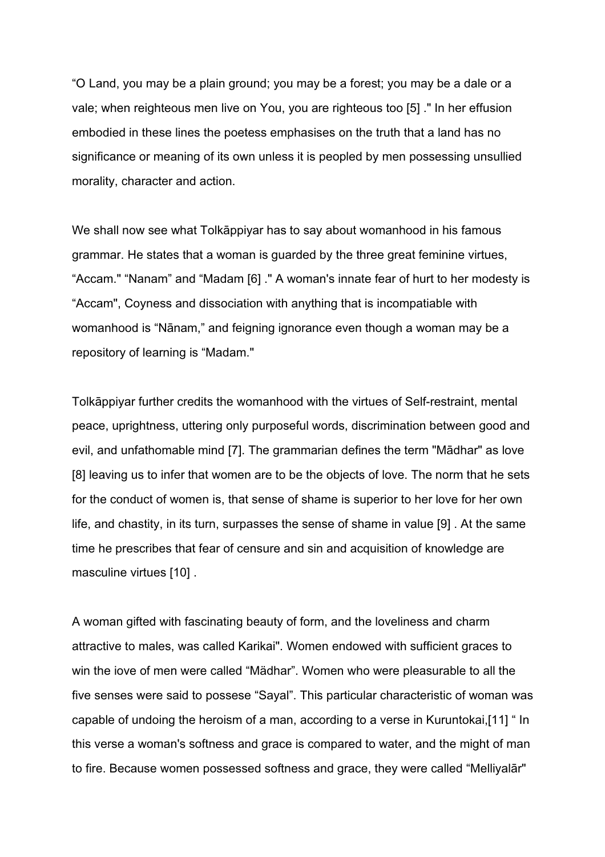"O Land, you may be a plain ground; you may be a forest; you may be a dale or a vale; when reighteous men live on You, you are righteous too [5] ." In her effusion embodied in these lines the poetess emphasises on the truth that a land has no significance or meaning of its own unless it is peopled by men possessing unsullied morality, character and action.

We shall now see what Tolkāppiyar has to say about womanhood in his famous grammar. He states that a woman is guarded by the three great feminine virtues, "Accam." "Nanam" and "Madam [6] ." A woman's innate fear of hurt to her modesty is "Accam", Coyness and dissociation with anything that is incompatiable with womanhood is "Nānam," and feigning ignorance even though a woman may be a repository of learning is "Madam."

Tolkāppiyar further credits the womanhood with the virtues of Self-restraint, mental peace, uprightness, uttering only purposeful words, discrimination between good and evil, and unfathomable mind [7]. The grammarian defines the term "Mādhar" as love [8] leaving us to infer that women are to be the objects of love. The norm that he sets for the conduct of women is, that sense of shame is superior to her love for her own life, and chastity, in its turn, surpasses the sense of shame in value [9] . At the same time he prescribes that fear of censure and sin and acquisition of knowledge are masculine virtues [10] .

A woman gifted with fascinating beauty of form, and the loveliness and charm attractive to males, was called Karikai". Women endowed with sufficient graces to win the iove of men were called "Mädhar". Women who were pleasurable to all the five senses were said to possese "Sayal". This particular characteristic of woman was capable of undoing the heroism of a man, according to a verse in Kuruntokai,[11] " In this verse a woman's softness and grace is compared to water, and the might of man to fire. Because women possessed softness and grace, they were called "Melliyalār"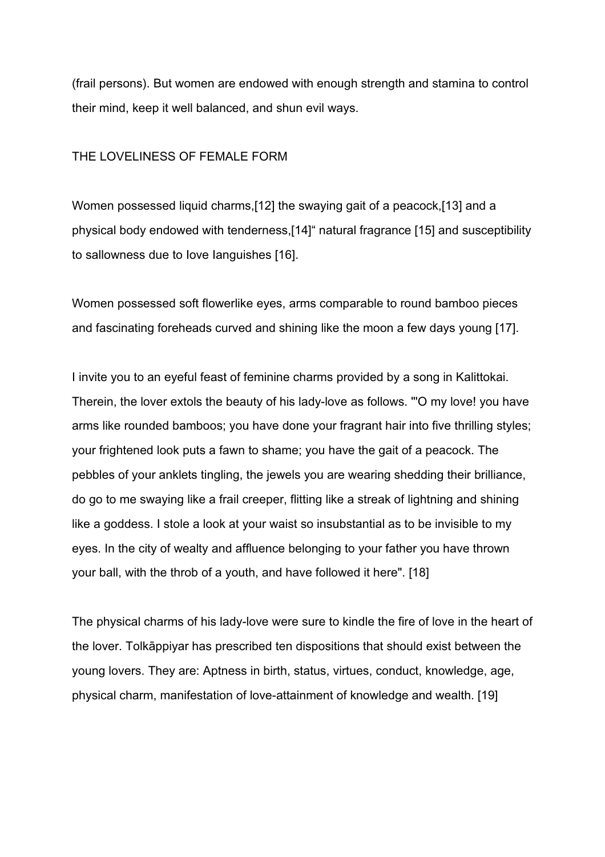(frail persons). But women are endowed with enough strength and stamina to control their mind, keep it well balanced, and shun evil ways.

#### THE LOVELINESS OF FEMALE FORM

Women possessed liquid charms,[12] the swaying gait of a peacock,[13] and a physical body endowed with tenderness,[14]" natural fragrance [15] and susceptibility to sallowness due to Iove Ianguishes [16].

Women possessed soft flowerlike eyes, arms comparable to round bamboo pieces and fascinating foreheads curved and shining like the moon a few days young [17].

I invite you to an eyeful feast of feminine charms provided by a song in Kalittokai. Therein, the lover extols the beauty of his lady-love as follows. "'O my love! you have arms like rounded bamboos; you have done your fragrant hair into five thrilling styles; your frightened look puts a fawn to shame; you have the gait of a peacock. The pebbles of your anklets tingling, the jewels you are wearing shedding their brilliance, do go to me swaying like a frail creeper, flitting like a streak of lightning and shining like a goddess. I stole a look at your waist so insubstantial as to be invisible to my eyes. In the city of wealty and affluence belonging to your father you have thrown your ball, with the throb of a youth, and have followed it here". [18]

The physical charms of his lady-love were sure to kindle the fire of love in the heart of the lover. Tolkāppiyar has prescribed ten dispositions that should exist between the young lovers. They are: Aptness in birth, status, virtues, conduct, knowledge, age, physical charm, manifestation of love-attainment of knowledge and wealth. [19]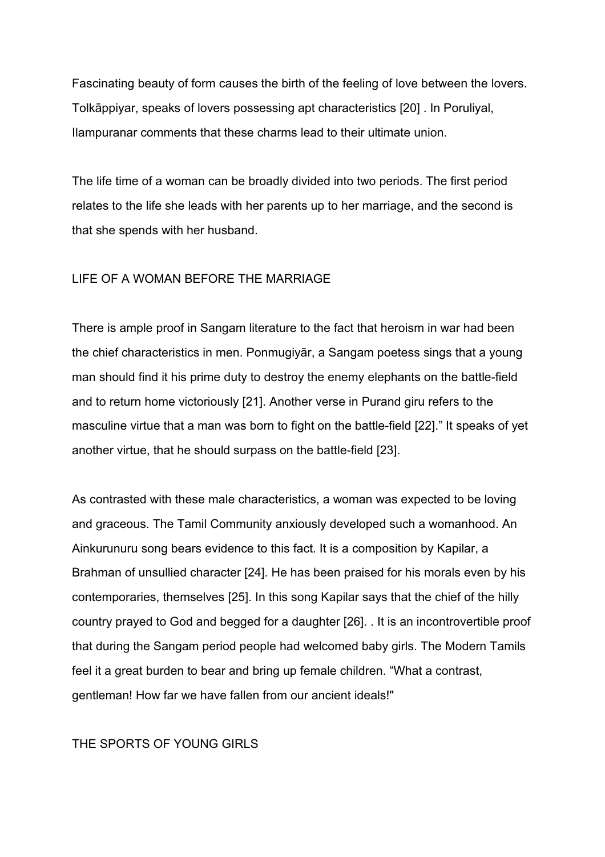Fascinating beauty of form causes the birth of the feeling of love between the lovers. Tolkāppiyar, speaks of lovers possessing apt characteristics [20] . In Poruliyal, Ilampuranar comments that these charms lead to their ultimate union.

The life time of a woman can be broadly divided into two periods. The first period relates to the life she leads with her parents up to her marriage, and the second is that she spends with her husband.

#### LIFE OF A WOMAN BEFORE THE MARRIAGE

There is ample proof in Sangam literature to the fact that heroism in war had been the chief characteristics in men. Ponmugiyār, a Sangam poetess sings that a young man should find it his prime duty to destroy the enemy elephants on the battle-field and to return home victoriously [21]. Another verse in Purand giru refers to the masculine virtue that a man was born to fight on the battle-field [22]." It speaks of yet another virtue, that he should surpass on the battle-field [23].

As contrasted with these male characteristics, a woman was expected to be loving and graceous. The Tamil Community anxiously developed such a womanhood. An Ainkurunuru song bears evidence to this fact. It is a composition by Kapilar, a Brahman of unsullied character [24]. He has been praised for his morals even by his contemporaries, themselves [25]. In this song Kapilar says that the chief of the hilly country prayed to God and begged for a daughter [26]. . It is an incontrovertible proof that during the Sangam period people had welcomed baby girls. The Modern Tamils feel it a great burden to bear and bring up female children. "What a contrast, gentleman! How far we have fallen from our ancient ideals!"

#### THE SPORTS OF YOUNG GIRLS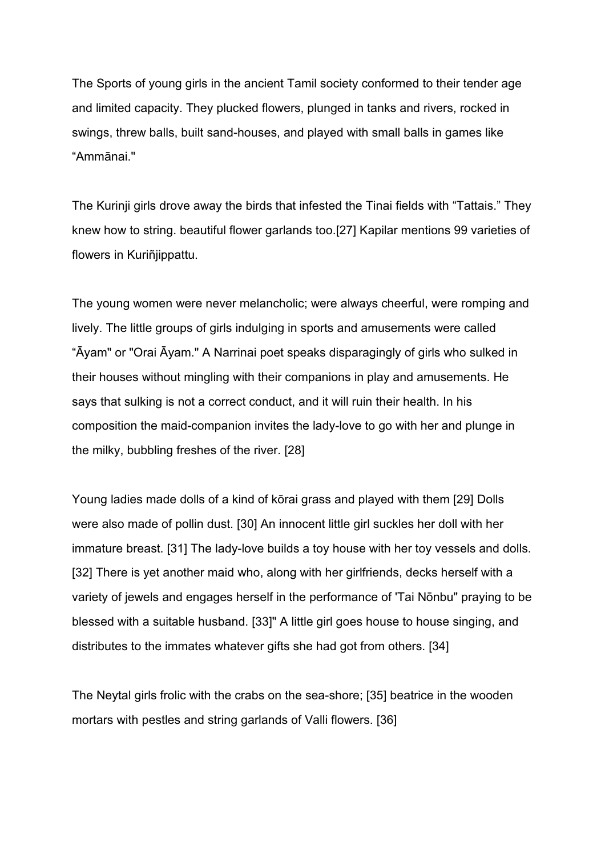The Sports of young girls in the ancient Tamil society conformed to their tender age and limited capacity. They plucked flowers, plunged in tanks and rivers, rocked in swings, threw balls, built sand-houses, and played with small balls in games like "Ammānai."

The Kurinji girls drove away the birds that infested the Tinai fields with "Tattais." They knew how to string. beautiful flower garlands too.[27] Kapilar mentions 99 varieties of flowers in Kuriñiippattu.

The young women were never melancholic; were always cheerful, were romping and lively. The little groups of girls indulging in sports and amusements were called "Āyam" or "Orai Āyam." A Narrinai poet speaks disparagingly of girls who sulked in their houses without mingling with their companions in play and amusements. He says that sulking is not a correct conduct, and it will ruin their health. In his composition the maid-companion invites the lady-love to go with her and plunge in the milky, bubbling freshes of the river. [28]

Young ladies made dolls of a kind of kōrai grass and played with them [29] Dolls were also made of pollin dust. [30] An innocent little girl suckles her doll with her immature breast. [31] The lady-love builds a toy house with her toy vessels and dolls. [32] There is yet another maid who, along with her girlfriends, decks herself with a variety of jewels and engages herself in the performance of 'Tai Nōnbu" praying to be blessed with a suitable husband. [33]" A little girl goes house to house singing, and distributes to the immates whatever gifts she had got from others. [34]

The Neytal girls frolic with the crabs on the sea-shore; [35] beatrice in the wooden mortars with pestles and string garlands of Valli flowers. [36]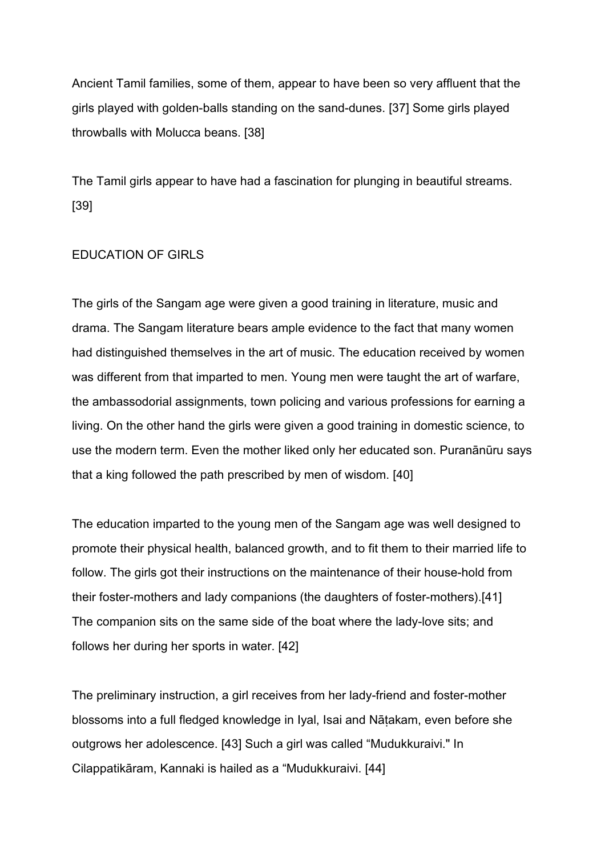Ancient Tamil families, some of them, appear to have been so very affluent that the girls played with golden-balls standing on the sand-dunes. [37] Some girls played throwballs with Molucca beans. [38]

The Tamil girls appear to have had a fascination for plunging in beautiful streams. [39]

#### EDUCATION OF GIRLS

The girls of the Sangam age were given a good training in literature, music and drama. The Sangam literature bears ample evidence to the fact that many women had distinguished themselves in the art of music. The education received by women was different from that imparted to men. Young men were taught the art of warfare, the ambassodorial assignments, town policing and various professions for earning a living. On the other hand the girls were given a good training in domestic science, to use the modern term. Even the mother liked only her educated son. Puranānūru says that a king followed the path prescribed by men of wisdom. [40]

The education imparted to the young men of the Sangam age was well designed to promote their physical health, balanced growth, and to fit them to their married life to follow. The girls got their instructions on the maintenance of their house-hold from their foster-mothers and lady companions (the daughters of foster-mothers).[41] The companion sits on the same side of the boat where the lady-love sits; and follows her during her sports in water. [42]

The preliminary instruction, a girl receives from her lady-friend and foster-mother blossoms into a full fledged knowledge in Iyal, Isai and Nāṭakam, even before she outgrows her adolescence. [43] Such a girl was called "Mudukkuraivi." In Cilappatikāram, Kannaki is hailed as a "Mudukkuraivi. [44]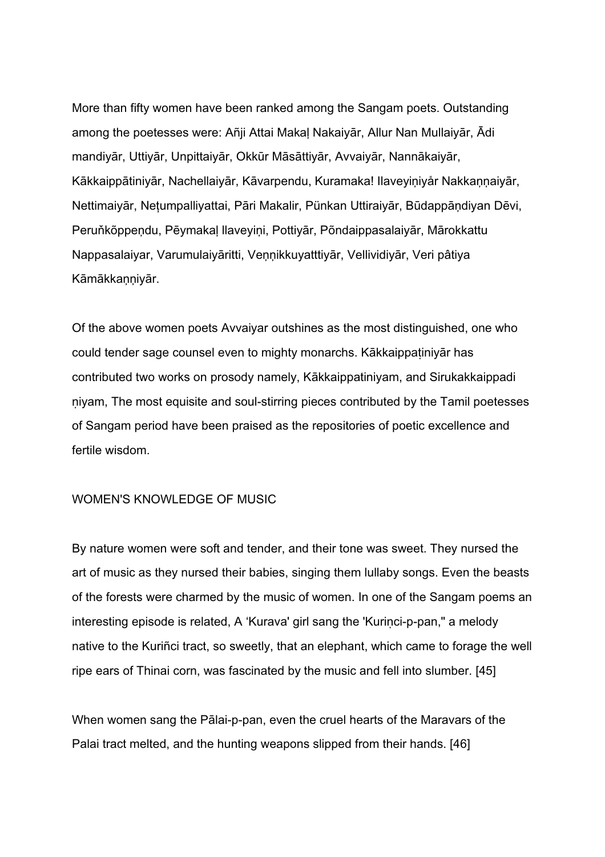More than fifty women have been ranked among the Sangam poets. Outstanding among the poetesses were: Añji Attai Makaļ Nakaiyār, Allur Nan Mullaiyār, Ādi mandiyār, Uttiyār, Unpittaiyār, Okkūr Māsāttiyār, Avvaiyār, Nannākaiyār, Kākkaippātiniyār, Nachellaiyār, Kāvarpendu, Kuramaka! Ilaveyiņiyår Nakkaņņaiyār, Nettimaiyār, Nețumpalliyattai, Pāri Makalir, Pünkan Uttiraiyār, Būdappāņdiyan Dēvi, Peruňkõppeņdu, Pēymakaļ llaveyiņi, Pottiyār, Põndaippasalaiyār, Mārokkattu Nappasalaiyar, Varumulaiyāritti, Veņņikkuyatttiyār, Vellividiyār, Veri pâtiya Kāmākkaņņiyār.

Of the above women poets Avvaiyar outshines as the most distinguished, one who could tender sage counsel even to mighty monarchs. Kākkaippatiniyār has contributed two works on prosody namely, Kākkaippatiniyam, and Sirukakkaippadi ṇiyam, The most equisite and soul-stirring pieces contributed by the Tamil poetesses of Sangam period have been praised as the repositories of poetic excellence and fertile wisdom.

#### WOMEN'S KNOWLEDGE OF MUSIC

By nature women were soft and tender, and their tone was sweet. They nursed the art of music as they nursed their babies, singing them lullaby songs. Even the beasts of the forests were charmed by the music of women. In one of the Sangam poems an interesting episode is related, A 'Kurava' girl sang the 'Kuriṇci-p-pan," a melody native to the Kuriñci tract, so sweetly, that an elephant, which came to forage the well ripe ears of Thinai corn, was fascinated by the music and fell into slumber. [45]

When women sang the Pālai-p-pan, even the cruel hearts of the Maravars of the Palai tract melted, and the hunting weapons slipped from their hands. [46]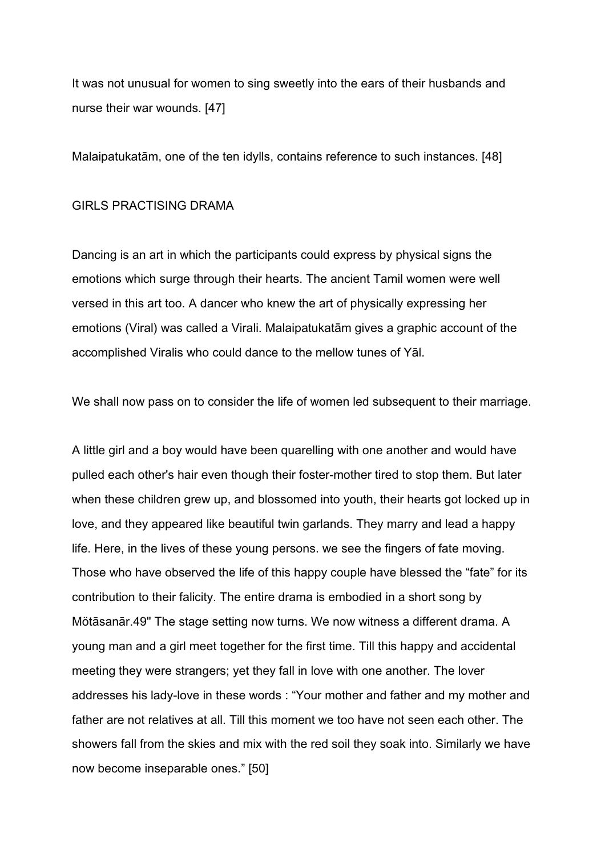It was not unusual for women to sing sweetly into the ears of their husbands and nurse their war wounds. [47]

Malaipatukatām, one of the ten idylls, contains reference to such instances. [48]

#### GIRLS PRACTISING DRAMA

Dancing is an art in which the participants could express by physical signs the emotions which surge through their hearts. The ancient Tamil women were well versed in this art too. A dancer who knew the art of physically expressing her emotions (Viral) was called a Virali. Malaipatukatām gives a graphic account of the accomplished Viralis who could dance to the mellow tunes of Yāl.

We shall now pass on to consider the life of women led subsequent to their marriage.

A little girl and a boy would have been quarelling with one another and would have pulled each other's hair even though their foster-mother tired to stop them. But later when these children grew up, and blossomed into youth, their hearts got locked up in love, and they appeared like beautiful twin garlands. They marry and lead a happy life. Here, in the lives of these young persons. we see the fingers of fate moving. Those who have observed the life of this happy couple have blessed the "fate" for its contribution to their falicity. The entire drama is embodied in a short song by Mötāsanār.49" The stage setting now turns. We now witness a different drama. A young man and a girl meet together for the first time. Till this happy and accidental meeting they were strangers; yet they fall in love with one another. The lover addresses his lady-love in these words : "Your mother and father and my mother and father are not relatives at all. Till this moment we too have not seen each other. The showers fall from the skies and mix with the red soil they soak into. Similarly we have now become inseparable ones." [50]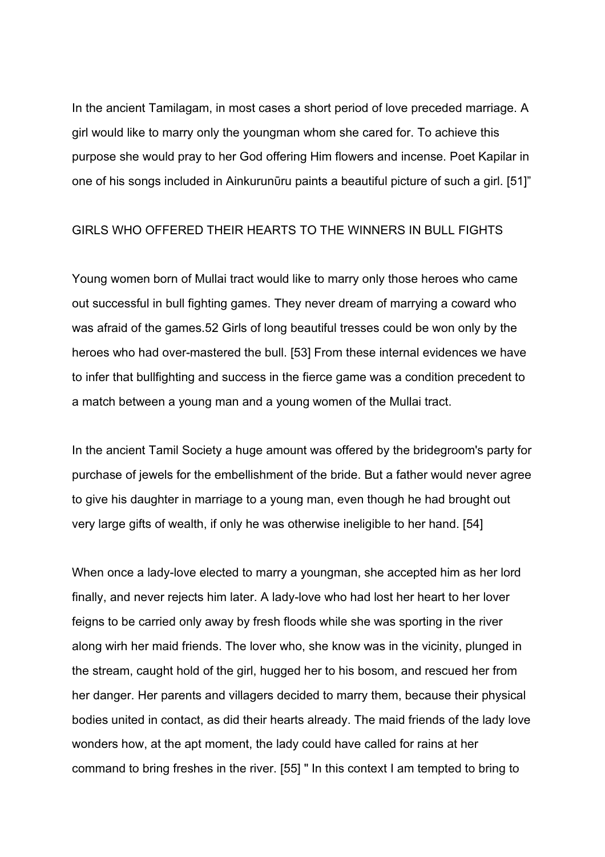In the ancient Tamilagam, in most cases a short period of love preceded marriage. A girl would like to marry only the youngman whom she cared for. To achieve this purpose she would pray to her God offering Him flowers and incense. Poet Kapilar in one of his songs included in Ainkurunūru paints a beautiful picture of such a girl. [51]"

#### GIRLS WHO OFFERED THEIR HEARTS TO THE WINNERS IN BULL FIGHTS

Young women born of Mullai tract would like to marry only those heroes who came out successful in bull fighting games. They never dream of marrying a coward who was afraid of the games.52 Girls of long beautiful tresses could be won only by the heroes who had over-mastered the bull. [53] From these internal evidences we have to infer that bullfighting and success in the fierce game was a condition precedent to a match between a young man and a young women of the Mullai tract.

In the ancient Tamil Society a huge amount was offered by the bridegroom's party for purchase of jewels for the embellishment of the bride. But a father would never agree to give his daughter in marriage to a young man, even though he had brought out very large gifts of wealth, if only he was otherwise ineligible to her hand. [54]

When once a lady-love elected to marry a youngman, she accepted him as her lord finally, and never rejects him later. A lady-love who had lost her heart to her lover feigns to be carried only away by fresh floods while she was sporting in the river along wirh her maid friends. The lover who, she know was in the vicinity, plunged in the stream, caught hold of the girl, hugged her to his bosom, and rescued her from her danger. Her parents and villagers decided to marry them, because their physical bodies united in contact, as did their hearts already. The maid friends of the lady love wonders how, at the apt moment, the lady could have called for rains at her command to bring freshes in the river. [55] " In this context I am tempted to bring to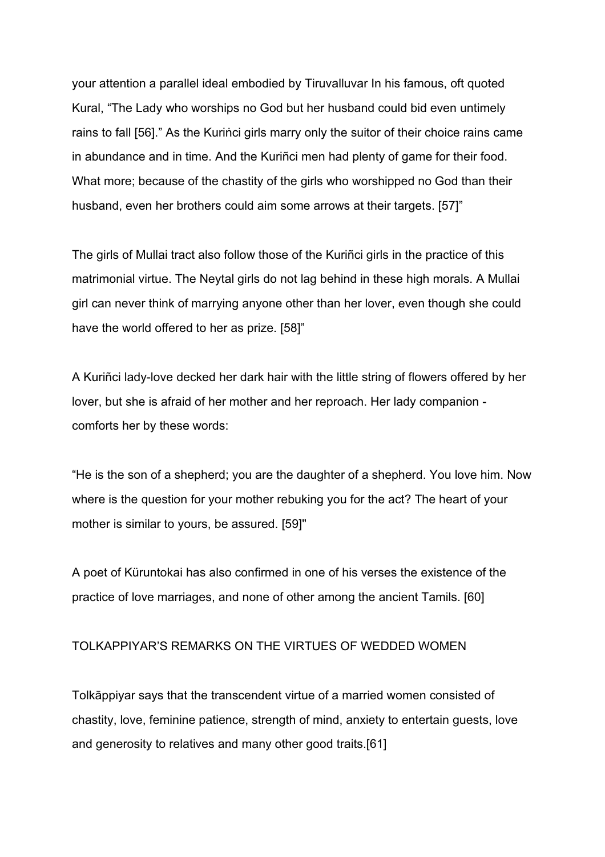your attention a parallel ideal embodied by Tiruvalluvar In his famous, oft quoted Kural, "The Lady who worships no God but her husband could bid even untimely rains to fall [56]." As the Kuriṅci girls marry only the suitor of their choice rains came in abundance and in time. And the Kuriñci men had plenty of game for their food. What more; because of the chastity of the girls who worshipped no God than their husband, even her brothers could aim some arrows at their targets. [57]"

The girls of Mullai tract also follow those of the Kuriñci girls in the practice of this matrimonial virtue. The Neytal girls do not lag behind in these high morals. A Mullai girl can never think of marrying anyone other than her lover, even though she could have the world offered to her as prize. [58]"

A Kuriñci lady-love decked her dark hair with the little string of flowers offered by her lover, but she is afraid of her mother and her reproach. Her lady companion comforts her by these words:

"He is the son of a shepherd; you are the daughter of a shepherd. You love him. Now where is the question for your mother rebuking you for the act? The heart of your mother is similar to yours, be assured. [59]"

A poet of Küruntokai has also confirmed in one of his verses the existence of the practice of love marriages, and none of other among the ancient Tamils. [60]

#### TOLKAPPIYAR'S REMARKS ON THE VIRTUES OF WEDDED WOMEN

Tolkāppiyar says that the transcendent virtue of a married women consisted of chastity, love, feminine patience, strength of mind, anxiety to entertain guests, love and generosity to relatives and many other good traits.[61]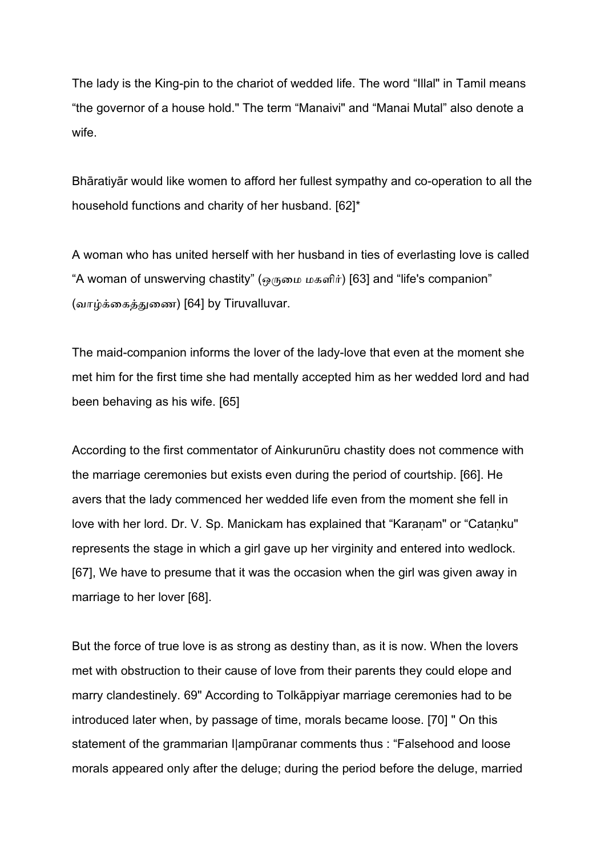The lady is the King-pin to the chariot of wedded life. The word "Illal" in Tamil means "the governor of a house hold." The term "Manaivi" and "Manai Mutal" also denote a wife.

Bhāratiyār would like women to afford her fullest sympathy and co-operation to all the household functions and charity of her husband. [62]\*

A woman who has united herself with her husband in ties of everlasting love is called "A woman of unswerving chastity" (ஒருமை மகளிர்) [63] and "life's companion"  $\,$ (வா
ைகைண) [64] by Tiruvalluvar.

The maid-companion informs the lover of the lady-love that even at the moment she met him for the first time she had mentally accepted him as her wedded lord and had been behaving as his wife. [65]

According to the first commentator of Ainkurunūru chastity does not commence with the marriage ceremonies but exists even during the period of courtship. [66]. He avers that the lady commenced her wedded life even from the moment she fell in love with her lord. Dr. V. Sp. Manickam has explained that "Karanam" or "Catanku" represents the stage in which a girl gave up her virginity and entered into wedlock. [67], We have to presume that it was the occasion when the girl was given away in marriage to her lover [68].

But the force of true love is as strong as destiny than, as it is now. When the lovers met with obstruction to their cause of love from their parents they could elope and marry clandestinely. 69" According to Tolkāppiyar marriage ceremonies had to be introduced later when, by passage of time, morals became loose. [70] " On this statement of the grammarian I|ampūranar comments thus : "Falsehood and loose morals appeared only after the deluge; during the period before the deluge, married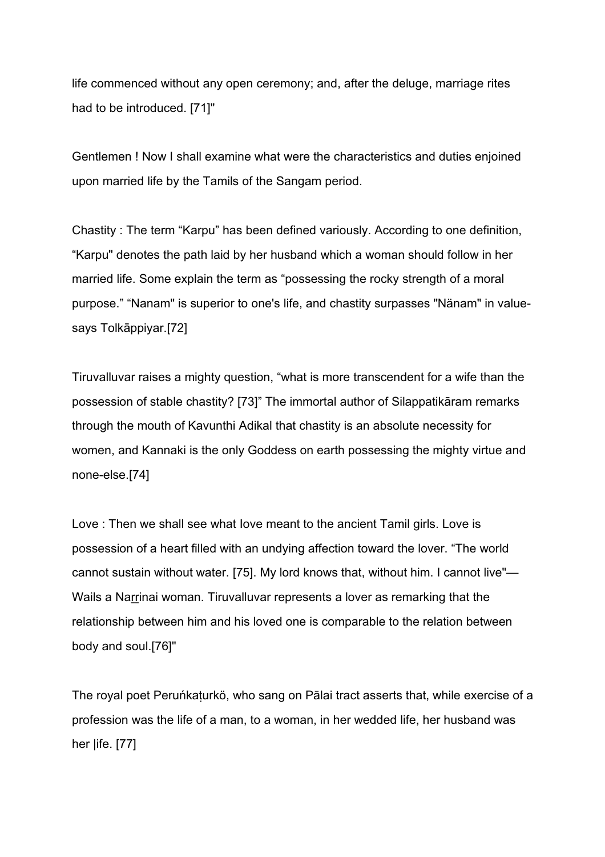life commenced without any open ceremony; and, after the deluge, marriage rites had to be introduced. [71]"

Gentlemen ! Now I shall examine what were the characteristics and duties enjoined upon married life by the Tamils of the Sangam period.

Chastity : The term "Karpu" has been defined variously. According to one definition, "Karpu" denotes the path laid by her husband which a woman should follow in her married life. Some explain the term as "possessing the rocky strength of a moral purpose." "Nanam" is superior to one's life, and chastity surpasses "Nänam" in valuesays Tolkāppiyar.[72]

Tiruvalluvar raises a mighty question, "what is more transcendent for a wife than the possession of stable chastity? [73]" The immortal author of Silappatikāram remarks through the mouth of Kavunthi Adikal that chastity is an absolute necessity for women, and Kannaki is the only Goddess on earth possessing the mighty virtue and none-else.[74]

Love : Then we shall see what Iove meant to the ancient Tamil girls. Love is possession of a heart filled with an undying affection toward the lover. "The world cannot sustain without water. [75]. My lord knows that, without him. I cannot live"— Wails a Narrinai woman. Tiruvalluvar represents a lover as remarking that the relationship between him and his loved one is comparable to the relation between body and soul.[76]"

The royal poet Peruńkaturkö, who sang on Pālai tract asserts that, while exercise of a profession was the life of a man, to a woman, in her wedded life, her husband was her |ife. [77]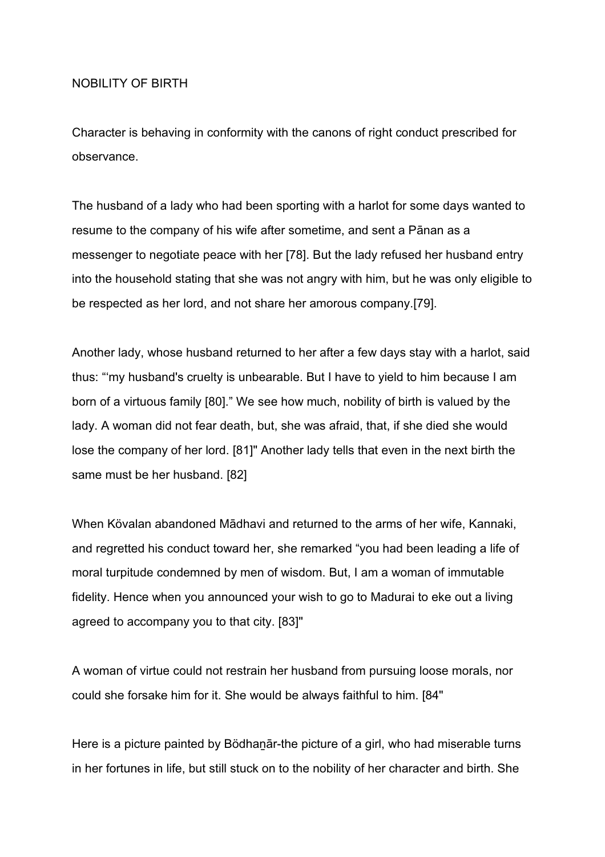#### ΝΟΒΙLΙΤΥ ΟF ΒΙRΤΗ

Character is behaving in conformity with the canons of right conduct prescribed for observance.

The husband of a lady who had been sporting with a harlot for some days wanted to resume to the company of his wife after sometime, and sent a Pānan as a messenger to negotiate peace with her [78]. But the lady refused her husband entry into the household stating that she was not angry with him, but he was only eligible to be respected as her lord, and not share her amorous company.[79].

Another lady, whose husband returned to her after a few days stay with a harlot, said thus: "'my husband's cruelty is unbearable. But I have to yield to him because I am born of a virtuous family [80]." We see how much, nobility of birth is valued by the lady. A woman did not fear death, but, she was afraid, that, if she died she would lose the company of her lord. [81]" Another lady tells that even in the next birth the same must be her husband. [82]

When Kövalan abandoned Mādhavi and returned to the arms of her wife, Kannaki, and regretted his conduct toward her, she remarked "you had been leading a life of moral turpitude condemned by men of wisdom. But, I am a woman of immutable fidelity. Hence when you announced your wish to go to Madurai to eke out a living agreed to accompany you to that city. [83]"

A woman of virtue could not restrain her husband from pursuing loose morals, nor could she forsake him for it. She would be always faithful to him. [84"

Here is a picture painted by Bödhanar-the picture of a girl, who had miserable turns in her fortunes in life, but still stuck on to the nobility of her character and birth. She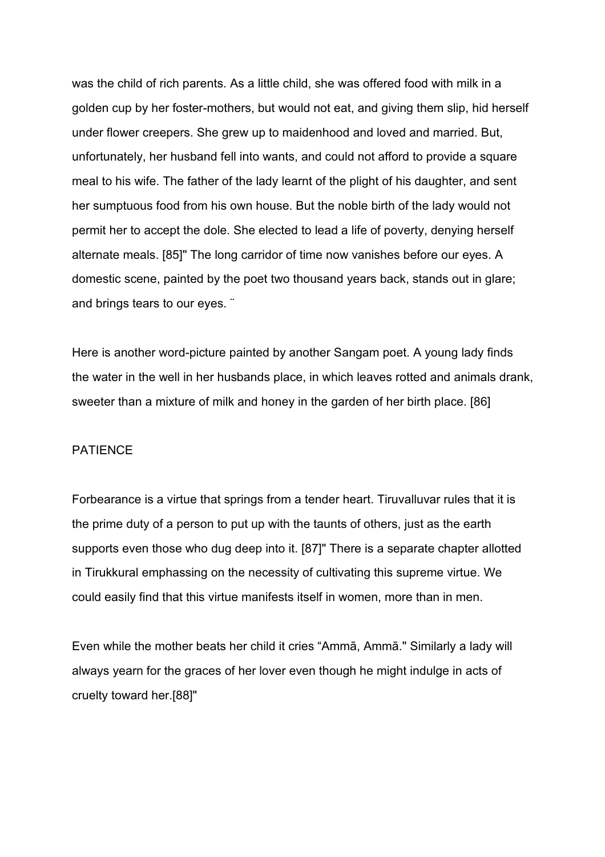was the child of rich parents. As a little child, she was offered food with milk in a golden cup by her foster-mothers, but would not eat, and giving them slip, hid herself under flower creepers. She grew up to maidenhood and loved and married. But, unfortunately, her husband fell into wants, and could not afford to provide a square meal to his wife. The father of the lady learnt of the plight of his daughter, and sent her sumptuous food from his own house. But the noble birth of the lady would not permit her to accept the dole. She elected to lead a life of poverty, denying herself alternate meals. [85]" The long carridor of time now vanishes before our eyes. A domestic scene, painted by the poet two thousand years back, stands out in glare; and brings tears to our eyes. ¨

Here is another word-picture painted by another Sangam poet. A young lady finds the water in the well in her husbands place, in which leaves rotted and animals drank, sweeter than a mixture of milk and honey in the garden of her birth place. [86]

#### ΡΑΤΙΕΝCΕ

Forbearance is a virtue that springs from a tender heart. Tiruvalluvar rules that it is the prime duty of a person to put up with the taunts of others, just as the earth supports even those who dug deep into it. [87]" There is a separate chapter allotted in Tirukkural emphassing on the necessity of cultivating this supreme virtue. We could easily find that this virtue manifests itself in women, more than in men.

Even while the mother beats her child it cries "Ammā, Ammā." Similarly a lady will always yearn for the graces of her lover even though he might indulge in acts of cruelty toward her.[88]"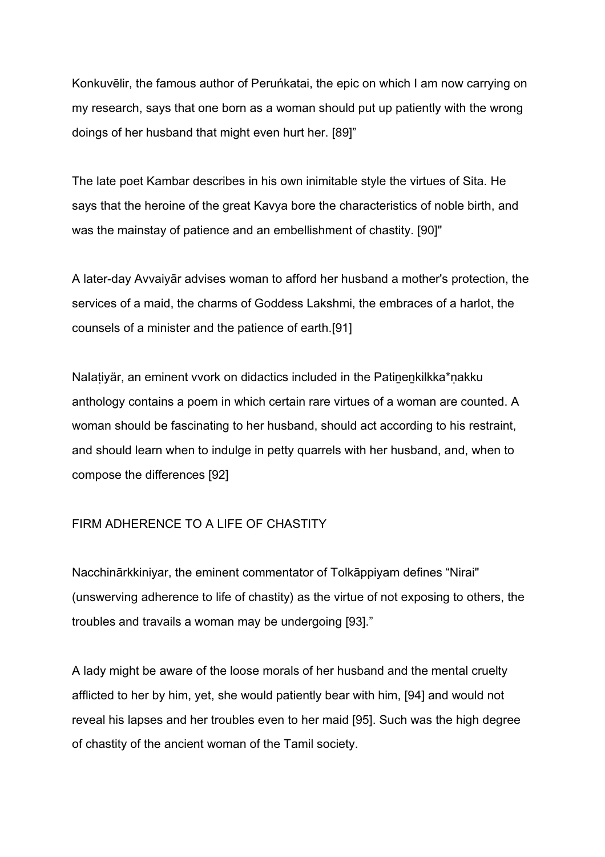Konkuvēlir, the famous author of Peruńkatai, the epic on which I am now carrying on my research, says that one born as a woman should put up patiently with the wrong doings of her husband that might even hurt her. [89]"

The late poet Kambar describes in his own inimitable style the virtues of Sita. He says that the heroine of the great Kavya bore the characteristics of noble birth, and was the mainstay of patience and an embellishment of chastity. [90]"

A later-day Avvaiyār advises woman to afford her husband a mother's protection, the services of a maid, the charms of Goddess Lakshmi, the embraces of a harlot, the counsels of a minister and the patience of earth.[91]

Nalatiyär, an eminent vvork on didactics included in the Patinenkilkka\*nakku anthology contains a poem in which certain rare virtues of a woman are counted. A woman should be fascinating to her husband, should act according to his restraint, and should learn when to indulge in petty quarrels with her husband, and, when to compose the differences [92]

#### FIRM ADHERENCE TO A LIFE OF CHASTITY

Nacchinārkkiniyar, the eminent commentator of Tolkāppiyam defines "Nirai" (unswerving adherence to life of chastity) as the virtue of not exposing to others, the troubles and travails a woman may be undergoing [93]."

A lady might be aware of the loose morals of her husband and the mental cruelty afflicted to her by him, yet, she would patiently bear with him, [94] and would not reveal his lapses and her troubles even to her maid [95]. Such was the high degree of chastity of the ancient woman of the Tamil society.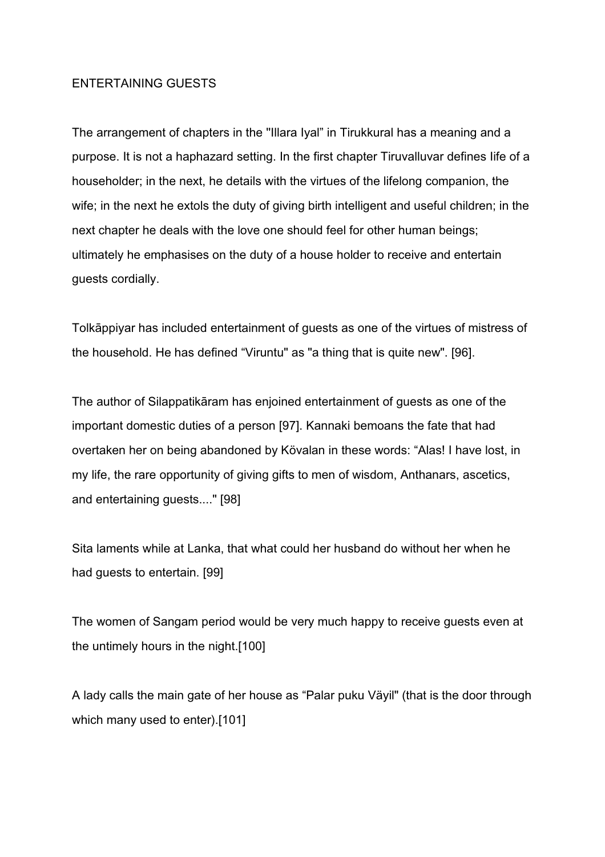#### ENTERTAINING GUESTS

The arrangement of chapters in the ''Illara Iyal" in Tirukkural has a meaning and a purpose. It is not a haphazard setting. In the first chapter Tiruvalluvar defines Iife of a householder; in the next, he details with the virtues of the lifelong companion, the wife; in the next he extols the duty of giving birth intelligent and useful children; in the next chapter he deals with the love one should feel for other human beings; ultimately he emphasises on the duty of a house holder to receive and entertain guests cordially.

Tolkāppiyar has included entertainment of guests as one of the virtues of mistress of the household. He has defined "Viruntu" as "a thing that is quite new". [96].

The author of Silappatikāram has enjoined entertainment of guests as one of the important domestic duties of a person [97]. Kannaki bemoans the fate that had overtaken her on being abandoned by Kövalan in these words: "Alas! I have lost, in my life, the rare opportunity of giving gifts to men of wisdom, Anthanars, ascetics, and entertaining guests...." [98]

Sita laments while at Lanka, that what could her husband do without her when he had guests to entertain. [99]

The women of Sangam period would be very much happy to receive guests even at the untimely hours in the night.[100]

A lady calls the main gate of her house as "Palar puku Väyil" (that is the door through which many used to enter).[101]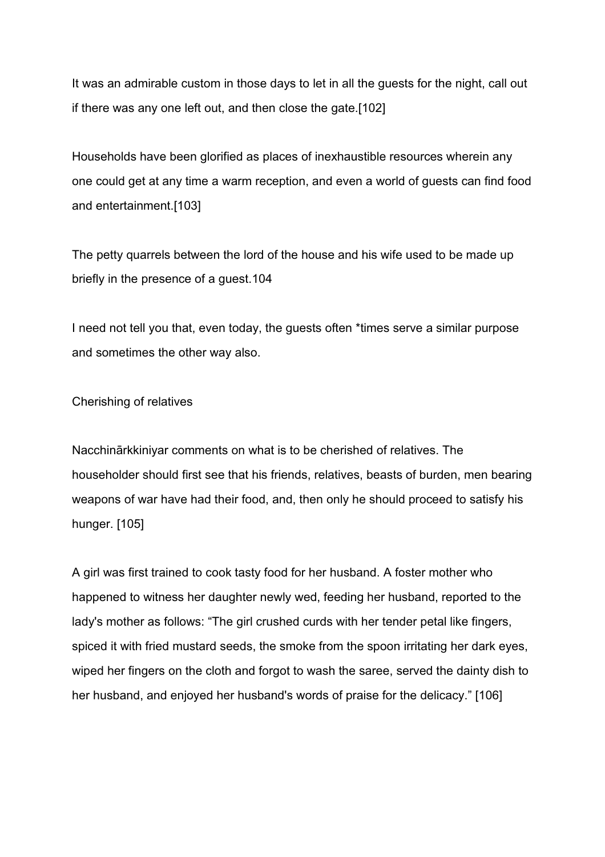It was an admirable custom in those days to let in all the guests for the night, call out if there was any one left out, and then close the gate.[102]

Households have been glorified as places of inexhaustible resources wherein any one could get at any time a warm reception, and even a world of guests can find food and entertainment.[103]

The petty quarrels between the lord of the house and his wife used to be made up briefly in the presence of a guest.104

I need not tell you that, even today, the guests often \*times serve a similar purpose and sometimes the other way also.

#### Cherishing of relatives

Nacchinārkkiniyar comments on what is to be cherished of relatives. The householder should first see that his friends, relatives, beasts of burden, men bearing weapons of war have had their food, and, then only he should proceed to satisfy his hunger. [105]

A girl was first trained to cook tasty food for her husband. A foster mother who happened to witness her daughter newly wed, feeding her husband, reported to the lady's mother as follows: "The girl crushed curds with her tender petal like fingers, spiced it with fried mustard seeds, the smoke from the spoon irritating her dark eyes, wiped her fingers on the cloth and forgot to wash the saree, served the dainty dish to her husband, and enjoyed her husband's words of praise for the delicacy." [106]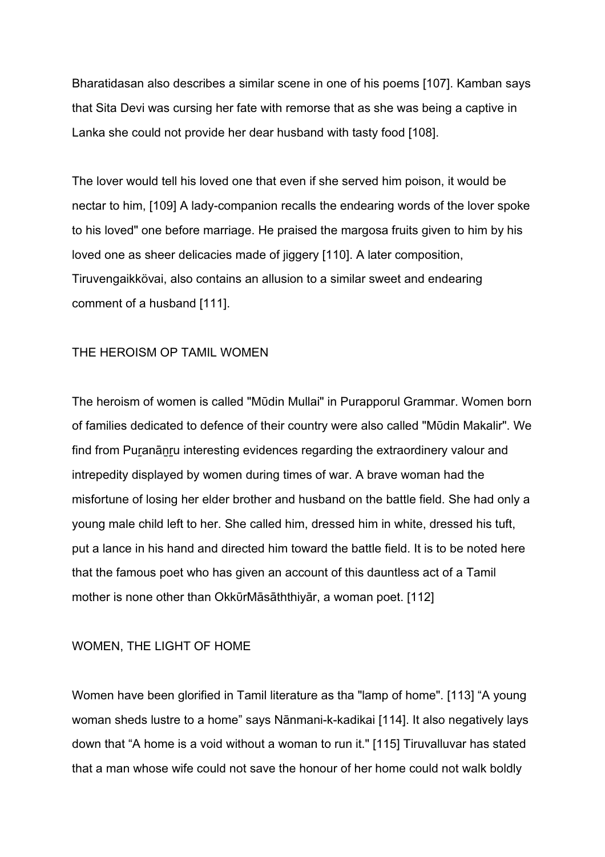Bharatidasan also describes a similar scene in one of his poems [107]. Kamban says that Sita Devi was cursing her fate with remorse that as she was being a captive in Lanka she could not provide her dear husband with tasty food [108].

The lover would tell his loved one that even if she served him poison, it would be nectar to him, [109] A lady-companion recalls the endearing words of the lover spoke to his loved" one before marriage. He praised the margosa fruits given to him by his loved one as sheer delicacies made of jiggery [110]. A later composition, Tiruvengaikkövai, also contains an allusion to a similar sweet and endearing comment of a husband [111].

#### ΤΗΕ ΗΕRΟΙSΜ ΟΡ ΤΑΜΙL WΟΜΕΝ

The heroism of women is called "Mūdin Mullai" in Purapporul Grammar. Women born of families dedicated to defence of their country were also called "Mῡdin Makalir". We find from Puranānru interesting evidences regarding the extraordinery valour and intrepedity displayed by women during times of war. A brave woman had the misfortune of losing her elder brother and husband on the battle field. She had only a young male child left to her. She called him, dressed him in white, dressed his tuft, put a lance in his hand and directed him toward the battle field. It is to be noted here that the famous poet who has given an account of this dauntless act of a Tamil mother is none other than OkkūrMāsāththiyār, a woman poet. [112]

#### WΟΜΕΝ, ΤΗΕ LIGΗΤ ΟF ΗΟΜΕ

Women have been glorified in Tamil literature as tha "lamp of home". [113] "A young woman sheds lustre to a home" says Nānmani-k-kadikai [114]. It also negatively lays down that "A home is a void without a woman to run it." [115] Tiruvalluvar has stated that a man whose wife could not save the honour of her home could not walk boldly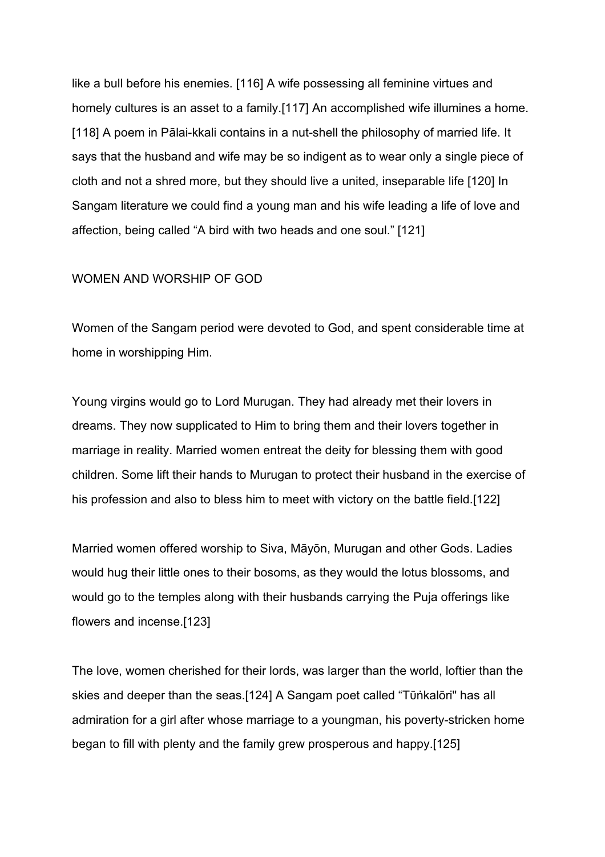like a bull before his enemies. [116] A wife possessing all feminine virtues and homely cultures is an asset to a family.[117] An accomplished wife illumines a home. [118] A poem in Pālai-kkali contains in a nut-shell the philosophy of married life. It says that the husband and wife may be so indigent as to wear only a single piece of cloth and not a shred more, but they should live a united, inseparable life [120] In Sangam literature we could find a young man and his wife leading a life of love and affection, being called "A bird with two heads and one soul." [121]

#### WΟΜΕΝ ΑΝD WΟRSΗΙΡ ΟF GΟD

Women of the Sangam period were devoted to God, and spent considerable time at home in worshipping Him.

Young virgins would go to Lord Murugan. They had already met their lovers in dreams. They now supplicated to Him to bring them and their lovers together in marriage in reality. Married women entreat the deity for blessing them with good children. Some lift their hands to Murugan to protect their husband in the exercise of his profession and also to bless him to meet with victory on the battle field.[122]

Married women offered worship to Siva, Māyōn, Murugan and other Gods. Ladies would hug their little ones to their bosoms, as they would the lotus blossoms, and would go to the temples along with their husbands carrying the Puja offerings like flowers and incense.[123]

The love, women cherished for their lords, was larger than the world, loftier than the skies and deeper than the seas.[124] A Sangam poet called "Tūṅkalōri" has all admiration for a girl after whose marriage to a youngman, his poverty-stricken home began to fill with plenty and the family grew prosperous and happy.[125]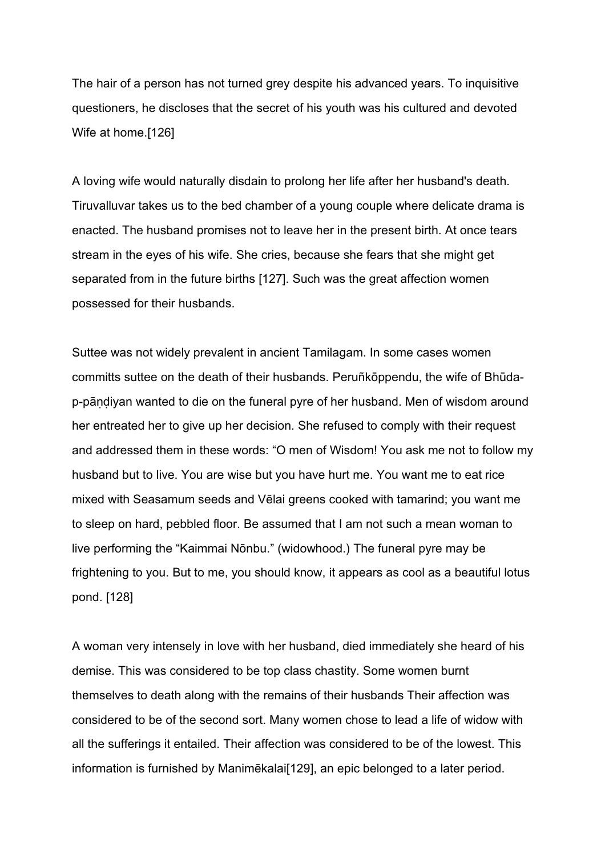The hair of a person has not turned grey despite his advanced years. To inquisitive questioners, he discloses that the secret of his youth was his cultured and devoted Wife at home.[126]

A loving wife would naturally disdain to prolong her life after her husband's death. Tiruvalluvar takes us to the bed chamber of a young couple where delicate drama is enacted. The husband promises not to leave her in the present birth. At once tears stream in the eyes of his wife. She cries, because she fears that she might get separated from in the future births [127]. Such was the great affection women possessed for their husbands.

Suttee was not widely prevalent in ancient Tamilagam. In some cases women committs suttee on the death of their husbands. Peruñkōppendu, the wife of Bhūdap-pāṇḍiyan wanted to die on the funeral pyre of her husband. Men of wisdom around her entreated her to give up her decision. She refused to comply with their request and addressed them in these words: "O men of Wisdom! You ask me not to follow my husband but to live. You are wise but you have hurt me. You want me to eat rice mixed with Seasamum seeds and Vēlai greens cooked with tamarind; you want me to sleep on hard, pebbled floor. Be assumed that I am not such a mean woman to live performing the "Kaimmai Nōnbu." (widowhood.) The funeral pyre may be frightening to you. But to me, you should know, it appears as cool as a beautiful lotus pond. [128]

A woman very intensely in love with her husband, died immediately she heard of his demise. This was considered to be top class chastity. Some women burnt themselves to death along with the remains of their husbands Their affection was considered to be of the second sort. Many women chose to lead a life of widow with all the sufferings it entailed. Their affection was considered to be of the lowest. This information is furnished by Manimēkalai[129], an epic belonged to a later period.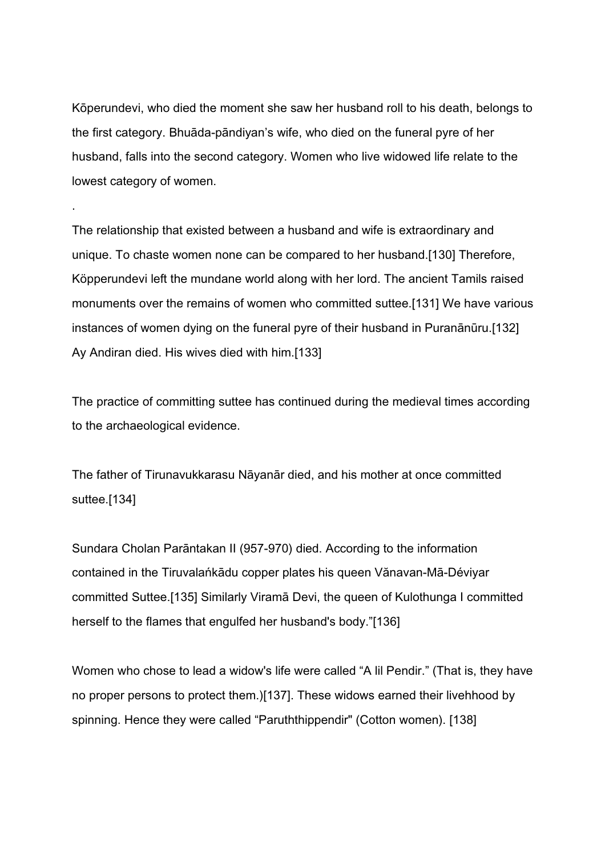Kōperundevi, who died the moment she saw her husband roll to his death, belongs to the first category. Bhuāda-pāndiyan's wife, who died on the funeral pyre of her husband, falls into the second category. Women who live widowed life relate to the lowest category of women.

.

The relationship that existed between a husband and wife is extraordinary and unique. To chaste women none can be compared to her husband.[130] Therefore, Köpperundevi left the mundane world along with her lord. The ancient Tamils raised monuments over the remains of women who committed suttee.[131] We have various instances of women dying on the funeral pyre of their husband in Puranānūru.[132] Ay Andiran died. His wives died with him.[133]

The practice of committing suttee has continued during the medieval times according to the archaeological evidence.

The father of Tirunavukkarasu Nāyanār died, and his mother at once committed suttee.[134]

Sundara Cholan Parāntakan II (957-970) died. According to the information contained in the Tiruvalańkādu copper plates his queen Vănavan-Mā-Déviyar committed Suttee.[135] Similarly Viramā Devi, the queen of Kulothunga I committed herself to the flames that engulfed her husband's body."[136]

Women who chose to lead a widow's life were called "A lil Pendir." (That is, they have no proper persons to protect them.)[137]. These widows earned their livehhood by spinning. Hence they were called "Paruththippendir" (Cotton women). [138]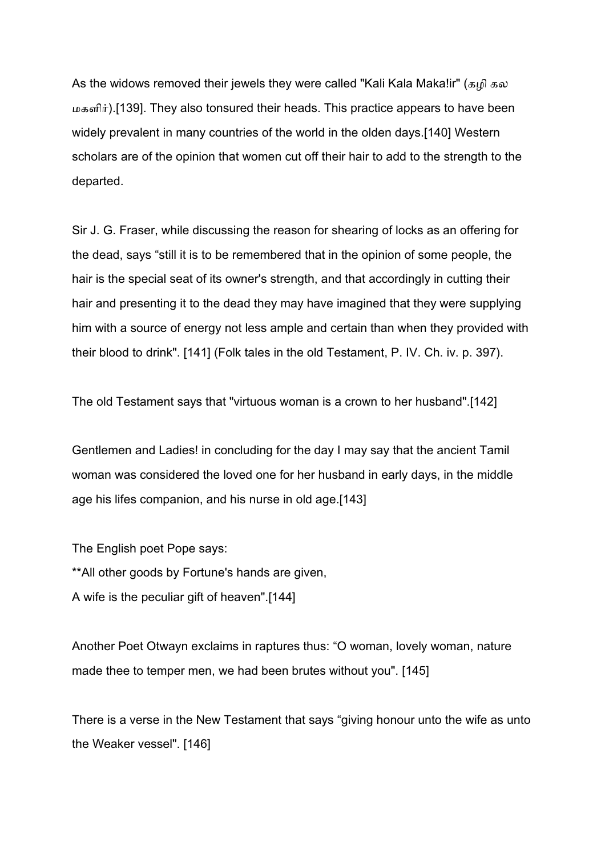As the widows removed their jewels they were called "Kali Kala Maka!ir" (கழி கல மகளிர்).[139]. They also tonsured their heads. This practice appears to have been widely prevalent in many countries of the world in the olden days.[140] Western scholars are of the opinion that women cut off their hair to add to the strength to the departed.

Sir J. G. Fraser, while discussing the reason for shearing of locks as an offering for the dead, says "still it is to be remembered that in the opinion of some people, the hair is the special seat of its owner's strength, and that accordingly in cutting their hair and presenting it to the dead they may have imagined that they were supplying him with a source of energy not less ample and certain than when they provided with their blood to drink". [141] (Folk tales in the old Testament, P. IV. Ch. iv. p. 397).

The old Testament says that "virtuous woman is a crown to her husband".[142]

Gentlemen and Ladies! in concluding for the day I may say that the ancient Tamil woman was considered the loved one for her husband in early days, in the middle age his lifes companion, and his nurse in old age.[143]

The English poet Pope says: \*\*All other goods by Fortune's hands are given, A wife is the peculiar gift of heaven".[144]

Another Poet Otwayn exclaims in raptures thus: "O woman, lovely woman, nature made thee to temper men, we had been brutes without you". [145]

There is a verse in the New Testament that says "giving honour unto the wife as unto the Weaker vessel". [146]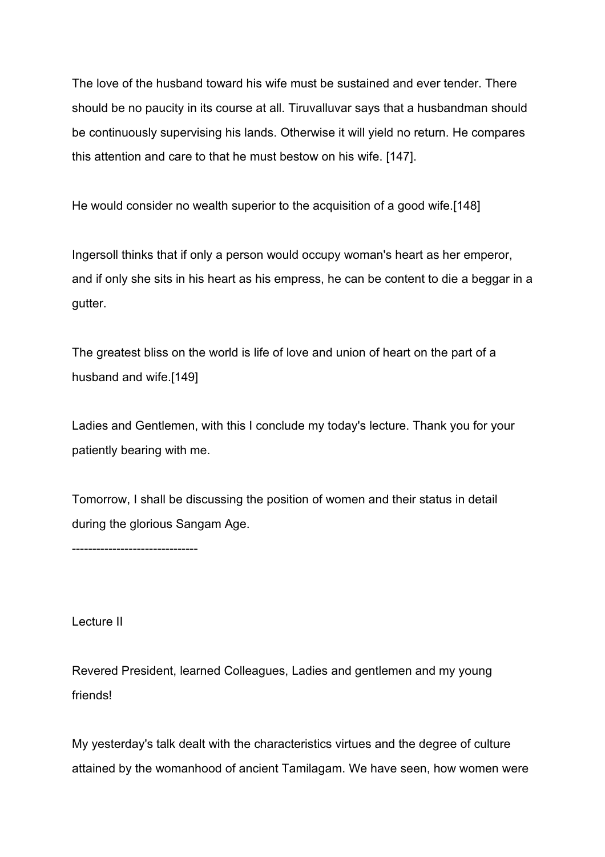The love of the husband toward his wife must be sustained and ever tender. There should be no paucity in its course at all. Tiruvalluvar says that a husbandman should be continuously supervising his lands. Otherwise it will yield no return. He compares this attention and care to that he must bestow on his wife. [147].

He would consider no wealth superior to the acquisition of a good wife.[148]

Ingersoll thinks that if only a person would occupy woman's heart as her emperor, and if only she sits in his heart as his empress, he can be content to die a beggar in a gutter.

The greatest bliss on the world is life of love and union of heart on the part of a husband and wife.[149]

Ladies and Gentlemen, with this I conclude my today's lecture. Thank you for your patiently bearing with me.

Tomorrow, I shall be discussing the position of women and their status in detail during the glorious Sangam Age.

-------------------------------

Lecture II

Revered President, learned Colleagues, Ladies and gentlemen and my young friends!

My yesterday's talk dealt with the characteristics virtues and the degree of culture attained by the womanhood of ancient Tamilagam. We have seen, how women were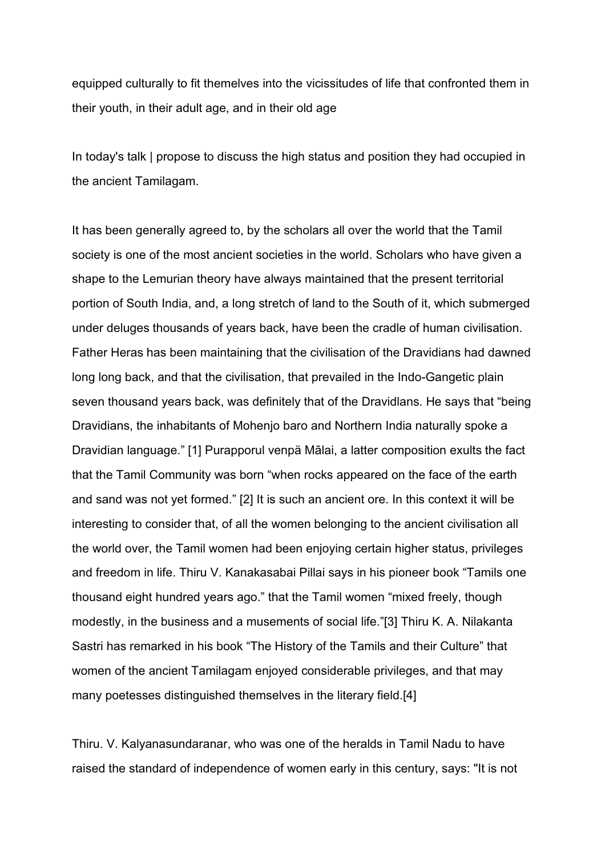equipped culturally to fit themelves into the vicissitudes of life that confronted them in their youth, in their adult age, and in their old age

In today's talk | propose to discuss the high status and position they had occupied in the ancient Tamilagam.

It has been generally agreed to, by the scholars all over the world that the Tamil society is one of the most ancient societies in the world. Scholars who have given a shape to the Lemurian theory have always maintained that the present territorial portion of South India, and, a long stretch of land to the South of it, which submerged under deluges thousands of years back, have been the cradle of human civilisation. Father Heras has been maintaining that the civilisation of the Dravidians had dawned long long back, and that the civilisation, that prevailed in the Indo-Gangetic plain seven thousand years back, was definitely that of the Dravidlans. He says that "being Dravidians, the inhabitants of Mohenjo baro and Northern India naturally spoke a Dravidian language." [1] Purapporul venpä Mālai, a latter composition exults the fact that the Tamil Community was born "when rocks appeared on the face of the earth and sand was not yet formed." [2] It is such an ancient ore. In this context it will be interesting to consider that, of all the women belonging to the ancient civilisation all the world over, the Tamil women had been enjoying certain higher status, privileges and freedom in life. Thiru V. Kanakasabai Pillai says in his pioneer book "Tamils one thousand eight hundred years ago." that the Tamil women "mixed freely, though modestly, in the business and a musements of social life."[3] Thiru K. A. Nilakanta Sastri has remarked in his book "The History of the Tamils and their Culture" that women of the ancient Tamilagam enjoyed considerable privileges, and that may many poetesses distinguished themselves in the literary field.[4]

Thiru. V. Kalyanasundaranar, who was one of the heralds in Tamil Nadu to have raised the standard of independence of women early in this century, says: "It is not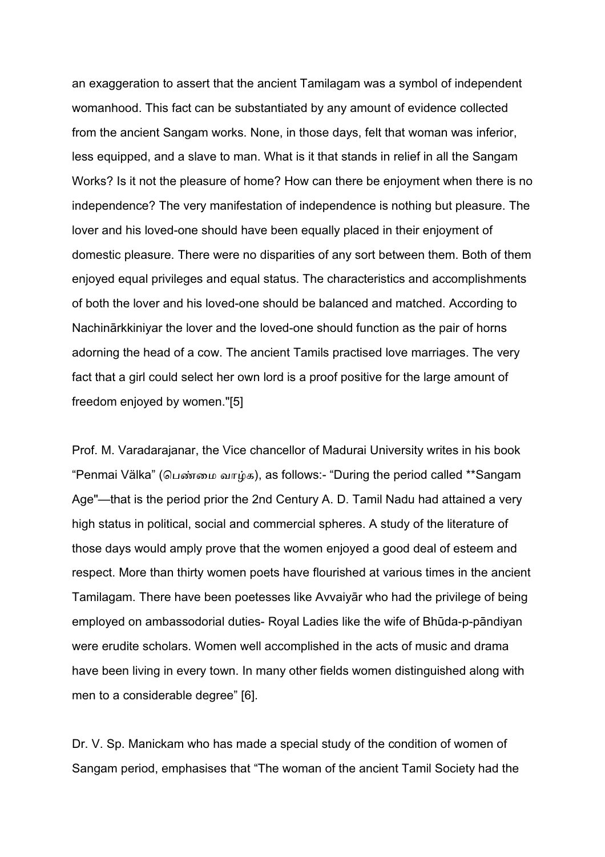an exaggeration to assert that the ancient Tamilagam was a symbol of independent womanhood. This fact can be substantiated by any amount of evidence collected from the ancient Sangam works. None, in those days, felt that woman was inferior, less equipped, and a slave to man. What is it that stands in relief in all the Sangam Works? Is it not the pleasure of home? How can there be enjoyment when there is no independence? The very manifestation of independence is nothing but pleasure. The lover and his loved-one should have been equally placed in their enjoyment of domestic pleasure. There were no disparities of any sort between them. Both of them enjoyed equal privileges and equal status. The characteristics and accomplishments of both the lover and his loved-one should be balanced and matched. According to Nachinārkkiniyar the lover and the loved-one should function as the pair of horns adorning the head of a cow. The ancient Tamils practised love marriages. The very fact that a girl could select her own lord is a proof positive for the large amount of freedom enjoyed by women."[5]

Prof. M. Varadarajanar, the Vice chancellor of Madurai University writes in his book "Penmai Välka" (பெண்மை வாழ்க), as follows:- "During the period called \*\*Sangam Age"—that is the period prior the 2nd Century A. D. Tamil Nadu had attained a very high status in political, social and commercial spheres. A study of the literature of those days would amply prove that the women enjoyed a good deal of esteem and respect. More than thirty women poets have flourished at various times in the ancient Tamilagam. There have been poetesses like Avvaiyār who had the privilege of being employed on ambassodorial duties- Royal Ladies like the wife of Bhūda-p-pāndiyan were erudite scholars. Women well accomplished in the acts of music and drama have been living in every town. In many other fields women distinguished along with men to a considerable degree" [6].

Dr. V. Sp. Manickam who has made a special study of the condition of women of Sangam period, emphasises that "The woman of the ancient Tamil Society had the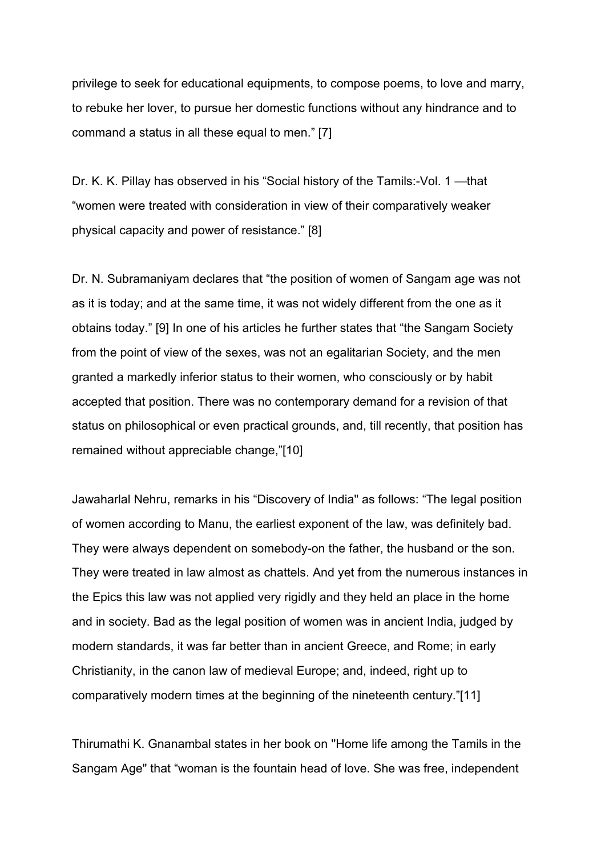privilege to seek for educational equipments, to compose poems, to love and marry, to rebuke her lover, to pursue her domestic functions without any hindrance and to command a status in all these equal to men." [7]

Dr. K. K. Pillay has observed in his "Social history of the Tamils:-Vol. 1 —that "women were treated with consideration in view of their comparatively weaker physical capacity and power of resistance." [8]

Dr. N. Subramaniyam declares that "the position of women of Sangam age was not as it is today; and at the same time, it was not widely different from the one as it obtains today." [9] In one of his articles he further states that "the Sangam Society from the point of view of the sexes, was not an egalitarian Society, and the men granted a markedly inferior status to their women, who consciously or by habit accepted that position. There was no contemporary demand for a revision of that status on philosophical or even practical grounds, and, till recently, that position has remained without appreciable change,"[10]

Jawaharlal Nehru, remarks in his "Discovery of India" as follows: "The legal position of women according to Manu, the earliest exponent of the law, was definitely bad. They were always dependent on somebody-on the father, the husband or the son. They were treated in law almost as chattels. And yet from the numerous instances in the Epics this law was not applied very rigidly and they held an place in the home and in society. Bad as the legal position of women was in ancient India, judged by modern standards, it was far better than in ancient Greece, and Rome; in early Christianity, in the canon law of medieval Europe; and, indeed, right up to comparatively modern times at the beginning of the nineteenth century."[11]

Thirumathi K. Gnanambal states in her book on ''Home life among the Tamils in the Sangam Age" that "woman is the fountain head of love. She was free, independent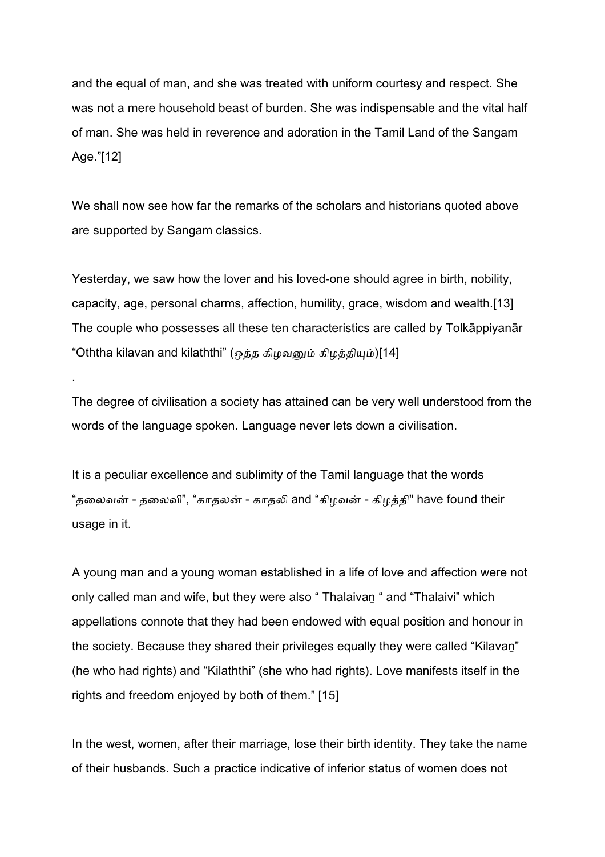and the equal of man, and she was treated with uniform courtesy and respect. She was not a mere household beast of burden. She was indispensable and the vital half of man. She was held in reverence and adoration in the Tamil Land of the Sangam Age."[12]

We shall now see how far the remarks of the scholars and historians quoted above are supported by Sangam classics.

Yesterday, we saw how the lover and his loved-one should agree in birth, nobility, capacity, age, personal charms, affection, humility, grace, wisdom and wealth.[13] The couple who possesses all these ten characteristics are called by Tolkāppiyanār "Oththa kilavan and kilaththi" (ஒத்த கிழவனும் கிழத்தியும்)[14]

The degree of civilisation a society has attained can be very well understood from the words of the language spoken. Language never lets down a civilisation.

.

It is a peculiar excellence and sublimity of the Tamil language that the words "தலைவன் - தலைவி", "காதலன் - காதலி and "கிமவன் - கிமத்தி" have found their usage in it.

A young man and a young woman established in a life of love and affection were not only called man and wife, but they were also " Thalaivan " and "Thalaivi" which appellations connote that they had been endowed with equal position and honour in the society. Because they shared their privileges equally they were called "Kilavaṉ" (he who had rights) and "Kilaththi" (she who had rights). Love manifests itself in the rights and freedom enjoyed by both of them." [15]

In the west, women, after their marriage, lose their birth identity. They take the name of their husbands. Such a practice indicative of inferior status of women does not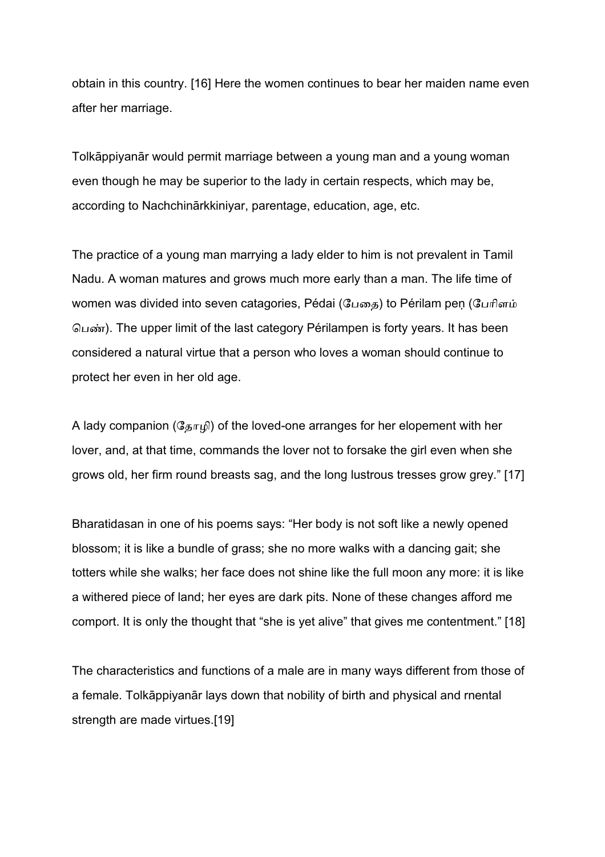obtain in this country. [16] Here the women continues to bear her maiden name even after her marriage.

Tolkāppiyanār would permit marriage between a young man and a young woman even though he may be superior to the lady in certain respects, which may be, according to Nachchinārkkiniyar, parentage, education, age, etc.

The practice of a young man marrying a lady elder to him is not prevalent in Tamil Nadu. A woman matures and grows much more early than a man. The life time of women was divided into seven catagories, Pédai (பேதை) to Périlam pen (பேரிளம் பெண்). The upper limit of the last category Périlampen is forty years. It has been considered a natural virtue that a person who loves a woman should continue to protect her even in her old age.

A lady companion ( $\Im \pi_{\mathfrak{p}}(t)$ ) of the loved-one arranges for her elopement with her lover, and, at that time, commands the lover not to forsake the girl even when she grows old, her firm round breasts sag, and the long lustrous tresses grow grey." [17]

Bharatidasan in one of his poems says: "Her body is not soft like a newly opened blossom; it is like a bundle of grass; she no more walks with a dancing gait; she totters while she walks; her face does not shine like the full moon any more: it is like a withered piece of land; her eyes are dark pits. None of these changes afford me comport. It is only the thought that "she is yet alive" that gives me contentment." [18]

The characteristics and functions of a male are in many ways different from those of a female. Tolkāppiyanār lays down that nobility of birth and physical and rnental strength are made virtues.[19]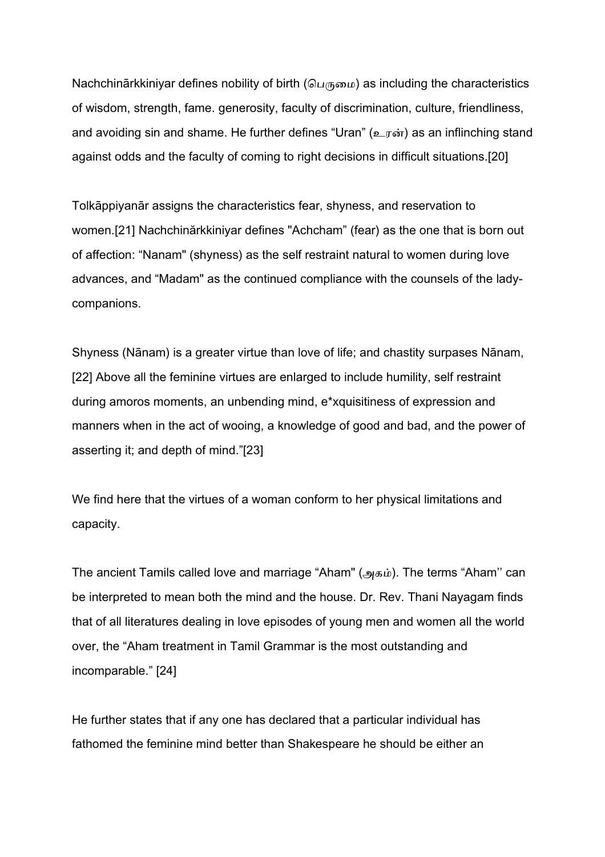Nachchinārkkiniyar defines nobility of birth (பெருமை) as including the characteristics of wisdom, strength, fame. generosity, faculty of discrimination, culture, friendliness, and avoiding sin and shame. He further defines "Uran" (உரன்) as an inflinching stand against odds and the faculty of coming to right decisions in difficult situations.[20]

Tolkāppiyanār assigns the characteristics fear, shyness, and reservation to women.[21] Nachchinărkkiniyar defines "Achcham" (fear) as the one that is born out of affection: "Nanam" (shyness) as the self restraint natural to women during love advances, and "Madam" as the continued compliance with the counsels of the ladycompanions.

Shyness (Nānam) is a greater virtue than love of life; and chastity surpases Nānam, [22] Above all the feminine virtues are enlarged to include humility, self restraint during amoros moments, an unbending mind, e\*xquisitiness of expression and manners when in the act of wooing, a knowledge of good and bad, and the power of asserting it; and depth of mind."[23]

We find here that the virtues of a woman conform to her physical limitations and capacity.

The ancient Tamils called love and marriage "Aham" (அகம்). The terms "Aham" can be interpreted to mean both the mind and the house. Dr. Rev. Thani Nayagam finds that of all literatures dealing in love episodes of young men and women all the world over, the "Aham treatment in Tamil Grammar is the most outstanding and incomparable." [24]

He further states that if any one has declared that a particular individual has fathomed the feminine mind better than Shakespeare he should be either an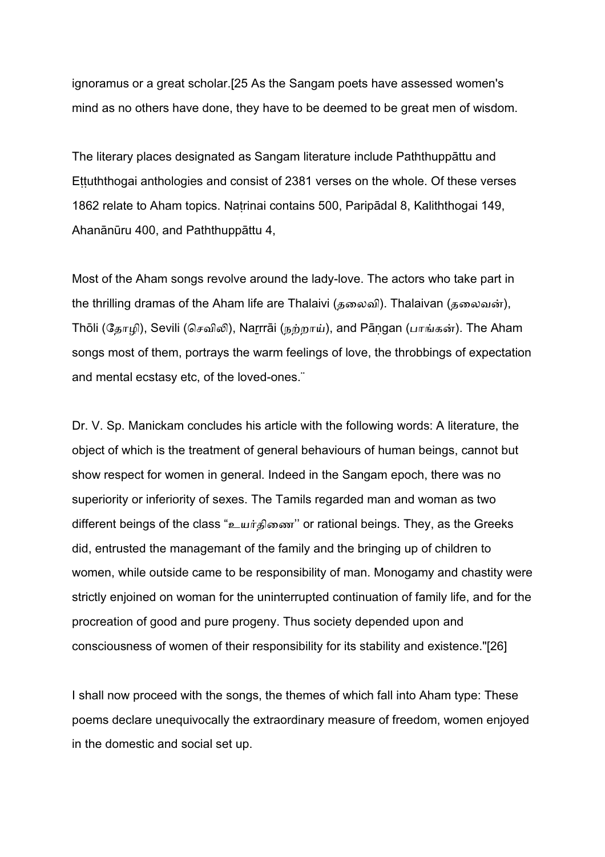ignoramus or a great scholar.[25 As the Sangam poets have assessed women's mind as no others have done, they have to be deemed to be great men of wisdom.

The literary places designated as Sangam literature include Paththuppāttu and Ettuththogai anthologies and consist of 2381 verses on the whole. Of these verses 1862 relate to Aham topics. Naṭrinai contains 500, Paripādal 8, Kaliththogai 149, Ahanānūru 400, and Paththuppāttu 4,

Most of the Aham songs revolve around the lady-love. The actors who take part in the thrilling dramas of the Aham life are Thalaivi (தலைவி). Thalaivan (தலைவன்), Thōli (தோழி), Sevili (செவிலி), Narrrāi (நற்றாய்), and Pāngan (பாங்கன்). The Aham songs most of them, portrays the warm feelings of love, the throbbings of expectation and mental ecstasy etc, of the loved-ones.¨

Dr. V. Sp. Manickam concludes his article with the following words: A literature, the object of which is the treatment of general behaviours of human beings, cannot but show respect for women in general. Indeed in the Sangam epoch, there was no superiority or inferiority of sexes. The Tamils regarded man and woman as two different beings of the class "உயர்திணை" or rational beings. They, as the Greeks did, entrusted the managemant of the family and the bringing up of children to women, while outside came to be responsibility of man. Monogamy and chastity were strictly enjoined on woman for the uninterrupted continuation of family life, and for the procreation of good and pure progeny. Thus society depended upon and consciousness of women of their responsibility for its stability and existence."[26]

I shall now proceed with the songs, the themes of which fall into Aham type: These poems declare unequivocally the extraordinary measure of freedom, women enjoyed in the domestic and social set up.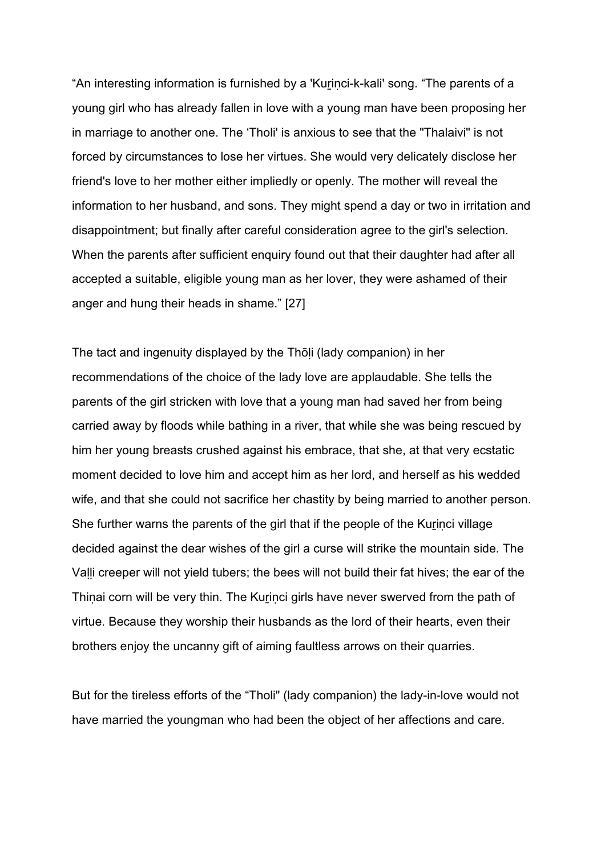"An interesting information is furnished by a 'Kurinci-k-kali' song. "The parents of a young girl who has already fallen in love with a young man have been proposing her in marriage to another one. The 'Tholi' is anxious to see that the "Thalaivi" is not forced by circumstances to lose her virtues. She would very delicately disclose her friend's love to her mother either impliedly or openly. The mother will reveal the information to her husband, and sons. They might spend a day or two in irritation and disappointment; but finally after careful consideration agree to the girl's selection. When the parents after sufficient enquiry found out that their daughter had after all accepted a suitable, eligible young man as her lover, they were ashamed of their anger and hung their heads in shame." [27]

The tact and ingenuity displayed by the Thōḷi (lady companion) in her recommendations of the choice of the lady love are applaudable. She tells the parents of the girl stricken with love that a young man had saved her from being carried away by floods while bathing in a river, that while she was being rescued by him her young breasts crushed against his embrace, that she, at that very ecstatic moment decided to love him and accept him as her lord, and herself as his wedded wife, and that she could not sacrifice her chastity by being married to another person. She further warns the parents of the girl that if the people of the Kurinci village decided against the dear wishes of the girl a curse will strike the mountain side. The Valli creeper will not yield tubers; the bees will not build their fat hives; the ear of the Thinai corn will be very thin. The Kurinci girls have never swerved from the path of virtue. Because they worship their husbands as the lord of their hearts, even their brothers enjoy the uncanny gift of aiming faultless arrows on their quarries.

But for the tireless efforts of the "Tholi" (lady companion) the lady-in-love would not have married the youngman who had been the object of her affections and care.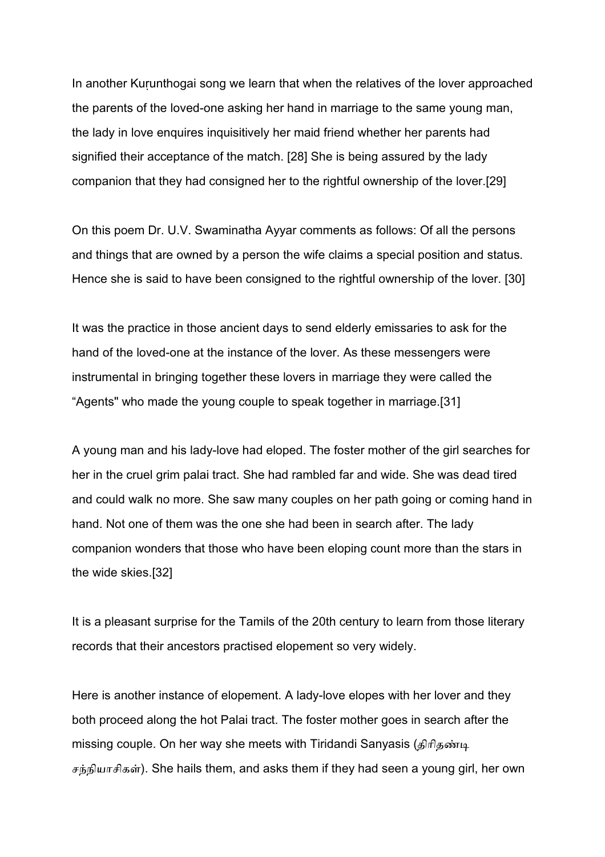In another Kurunthogai song we learn that when the relatives of the lover approached the parents of the loved-one asking her hand in marriage to the same young man, the lady in love enquires inquisitively her maid friend whether her parents had signified their acceptance of the match. [28] She is being assured by the lady companion that they had consigned her to the rightful ownership of the lover.[29]

On this poem Dr. U.V. Swaminatha Ayyar comments as follows: Of all the persons and things that are owned by a person the wife claims a special position and status. Hence she is said to have been consigned to the rightful ownership of the lover. [30]

It was the practice in those ancient days to send elderly emissaries to ask for the hand of the loved-one at the instance of the lover. As these messengers were instrumental in bringing together these lovers in marriage they were called the "Agents" who made the young couple to speak together in marriage.[31]

A young man and his lady-love had eloped. The foster mother of the girl searches for her in the cruel grim palai tract. She had rambled far and wide. She was dead tired and could walk no more. She saw many couples on her path going or coming hand in hand. Not one of them was the one she had been in search after. The lady companion wonders that those who have been eloping count more than the stars in the wide skies.[32]

It is a pleasant surprise for the Tamils of the 20th century to learn from those literary records that their ancestors practised elopement so very widely.

Here is another instance of elopement. A lady-love elopes with her lover and they both proceed along the hot Palai tract. The foster mother goes in search after the missing couple. On her way she meets with Tiridandi Sanyasis (திரிதண்டி சந்நியாசிகள்). She hails them, and asks them if they had seen a young girl, her own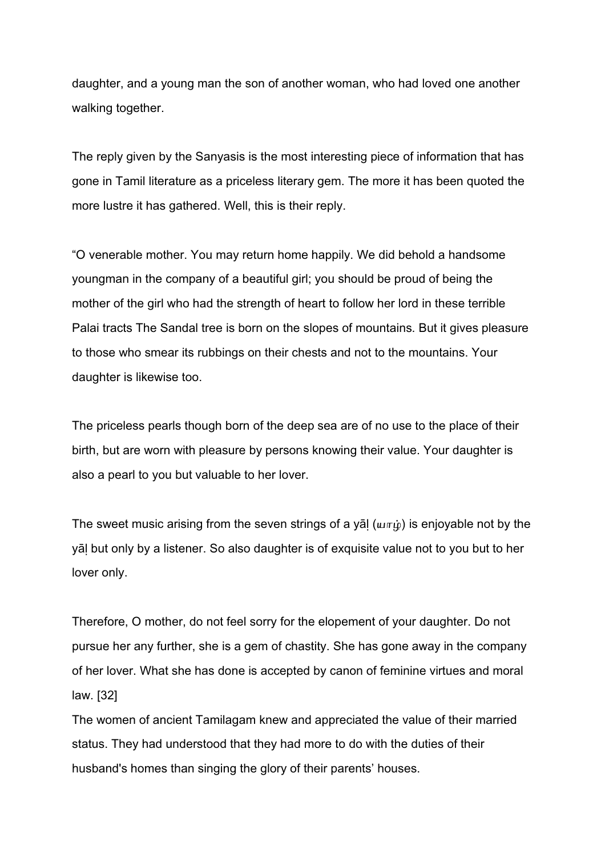daughter, and a young man the son of another woman, who had loved one another walking together.

The reply given by the Sanyasis is the most interesting piece of information that has gone in Tamil literature as a priceless literary gem. The more it has been quoted the more lustre it has gathered. Well, this is their reply.

"O venerable mother. You may return home happily. We did behold a handsome youngman in the company of a beautiful girl; you should be proud of being the mother of the girl who had the strength of heart to follow her lord in these terrible Palai tracts The Sandal tree is born on the slopes of mountains. But it gives pleasure to those who smear its rubbings on their chests and not to the mountains. Your daughter is likewise too.

The priceless pearls though born of the deep sea are of no use to the place of their birth, but are worn with pleasure by persons knowing their value. Your daughter is also a pearl to you but valuable to her lover.

The sweet music arising from the seven strings of a yal ( $\mu$  $\pi$  $\dot{\mu}$ ) is enjoyable not by the yāḷ but only by a listener. So also daughter is of exquisite value not to you but to her lover only.

Therefore, O mother, do not feel sorry for the elopement of your daughter. Do not pursue her any further, she is a gem of chastity. She has gone away in the company of her lover. What she has done is accepted by canon of feminine virtues and moral law. [32]

The women of ancient Tamilagam knew and appreciated the value of their married status. They had understood that they had more to do with the duties of their husband's homes than singing the glory of their parents' houses.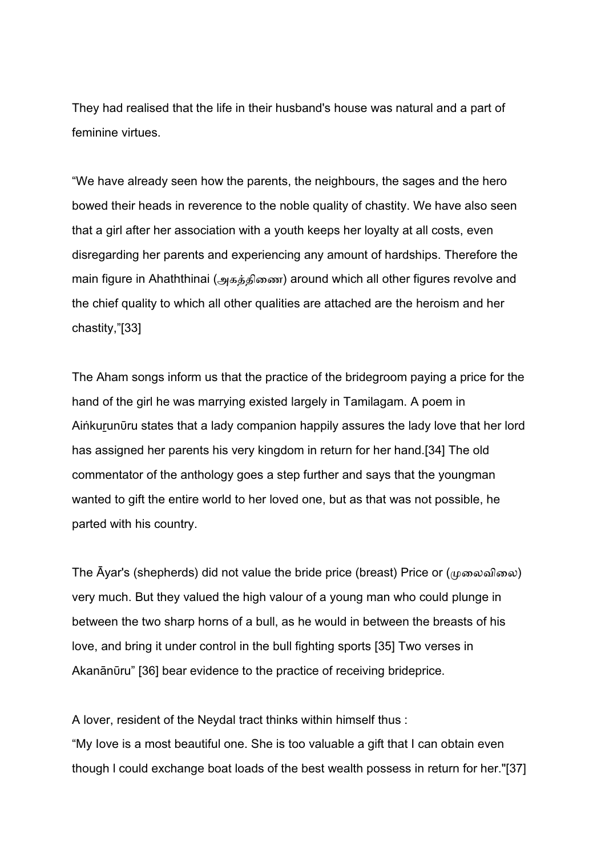They had realised that the life in their husband's house was natural and a part of feminine virtues.

"We have already seen how the parents, the neighbours, the sages and the hero bowed their heads in reverence to the noble quality of chastity. We have also seen that a girl after her association with a youth keeps her loyalty at all costs, even disregarding her parents and experiencing any amount of hardships. Therefore the main figure in Ahaththinai (அகத்திணை) around which all other figures revolve and the chief quality to which all other qualities are attached are the heroism and her chastity,"[33]

The Aham songs inform us that the practice of the bridegroom paying a price for the hand of the girl he was marrying existed largely in Tamilagam. A poem in Aiṅkuṟunῡru states that a lady companion happily assures the lady love that her lord has assigned her parents his very kingdom in return for her hand.[34] The old commentator of the anthology goes a step further and says that the youngman wanted to gift the entire world to her loved one, but as that was not possible, he parted with his country.

The  $\bar{A}$ yar's (shepherds) did not value the bride price (breast) Price or ( $\mu$ ைவிலை) very much. But they valued the high valour of a young man who could plunge in between the two sharp horns of a bull, as he would in between the breasts of his love, and bring it under control in the bull fighting sports [35] Two verses in Akanānūru" [36] bear evidence to the practice of receiving brideprice.

A lover, resident of the Neydal tract thinks within himself thus : "My Iove is a most beautiful one. She is too valuable a gift that I can obtain even though l could exchange boat loads of the best wealth possess in return for her."[37]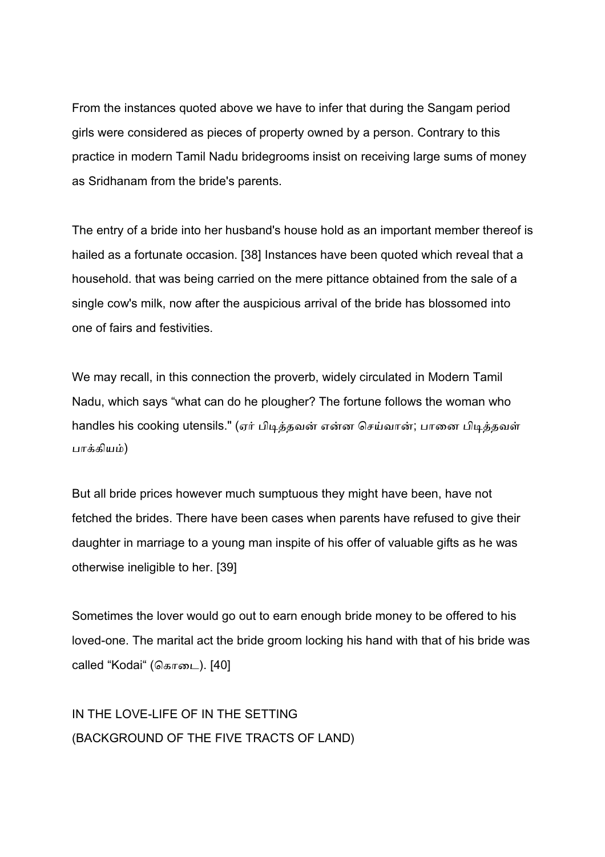From the instances quoted above we have to infer that during the Sangam period girls were considered as pieces of property owned by a person. Contrary to this practice in modern Tamil Nadu bridegrooms insist on receiving large sums of money as Sridhanam from the bride's parents.

The entry of a bride into her husband's house hold as an important member thereof is hailed as a fortunate occasion. [38] Instances have been quoted which reveal that a household. that was being carried on the mere pittance obtained from the sale of a single cow's milk, now after the auspicious arrival of the bride has blossomed into one of fairs and festivities.

We may recall, in this connection the proverb, widely circulated in Modern Tamil Nadu, which says "what can do he plougher? The fortune follows the woman who handles his cooking utensils." (ஏர் பிடித்தவன் என்ன செய்வான்; பானை பிடித்தவள் பாக்கியம்)

But all bride prices however much sumptuous they might have been, have not fetched the brides. There have been cases when parents have refused to give their daughter in marriage to a young man inspite of his offer of valuable gifts as he was otherwise ineligible to her. [39]

Sometimes the lover would go out to earn enough bride money to be offered to his loved-one. The marital act the bride groom locking his hand with that of his bride was called "Kodai" (கொடை). [40]

IN THE LOVE-LIFE OF IN THE SETTING (BACKGROUND OF THE FIVE TRACTS OF LAND)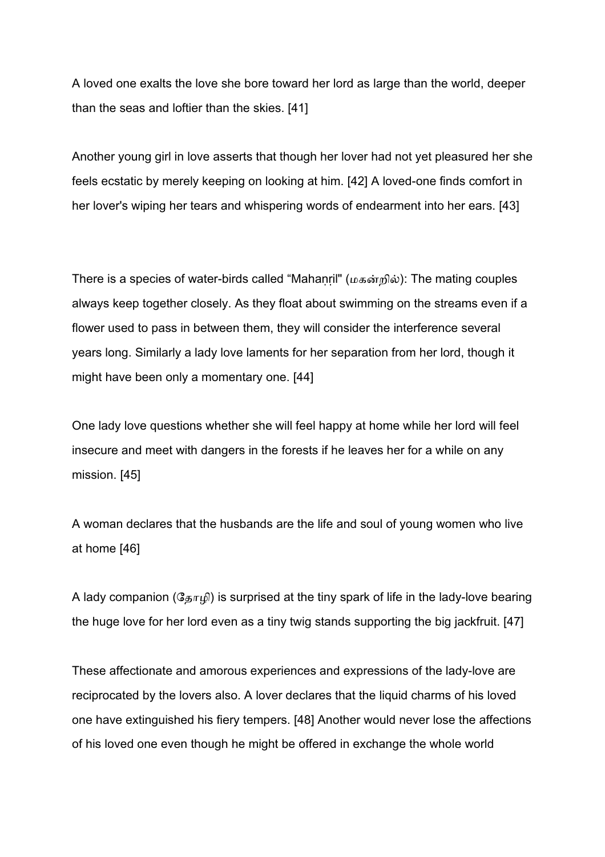A loved one exalts the love she bore toward her lord as large than the world, deeper than the seas and loftier than the skies. [41]

Another young girl in love asserts that though her lover had not yet pleasured her she feels ecstatic by merely keeping on looking at him. [42] A loved-one finds comfort in her lover's wiping her tears and whispering words of endearment into her ears. [43]

There is a species of water-birds called "Mahanril" ( $\mu$ கன்றில்): The mating couples always keep together closely. As they float about swimming on the streams even if a flower used to pass in between them, they will consider the interference several years long. Similarly a lady love laments for her separation from her lord, though it might have been only a momentary one. [44]

One lady love questions whether she will feel happy at home while her lord will feel insecure and meet with dangers in the forests if he leaves her for a while on any mission. [45]

A woman declares that the husbands are the life and soul of young women who live at home [46]

A lady companion ( $\Im F_{\mu}(\hat{\theta})$  is surprised at the tiny spark of life in the lady-love bearing the huge love for her lord even as a tiny twig stands supporting the big jackfruit. [47]

These affectionate and amorous experiences and expressions of the lady-love are reciprocated by the lovers also. A lover declares that the liquid charms of his loved one have extinguished his fiery tempers. [48] Another would never lose the affections of his loved one even though he might be offered in exchange the whole world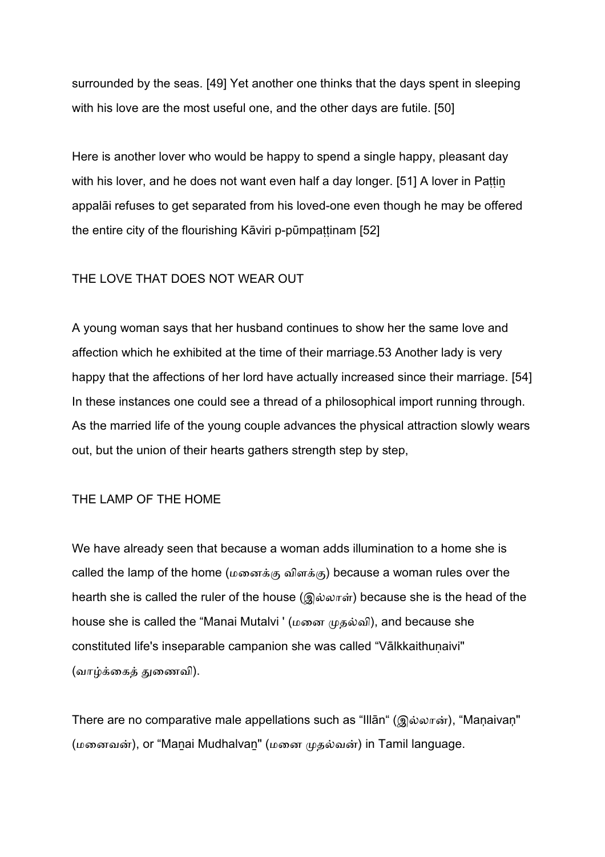surrounded by the seas. [49] Yet another one thinks that the days spent in sleeping with his love are the most useful one, and the other days are futile. [50]

Here is another lover who would be happy to spend a single happy, pleasant day with his lover, and he does not want even half a day longer. [51] A lover in Pattin appalāi refuses to get separated from his loved-one even though he may be offered the entire city of the flourishing Kāviri p-pūmpattinam [52]

## THE LOVE THAT DOES NOT WEAR OUT

A young woman says that her husband continues to show her the same love and affection which he exhibited at the time of their marriage.53 Another lady is very happy that the affections of her lord have actually increased since their marriage. [54] In these instances one could see a thread of a philosophical import running through. As the married life of the young couple advances the physical attraction slowly wears out, but the union of their hearts gathers strength step by step,

### ΤΗΕ LΑΜΡ ΟF ΤΗΕ ΗΟΜΕ

We have already seen that because a woman adds illumination to a home she is called the lamp of the home ( $\mu$ ைனக்கு விளக்கு) because a woman rules over the hearth she is called the ruler of the house  $(Q\hat{\omega}\omega\pi\hat{\omega})$  because she is the head of the house she is called the "Manai Mutalvi ' (மனை முதல்வி), and because she constituted life's inseparable campanion she was called "Vālkkaithunaivi" (வாழ்க்கைக் துணைவி).

There are no comparative male appellations such as "Illān" (இல்லான்), "Maņaivaņ" (மனைவன்), or "Manai Mudhalvan" (மனை முதல்வன்) in Tamil language.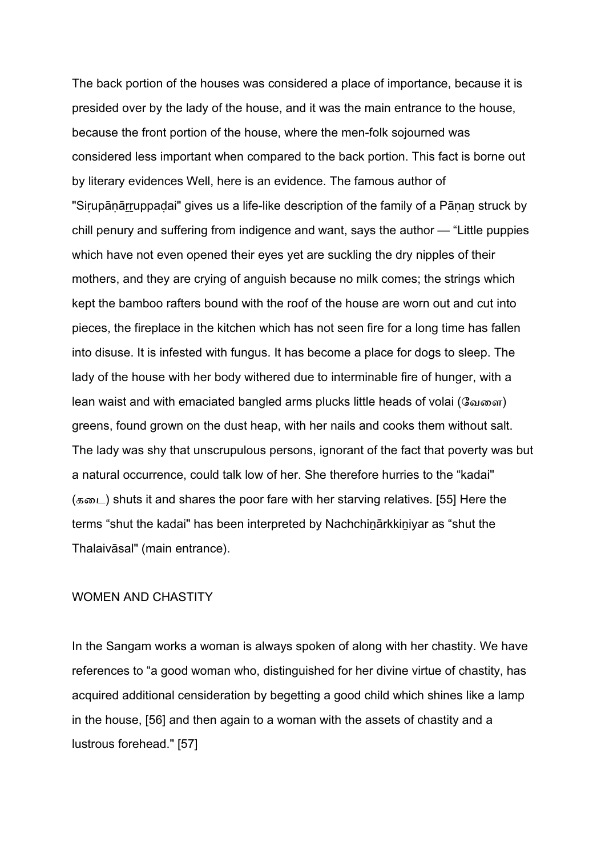The back portion of the houses was considered a place of importance, because it is presided over by the lady of the house, and it was the main entrance to the house, because the front portion of the house, where the men-folk sojourned was considered less important when compared to the back portion. This fact is borne out by literary evidences Well, here is an evidence. The famous author of "Sirupānārruppadai" gives us a life-like description of the family of a Pānan struck by chill penury and suffering from indigence and want, says the author — "Little puppies which have not even opened their eyes yet are suckling the dry nipples of their mothers, and they are crying of anguish because no milk comes; the strings which kept the bamboo rafters bound with the roof of the house are worn out and cut into pieces, the fireplace in the kitchen which has not seen fire for a long time has fallen into disuse. It is infested with fungus. It has become a place for dogs to sleep. The lady of the house with her body withered due to interminable fire of hunger, with a lean waist and with emaciated bangled arms plucks little heads of volai (ேவைள) greens, found grown on the dust heap, with her nails and cooks them without salt. The lady was shy that unscrupulous persons, ignorant of the fact that poverty was but a natural occurrence, could talk low of her. She therefore hurries to the "kadai"  $(55)$  shuts it and shares the poor fare with her starving relatives. [55] Here the terms "shut the kadai" has been interpreted by Nachchinārkkiniyar as "shut the Thalaivāsal" (main entrance).

#### WΟΜΕΝ ΑND CΗΑSΤΙΤΥ

In the Sangam works a woman is always spoken of along with her chastity. We have references to "a good woman who, distinguished for her divine virtue of chastity, has acquired additional censideration by begetting a good child which shines like a lamp in the house, [56] and then again to a woman with the assets of chastity and a lustrous forehead." [57]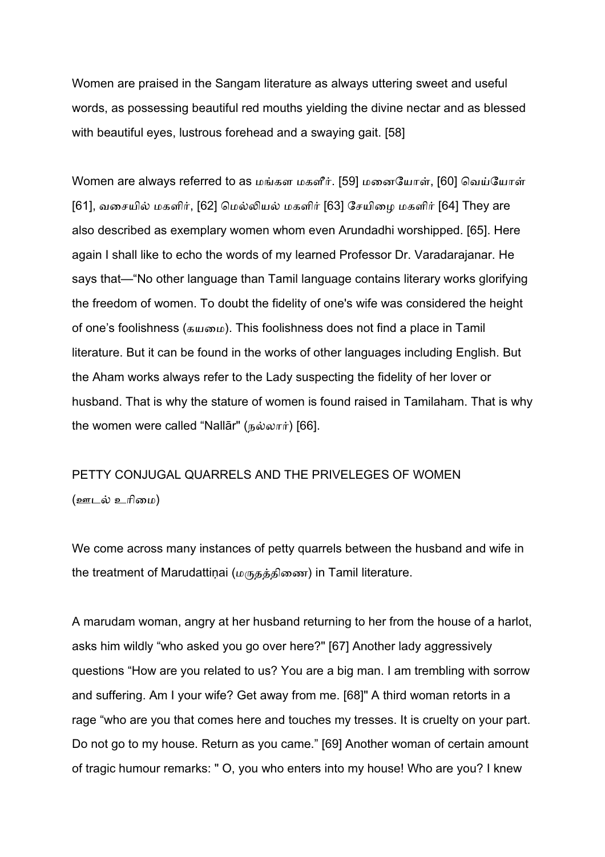Women are praised in the Sangam literature as always uttering sweet and useful words, as possessing beautiful red mouths yielding the divine nectar and as blessed with beautiful eyes, lustrous forehead and a swaying gait. [58]

Women are always referred to as மங்கள மகளீர். [59] மனையோள், [60] வெய்யோள்  $[61]$ , வசையில் மகளிர்,  $[62]$  மெல்லியல் மகளிர்  $[63]$  சேயிழை மகளிர்  $[64]$  They are also described as exemplary women whom even Arundadhi worshipped. [65]. Here again I shall like to echo the words of my learned Professor Dr. Varadarajanar. He says that—"No other language than Tamil language contains literary works glorifying the freedom of women. To doubt the fidelity of one's wife was considered the height of one's foolishness (கயமை). This foolishness does not find a place in Tamil literature. But it can be found in the works of other languages including English. But the Aham works always refer to the Lady suspecting the fidelity of her lover or husband. That is why the stature of women is found raised in Tamilaham. That is why the women were called "Nallar" (நல்லார்) [66].

# PETTY CONJUGAL QUARRELS AND THE PRIVELEGES OF WOMEN (ஊடல் உரிமை)

We come across many instances of petty quarrels between the husband and wife in the treatment of Marudattiņai (மருதத்திணை) in Tamil literature.

A marudam woman, angry at her husband returning to her from the house of a harlot, asks him wildly "who asked you go over here?" [67] Another lady aggressively questions "How are you related to us? You are a big man. I am trembling with sorrow and suffering. Am I your wife? Get away from me. [68]" A third woman retorts in a rage "who are you that comes here and touches my tresses. It is cruelty on your part. Do not go to my house. Return as you came." [69] Another woman of certain amount of tragic humour remarks: " O, you who enters into my house! Who are you? I knew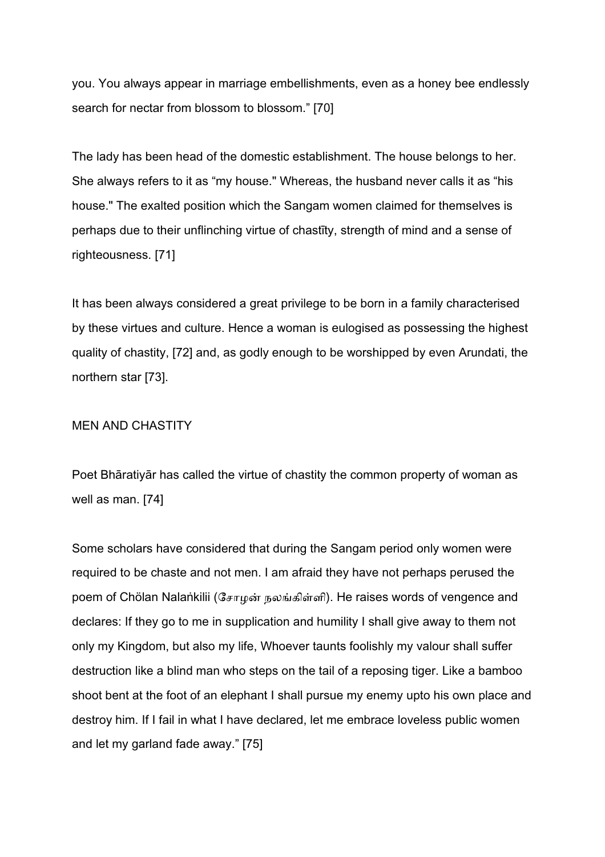you. You always appear in marriage embellishments, even as a honey bee endlessly search for nectar from blossom to blossom." [70]

The lady has been head of the domestic establishment. The house belongs to her. She always refers to it as "my house." Whereas, the husband never calls it as "his house." The exalted position which the Sangam women claimed for themselves is perhaps due to their unflinching virtue of chastīty, strength of mind and a sense of righteousness. [71]

It has been always considered a great privilege to be born in a family characterised by these virtues and culture. Hence a woman is eulogised as possessing the highest quality of chastity, [72] and, as godly enough to be worshipped by even Arundati, the northern star [73].

### ΜΕΝ ΑΝD CΗΑSΤΙΤΥ

Poet Bhāratiyār has called the virtue of chastity the common property of woman as well as man. [74]

Some scholars have considered that during the Sangam period only women were required to be chaste and not men. I am afraid they have not perhaps perused the poem of Chölan Nalaṅkilii (சோழன் நலங்கிள்ளி). He raises words of vengence and declares: If they go to me in supplication and humility I shall give away to them not only my Kingdom, but also my life, Whoever taunts foolishly my valour shall suffer destruction like a blind man who steps on the tail of a reposing tiger. Like a bamboo shoot bent at the foot of an elephant I shall pursue my enemy upto his own place and destroy him. If I fail in what I have declared, let me embrace loveless public women and let my garland fade away." [75]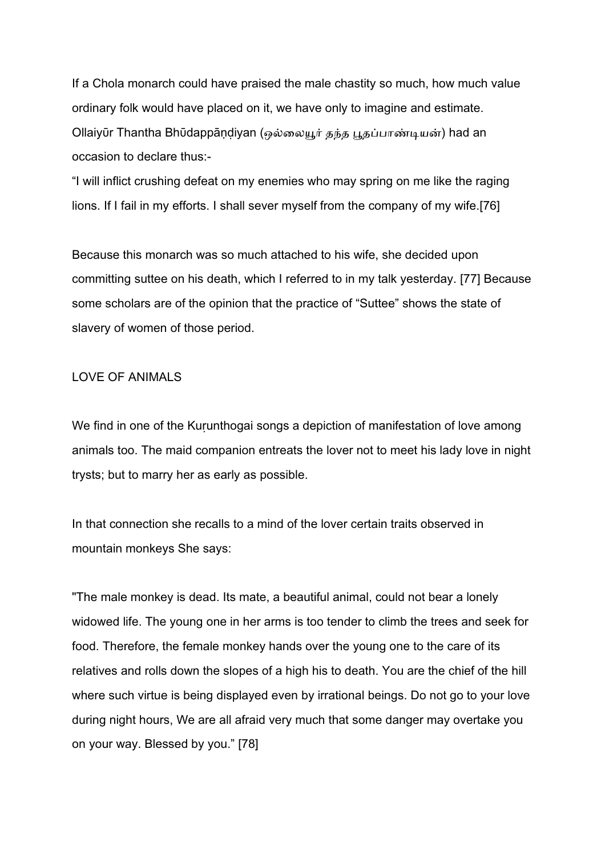If a Chola monarch could have praised the male chastity so much, how much value ordinary folk would have placed on it, we have only to imagine and estimate. Ollaiyūr Thantha Bhūdappāṇdiyan (ஒல்லையூர் தந்த பூதப்பாண்டியன்) had an occasion to declare thus:-

"I will inflict crushing defeat on my enemies who may spring on me like the raging lions. If I fail in my efforts. I shall sever myself from the company of my wife.[76]

Because this monarch was so much attached to his wife, she decided upon committing suttee on his death, which I referred to in my talk yesterday. [77] Because some scholars are of the opinion that the practice of "Suttee" shows the state of slavery of women of those period.

## LOVE OF ANIMALS

We find in one of the Kurunthogai songs a depiction of manifestation of love among animals too. The maid companion entreats the lover not to meet his lady love in night trysts; but to marry her as early as possible.

In that connection she recalls to a mind of the lover certain traits observed in mountain monkeys She says:

"The male monkey is dead. Its mate, a beautiful animal, could not bear a lonely widowed life. The young one in her arms is too tender to climb the trees and seek for food. Therefore, the female monkey hands over the young one to the care of its relatives and rolls down the slopes of a high his to death. You are the chief of the hill where such virtue is being displayed even by irrational beings. Do not go to your love during night hours, We are all afraid very much that some danger may overtake you on your way. Blessed by you." [78]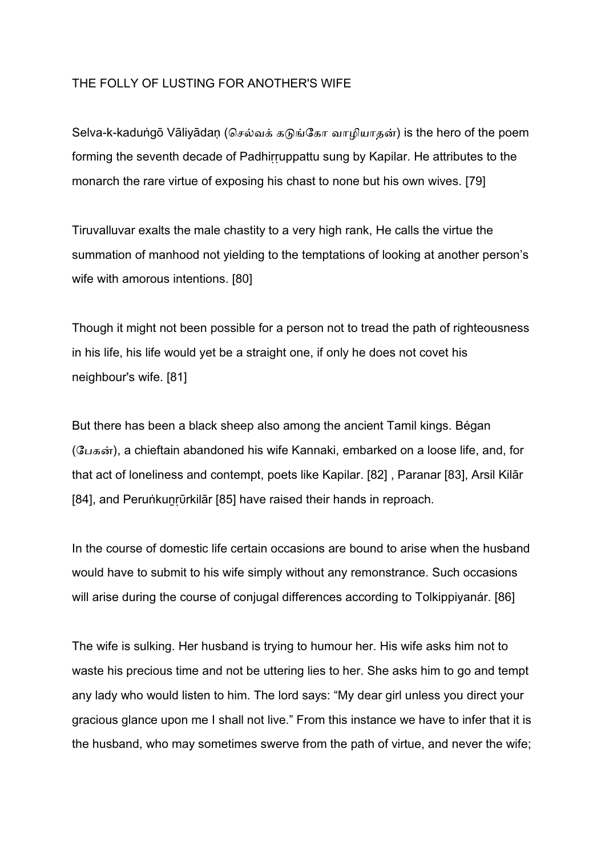## ΤΗΕ FΟLLΥ ΟF LUSΤΙΝG FΟR ΑΝΟΤΗΕR'S WΙFΕ

Selva-k-kaduṅgō Vāliyādaṇ (செல்வக் கடுங்கோ வாழியாதன்) is the hero of the poem forming the seventh decade of Padhirruppattu sung by Kapilar. He attributes to the monarch the rare virtue of exposing his chast to none but his own wives. [79]

Tiruvalluvar exalts the male chastity to a very high rank, He calls the virtue the summation of manhood not yielding to the temptations of looking at another person's wife with amorous intentions. [80]

Though it might not been possible for a person not to tread the path of righteousness in his life, his life would yet be a straight one, if only he does not covet his neighbour's wife. [81]

But there has been a black sheep also among the ancient Tamil kings. Bégan (பேகன்), a chieftain abandoned his wife Kannaki, embarked on a loose life, and, for that act of loneliness and contempt, poets like Kapilar. [82] , Paranar [83], Arsil Kilār [84], and Perunkunrūrkilār [85] have raised their hands in reproach.

In the course of domestic life certain occasions are bound to arise when the husband would have to submit to his wife simply without any remonstrance. Such occasions will arise during the course of conjugal differences according to Tolkippiyanár. [86]

The wife is sulking. Her husband is trying to humour her. His wife asks him not to waste his precious time and not be uttering lies to her. She asks him to go and tempt any lady who would listen to him. The lord says: "My dear girl unless you direct your gracious glance upon me I shall not live." From this instance we have to infer that it is the husband, who may sometimes swerve from the path of virtue, and never the wife;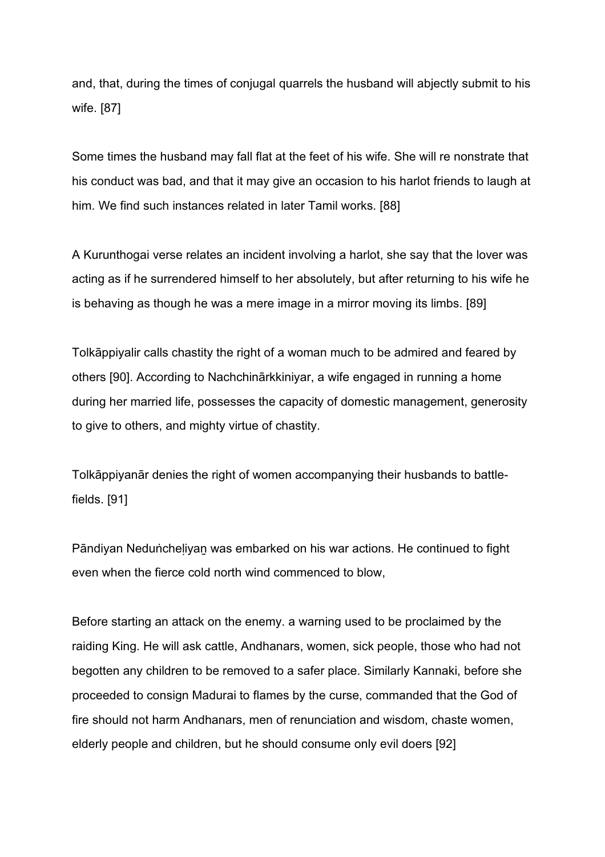and, that, during the times of conjugal quarrels the husband will abjectly submit to his wife. [87]

Some times the husband may fall flat at the feet of his wife. She will re nonstrate that his conduct was bad, and that it may give an occasion to his harlot friends to laugh at him. We find such instances related in later Tamil works. [88]

A Kurunthogai verse relates an incident involving a harlot, she say that the lover was acting as if he surrendered himself to her absolutely, but after returning to his wife he is behaving as though he was a mere image in a mirror moving its limbs. [89]

Tolkāppiyalir calls chastity the right of a woman much to be admired and feared by others [90]. According to Nachchinārkkiniyar, a wife engaged in running a home during her married life, possesses the capacity of domestic management, generosity to give to others, and mighty virtue of chastity.

Tolkāppiyanār denies the right of women accompanying their husbands to battlefields. [91]

Pāndiyan Neduṅcheḷiyaṉ was embarked on his war actions. He continued to fight even when the fierce cold north wind commenced to blow,

Before starting an attack on the enemy. a warning used to be proclaimed by the raiding King. He will ask cattle, Andhanars, women, sick people, those who had not begotten any children to be removed to a safer place. Similarly Kannaki, before she proceeded to consign Madurai to flames by the curse, commanded that the God of fire should not harm Andhanars, men of renunciation and wisdom, chaste women, elderly people and children, but he should consume only evil doers [92]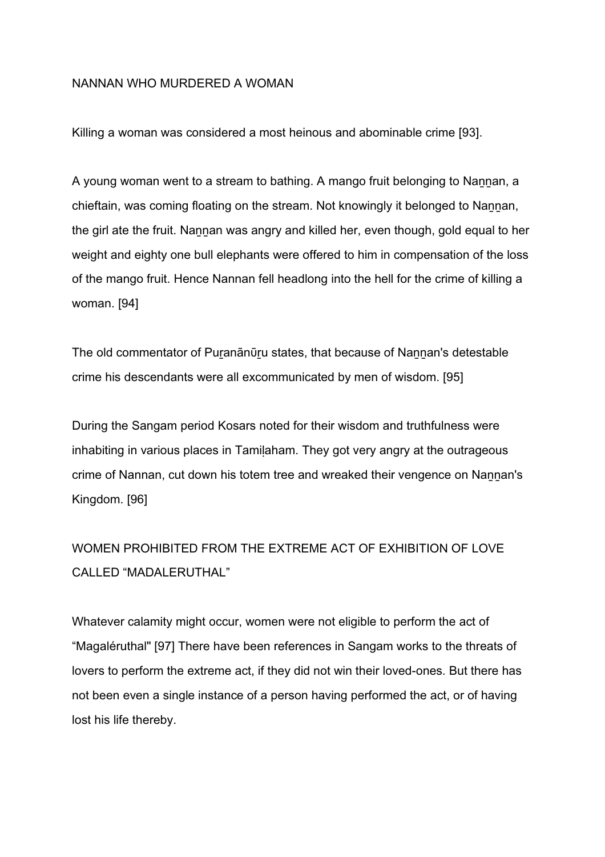### NANNAN WHO MURDERED A WOMAN

Killing a woman was considered a most heinous and abominable crime [93].

A young woman went to a stream to bathing. A mango fruit belonging to Nannan, a chieftain, was coming floating on the stream. Not knowingly it belonged to Nannan, the girl ate the fruit. Nannan was angry and killed her, even though, gold equal to her weight and eighty one bull elephants were offered to him in compensation of the loss of the mango fruit. Hence Nannan fell headlong into the hell for the crime of killing a woman. [94]

The old commentator of Puranānūru states, that because of Nannan's detestable crime his descendants were all excommunicated by men of wisdom. [95]

During the Sangam period Kosars noted for their wisdom and truthfulness were inhabiting in various places in Tamilaham. They got very angry at the outrageous crime of Nannan, cut down his totem tree and wreaked their vengence on Nannan's Kingdom. [96]

# WOMEN PROHIBITED FROM THE EXTREME ACT OF EXHIBITION OF LOVE CALLED "MADALERUTHAL"

Whatever calamity might occur, women were not eligible to perform the act of "Magaléruthal" [97] There have been references in Sangam works to the threats of lovers to perform the extreme act, if they did not win their loved-ones. But there has not been even a single instance of a person having performed the act, or of having lost his life thereby.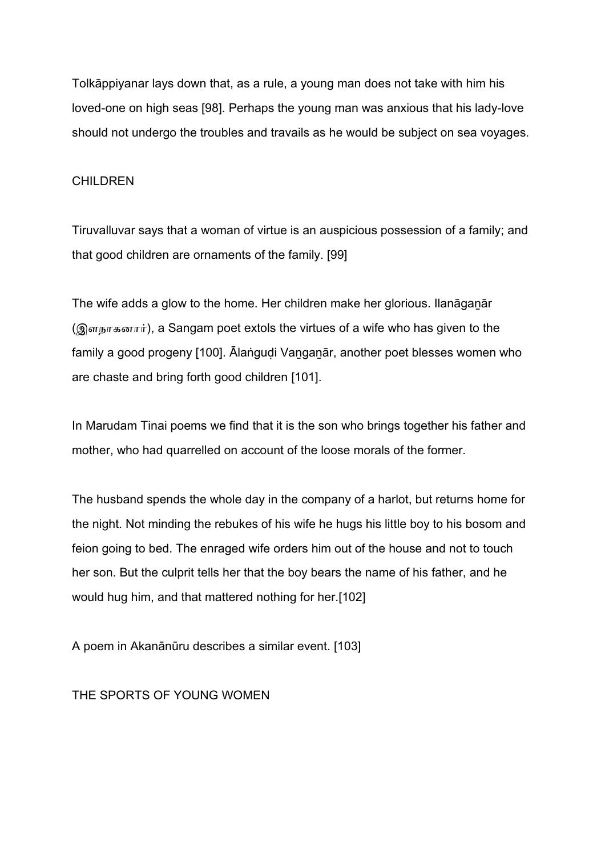Tolkāppiyanar lays down that, as a rule, a young man does not take with him his loved-one on high seas [98]. Perhaps the young man was anxious that his lady-love should not undergo the troubles and travails as he would be subject on sea voyages.

## CHILDREN

Tiruvalluvar says that a woman of virtue is an auspicious possession of a family; and that good children are ornaments of the family. [99]

The wife adds a glow to the home. Her children make her glorious. Ilanāganār (இளநாகனார்), a Sangam poet extols the virtues of a wife who has given to the family a good progeny [100]. Ālaṅgudi Vanganār, another poet blesses women who are chaste and bring forth good children [101].

In Marudam Tinai poems we find that it is the son who brings together his father and mother, who had quarrelled on account of the loose morals of the former.

The husband spends the whole day in the company of a harlot, but returns home for the night. Not minding the rebukes of his wife he hugs his little boy to his bosom and feion going to bed. The enraged wife orders him out of the house and not to touch her son. But the culprit tells her that the boy bears the name of his father, and he would hug him, and that mattered nothing for her.[102]

A poem in Akanānūru describes a similar event. [103]

THE SPORTS OF YOUNG WOMEN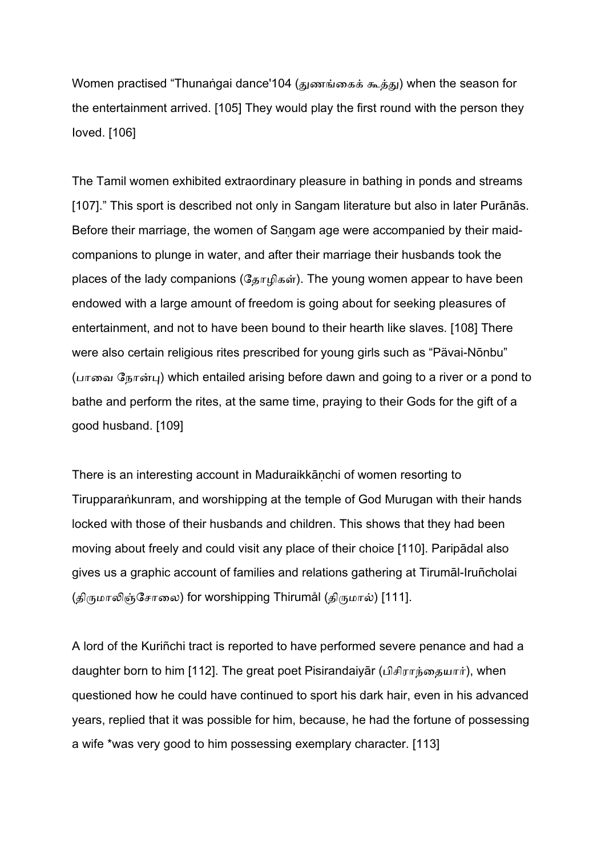Women practised "Thunaṅgai dance'104 (துணங்கைக் கூத்து) when the season for the entertainment arrived. [105] They would play the first round with the person they Ioved. [106]

The Tamil women exhibited extraordinary pleasure in bathing in ponds and streams [107]." This sport is described not only in Sangam literature but also in later Purānās. Before their marriage, the women of Saṇgam age were accompanied by their maidcompanions to plunge in water, and after their marriage their husbands took the places of the lady companions ( $\mathcal{G}_{\pi\Gamma}$  $\mathcal{G}_{\pi\Gamma}$  $\mathcal{G}_{\pi\Gamma}$ ). The young women appear to have been endowed with a large amount of freedom is going about for seeking pleasures of entertainment, and not to have been bound to their hearth like slaves. [108] There were also certain religious rites prescribed for young girls such as "Pävai-Nōnbu" (பாவை நோன்பு) which entailed arising before dawn and going to a river or a pond to bathe and perform the rites, at the same time, praying to their Gods for the gift of a good husband. [109]

There is an interesting account in Maduraikkāṇchi of women resorting to Tirupparaṅkunram, and worshipping at the temple of God Murugan with their hands locked with those of their husbands and children. This shows that they had been moving about freely and could visit any place of their choice [110]. Paripādal also gives us a graphic account of families and relations gathering at Tirumāl-Iruñcholai (திருமாலிஞ்சோலை) for worshipping Thirumål (திருமால்) [111].

A lord of the Kuriñchi tract is reported to have performed severe penance and had a daughter born to him [112]. The great poet Pisirandaiyar (பிசிராந்தையார்), when questioned how he could have continued to sport his dark hair, even in his advanced years, replied that it was possible for him, because, he had the fortune of possessing a wife \*was very good to him possessing exemplary character. [113]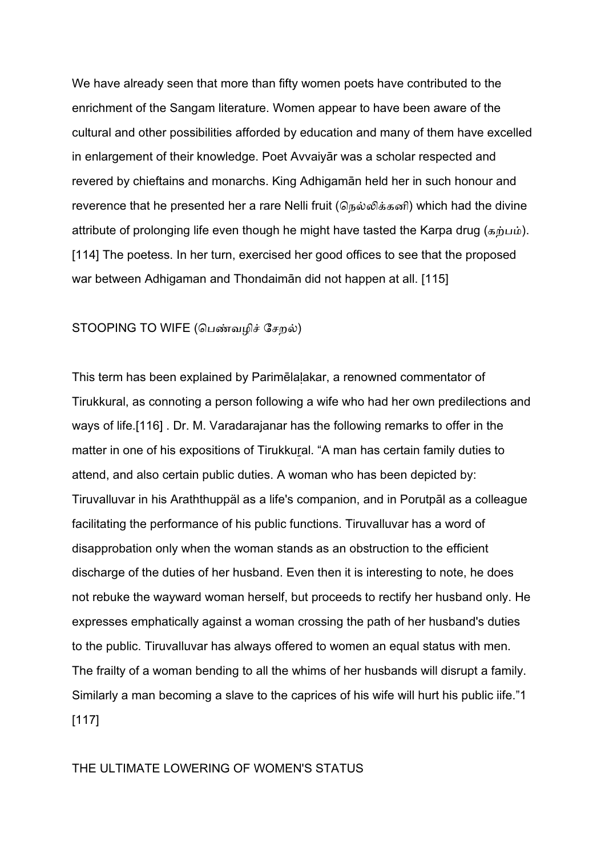We have already seen that more than fifty women poets have contributed to the enrichment of the Sangam literature. Women appear to have been aware of the cultural and other possibilities afforded by education and many of them have excelled in enlargement of their knowledge. Poet Avvaiyār was a scholar respected and revered by chieftains and monarchs. King Adhigamān held her in such honour and reverence that he presented her a rare Nelli fruit (நெல்லிக்கனி) which had the divine attribute of prolonging life even though he might have tasted the Karpa drug (கற்பம்). [114] The poetess. In her turn, exercised her good offices to see that the proposed war between Adhigaman and Thondaimān did not happen at all. [115]

### STOOPING TO WIFE (பெண்வழிச் சேறல்)

This term has been explained by Parimēlaḷakar, a renowned commentator of Tirukkural, as connoting a person following a wife who had her own predilections and ways of life.[116] . Dr. M. Varadarajanar has the following remarks to offer in the matter in one of his expositions of Tirukkural. "A man has certain family duties to attend, and also certain public duties. A woman who has been depicted by: Tiruvalluvar in his Araththuppäl as a life's companion, and in Porutpāl as a colleague facilitating the performance of his public functions. Tiruvalluvar has a word of disapprobation only when the woman stands as an obstruction to the efficient discharge of the duties of her husband. Even then it is interesting to note, he does not rebuke the wayward woman herself, but proceeds to rectify her husband only. He expresses emphatically against a woman crossing the path of her husband's duties to the public. Tiruvalluvar has always offered to women an equal status with men. The frailty of a woman bending to all the whims of her husbands will disrupt a family. Similarly a man becoming a slave to the caprices of his wife will hurt his public iife."1 [117]

### THE ULTIMATE LOWERING OF WOMEN'S STATUS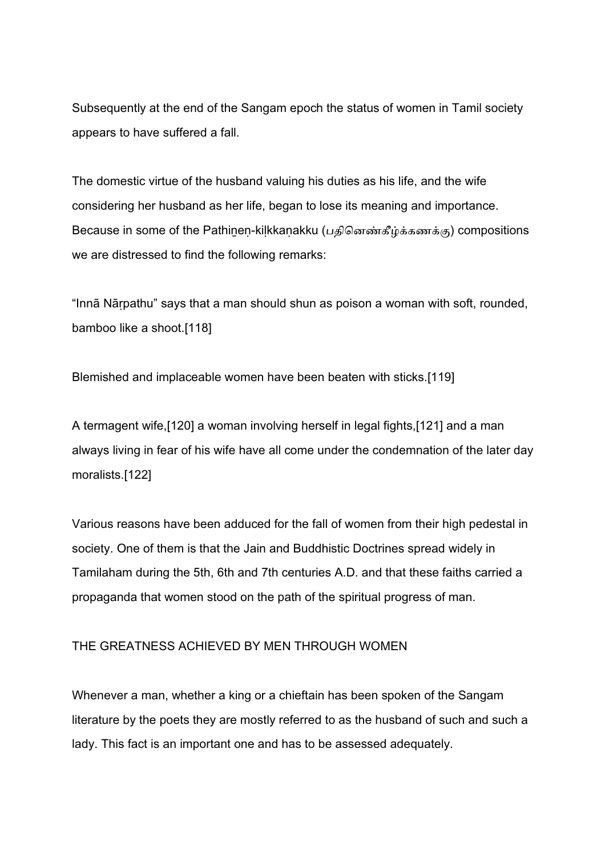Subsequently at the end of the Sangam epoch the status of women in Tamil society appears to have suffered a fall.

The domestic virtue of the husband valuing his duties as his life, and the wife considering her husband as her life, began to lose its meaning and importance. Because in some of the Pathinen-kilkkanakku (பதினெண்கீழ்க்கணக்கு) compositions we are distressed to find the following remarks:

"Innā Nāṛpathu" says that a man should shun as poison a woman with soft, rounded, bamboo like a shoot.[118]

Blemished and implaceable women have been beaten with sticks.[119]

A termagent wife,[120] a woman involving herself in legal fights,[121] and a man always living in fear of his wife have all come under the condemnation of the later day moralists.[122]

Various reasons have been adduced for the fall of women from their high pedestal in society. One of them is that the Jain and Buddhistic Doctrines spread widely in Tamilaham during the 5th, 6th and 7th centuries A.D. and that these faiths carried a propaganda that women stood on the path of the spiritual progress of man.

# THE GREATNESS ACHIEVED BY MEN THROUGH WOMEN

Whenever a man, whether a king or a chieftain has been spoken of the Sangam literature by the poets they are mostly referred to as the husband of such and such a lady. This fact is an important one and has to be assessed adequately.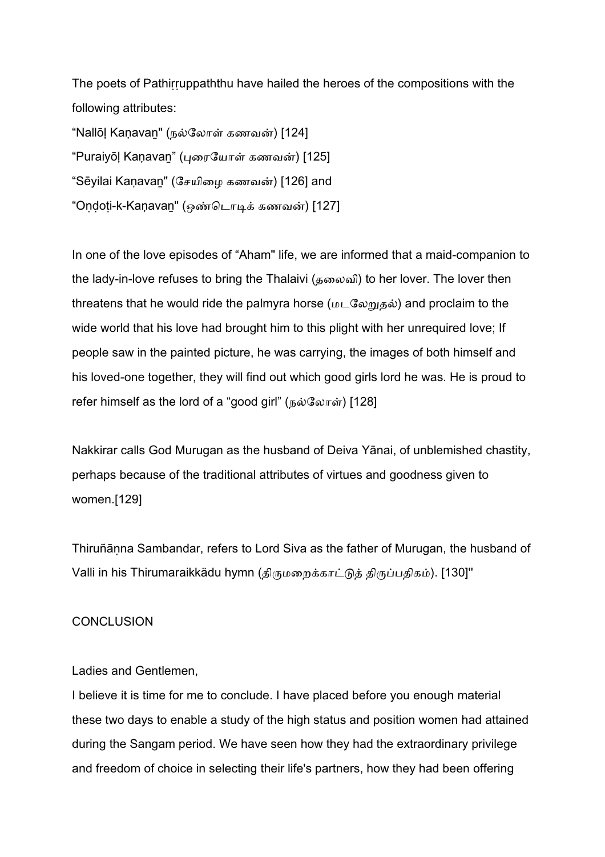The poets of Pathirruppaththu have hailed the heroes of the compositions with the following attributes:

"Nallōļ Kaṇavan" (நல்லோள் கணவன்) [124] "Puraiyōļ Kaṇavan" (புரையோள் கணவன்) [125] "Sēyilai Kaṇavan" (சேயிழை கணவன்) [126] and "Ondoti-k-Kaṇavan" (ஒண்டொடிக் கணவன்) [127]

In one of the love episodes of "Aham" life, we are informed that a maid-companion to the lady-in-love refuses to bring the Thalaivi (தைலவி) to her lover. The lover then threatens that he would ride the palmyra horse (மடலேறுதல்) and proclaim to the wide world that his love had brought him to this plight with her unrequired love; If people saw in the painted picture, he was carrying, the images of both himself and his loved-one together, they will find out which good girls lord he was. He is proud to refer himself as the lord of a "good girl" (நல்லோள்) [128]

Nakkirar calls God Murugan as the husband of Deiva Yānai, of unblemished chastity, perhaps because of the traditional attributes of virtues and goodness given to women.[129]

Thiruñāṇna Sambandar, refers to Lord Siva as the father of Murugan, the husband of Valli in his Thirumaraikkädu hymn (திருமறைக்காட்டுத் திருப்பதிகம்). [130]''

## **CONCLUSION**

### Ladies and Gentlemen,

I believe it is time for me to conclude. I have placed before you enough material these two days to enable a study of the high status and position women had attained during the Sangam period. We have seen how they had the extraordinary privilege and freedom of choice in selecting their life's partners, how they had been offering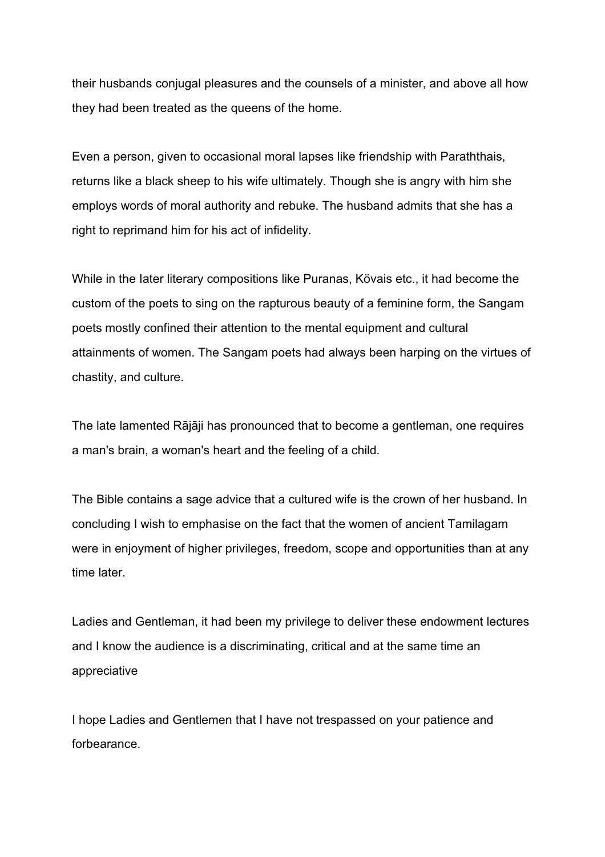their husbands conjugal pleasures and the counsels of a minister, and above all how they had been treated as the queens of the home.

Even a person, given to occasional moral lapses like friendship with Paraththais, returns like a black sheep to his wife ultimately. Though she is angry with him she employs words of moral authority and rebuke. The husband admits that she has a right to reprimand him for his act of infidelity.

While in the Iater literary compositions like Puranas, Kövais etc., it had become the custom of the poets to sing on the rapturous beauty of a feminine form, the Sangam poets mostly confined their attention to the mental equipment and cultural attainments of women. The Sangam poets had always been harping on the virtues of chastity, and culture.

The late lamented Rājāji has pronounced that to become a gentleman, one requires a man's brain, a woman's heart and the feeling of a child.

The Bible contains a sage advice that a cultured wife is the crown of her husband. In concluding I wish to emphasise on the fact that the women of ancient Tamilagam were in enjoyment of higher privileges, freedom, scope and opportunities than at any time later.

Ladies and Gentleman, it had been my privilege to deliver these endowment lectures and I know the audience is a discriminating, critical and at the same time an appreciative

I hope Ladies and Gentlemen that I have not trespassed on your patience and forbearance.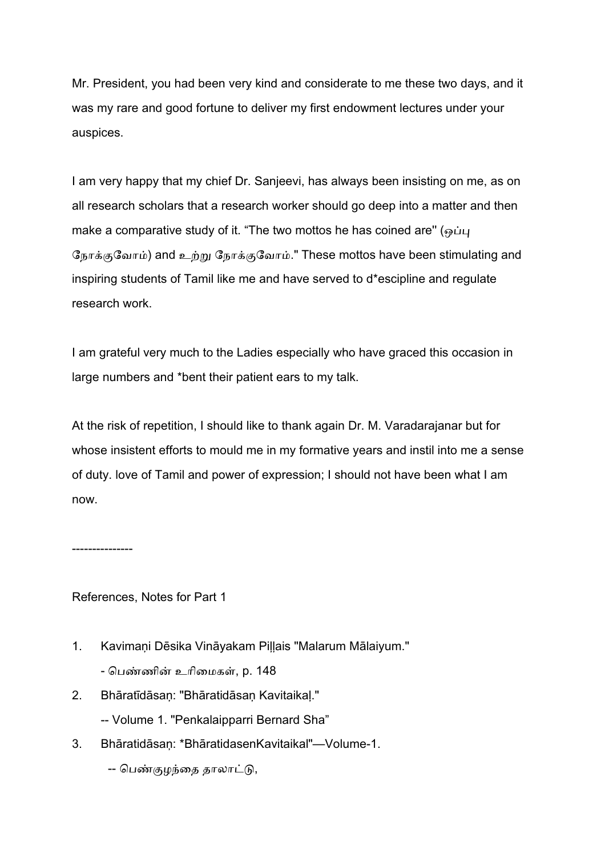Mr. President, you had been very kind and considerate to me these two days, and it was my rare and good fortune to deliver my first endowment lectures under your auspices.

I am very happy that my chief Dr. Sanjeevi, has always been insisting on me, as on all research scholars that a research worker should go deep into a matter and then make a comparative study of it. "The two mottos he has coined are"  $\omega_{\text{H}}$ நோக்குவோம்) and உற்று நோக்குவோம்." These mottos have been stimulating and inspiring students of Tamil like me and have served to d\*escipline and regulate research work.

I am grateful very much to the Ladies especially who have graced this occasion in large numbers and \*bent their patient ears to my talk.

At the risk of repetition, I should like to thank again Dr. M. Varadarajanar but for whose insistent efforts to mould me in my formative years and instil into me a sense of duty. love of Tamil and power of expression; I should not have been what I am now.

---------------

References, Notes for Part 1

- 1. Kavimaņi Dēsika Vināyakam Piļļais "Malarum Mālaiyum." - பெண்ணின் உரிமைகள், p. 148
- 2. Bhāratīdāsaņ: "Bhāratidāsaņ Kavitaikaļ." -- Volume 1. "Penkalaipparri Bernard Sha"
- 3. Bhāratidāsaņ: \*BhāratidasenKavitaikal"—Volume-1.

-- பெண்குழந்தை தாலாட்டு,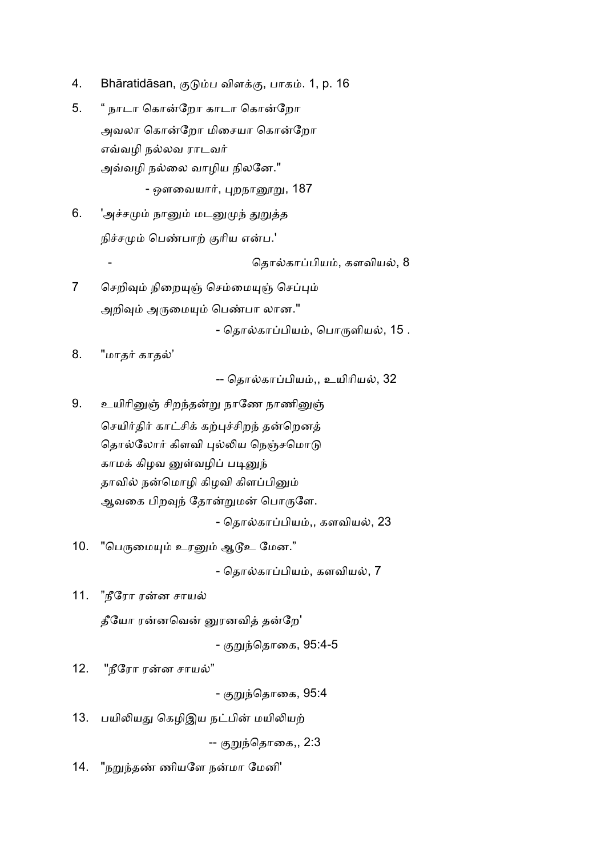- 4. Bhāratidāsan, குடும்ப விளக்கு, பாகம். 1, p. 16
- 5. " நாடா கொன்றோ காடா கொன்றோ அவலா கொன்றோ மிசையா கொன்றோ எவ்வழி நல்லவ ராடவர் அவ்வழி நல்லை வாழிய நிலனே." - ஔவையார், புறநானூறு, 187
- 6. 'அச்சமும் நானும் மடனுமுந் துறுத்த நிச்சமும் பெண்பாற் குரிய என்ப.'

தொல்காப்பியம், களவியல், 8

7 செறிவும் நிறையுஞ் செம்மையுஞ் செப்பும் அறிவும் அருமையும் பெண்பா லான."

- தொல்காப்பியம், பொருளியல், 15 .

8. "மாதர் காதல்'

-- தொல்காப்பியம்,, உயிரியல், 32

9. உயிரினுஞ் சிறந்தன்று நாணே நாணினுஞ் செயிர்திர் காட்சிக் கற்புச்சிறந் தன்றெனத் தொல்லோர் கிளவி புல்லிய நெஞ்சமொடு காமக் கிழவ னுள்வழிப் படினுந் தாவில் நன்மொழி கிழவி கிளப்பினும் ஆவகை பிறவுந் தோன்றுமன் பொருளே.

- தொல்காப்பியம்,, களவியல், 23

10. "பெருமையும் உரனும் ஆடூஉ மேன."

- தொல்காப்பியம், களவியல், 7

11. "நீரோ ரன்ன சாயல்

தீயோ ரன்னவென் னுரனவித் தன்றே'

- குறுந்தொகை, 95:4-5

12. "நீரோ ரன்ன சாயல்"

- குறுந்தொகை, 95:4

13. பயிலியது கெழிஇய நட்பின் மயிலியற்

-- குறுந்தொகை,, 2:3

14. "நறுந்தண் ணியளே நன்மா மேனி'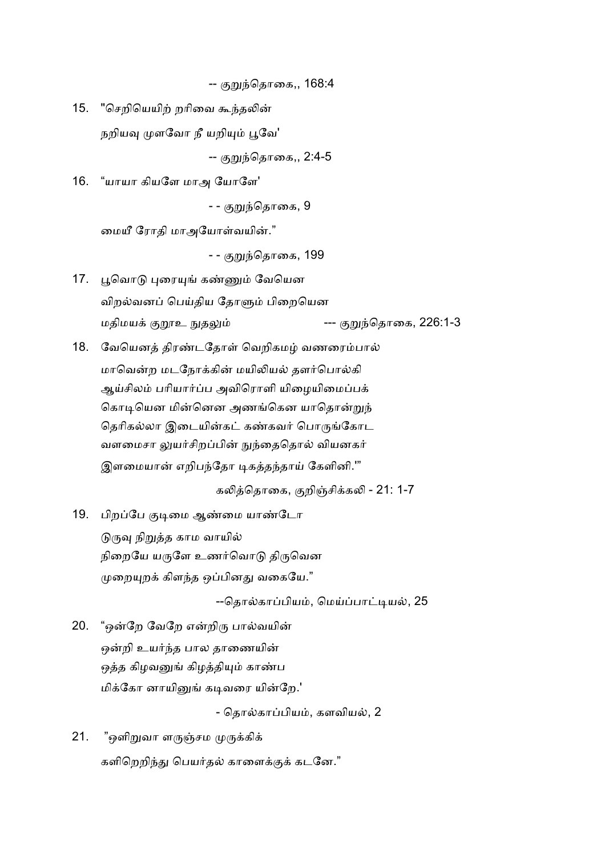-- குறுந்தொகை,, 168:4

15. "செறியெயிற் றரிவை கூந்தலின் நறியவு முளவோ நீ யறியும் பூவே'

-- குறுந்தொகை,, 2:4-5

16. "யாயா கியளே மாஅ யோளே'

- - குறுந்தொகை, 9

மையீ ரோதி மாஅயோள்வயின்."

- - குறுந்தொகை, 199

- 17. பூவொடு புரையுங் கண்ணும் வேயென விறல்வனப் பெய்திய தோளும் பிறையென மதிமய
/Gஉ HதI --- /<(ெதாைக, 226:1-3
- 18. வேயெனத் திரண்டதோள் வெறிகமழ் வணரைம்பால் மாவென்ற மடநோக்கின் மயிலியல் தளர்பொல்கி ஆய்சிலம் பரியார்ப்ப அவிரொளி யிழையிமைப்பக் கொடியென மின்னென அணங்கென யாதொன்றுந் தெரிகல்லா இடையின்கட் கண்கவர் பொருங்கோட வளமைசா லுயர்சிறப்பின் நுந்தைதொல் வியனகர் இளமையான் எறிபந்தோ டிகத்தந்தாய் கேளினி.'"

கலித்தொகை, குறிஞ்சிக்கலி - 21: 1-7

19. பிறப்பே குடிமை ஆண்மை யாண்டோ

டுருவு நிறுத்த காம வாயில் நிறையே யருளே உணர்வொடு திருவென முறையுறக் கிளந்த ஒப்பினது வகையே."

--தொல்காப்பியம், மெய்ப்பாட்டியல், 25

20. "ஒன்றே வேறே என்றிரு பால்வயின் ஒன்றி உயர்ந்த பால தாணையின் ஒத்த கிழவனுங் கிழத்தியும் காண்ப மிக்கோ னாயினுங் கடிவரை யின்றே.'

- தொல்காப்பியம், களவியல், 2

21. "ஒளிறுவா ளருஞ்சம முருக்கிக் களிறெறிந்து பெயர்தல் காளைக்குக் கடனே."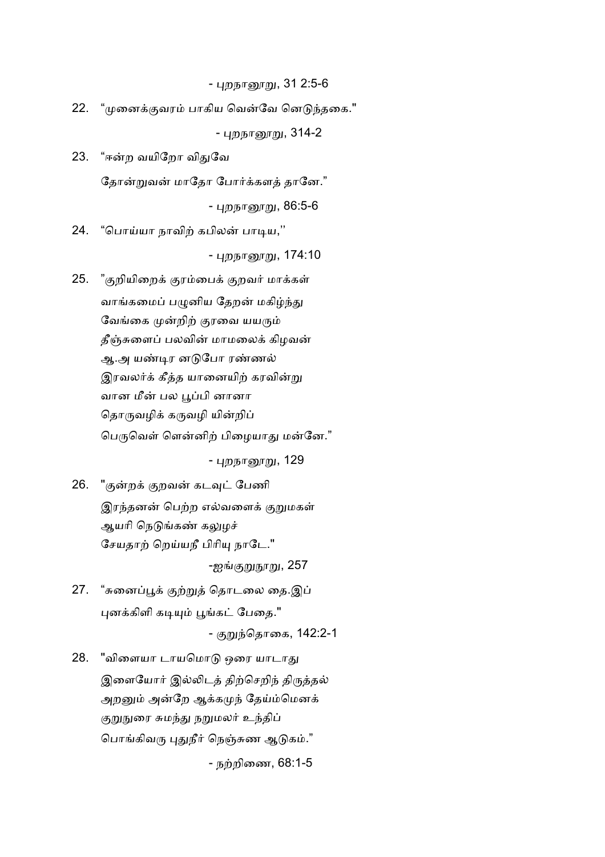- புறநானூறு, 31 2:5-6

22. "முனைக்குவரம் பாகிய வென்வே னெடுந்தகை."

- புறநானூறு, 314-2

23. "ஈன்ற வயிறோ விதுவே தோன்றுவன் மாதோ போர்க்களத் தானே."

- புறந<u>ாரைறு,</u> 86:5-6

24. "பொய்யா நாவிற் கபிலன் பாடிய,"

- புறநாரைறு, 174:10

25. "குறியிறைக் குரம்பைக் குறவர் மாக்கள் வாங்கமைப் பழுனிய தேறன் மகிழ்ந்து வேங்கை முன்றிற் குரவை யயரும் தீஞ்சுளைப் பலவின் மாமலைக் கிழவன் ஆ.அ யண்டிர னடுபோ ரண்ணல் இரவலர்க் கீத்த யானையிற் கரவின்று வான மீன் பல பூப்பி னானா தொருவழிக் கருவழி யின்றிப் பெருவெள் ளென்னிற் பிழையாது மன்னே."

<u>- புறநானூறு,</u> 129

26. "குன்றக் குறவன் கடவுட் பேணி இரந்தனன் பெற்ற எல்வளைக் குறுமகள் ஆயரி நெடுங்கண் கலுழச் சேயதாற் றெய்யநீ பிரியு நாடே."

-ஐங்குறுநூறு, 257

27. "சுனைப்பூக் குற்றுத் தொடலை தை.இப் புனக்கிளி கடியும் பூங்கட் பேதை."

- குறுந்தொகை, 142:2-1

28. "விளையா டாயமொடு ஒரை யாடாது இளையோர் இல்லிடத் திற்செறிந் திருத்தல் அறனும் அன்றே ஆக்கமுந் தேய்ம்மெனக் குறுநுரை சுமந்து நறுமலர் உந்திப் பொங்கிவரு புதுநீர் நெஞ்சுண ஆடுகம்." - நற்றிணை, 68:1-5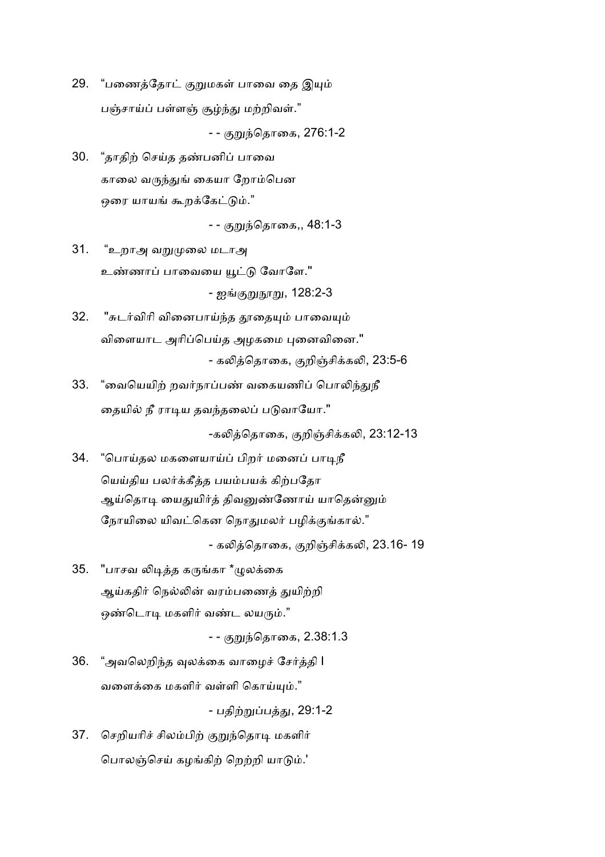29. "பணைத்தோட் குறுமகள் பாவை தை இயும் பஞ்சாய்ப் பள்ளஞ் சூழ்ந்து மற்றிவள்."

- - குறுந்தொகை, 276:1-2

30. "தாதிற் செய்த தண்பனிப் பாவை காலை வருந்துங் கையா றோம்பென ஒரை யாயங் கூறக்கேட்டும்."

<u>- - குறுந்தொகை,,</u> 48:1-3

- 31. "உறாஅ வறுமுலை மடாஅ உண்ணாப் பாவையை யூட்டு வோளே." - ஐங்குறுநூறு, 128:2-3
- 32. "சுடர்விரி வினைபாய்ந்த தூதையும் பாவையும் விளையாட அரிப்பெய்த அழகமை புனைவினை." - கலித்தொகை, குறிஞ்சிக்கலி, 23:5-6
- 33. "வையெயிற் றவர்நாப்பண் வகையணிப் பொலிந்துநீ தையில் நீ ராடிய தவந்தலைப் படுவாயோ."

-கலித்தொகை, குறிஞ்சிக்கலி, 23:12-13

34. "பொய்தல மகளையாய்ப் பிறர் மனைப் பாடிநீ யெய்திய பலர்க்கீத்த பயம்பயக் கிற்பதோ ஆய்தொடி யைதுயிர்த் திவனுண்ணோய் யாதென்னும் நோயிலை யிவட்கென நொதுமலர் பழிக்குங்கால்."

- கலித்தொகை, குறிஞ்சிக்கலி, 23.16- 19

35. "பாசவ லிடித்த கருங்கா \*ழுலக்கை ஆய்கதிர் நெல்லின் வரம்பணைத் துயிற்றி ஒண்டொடி மகளிர் வண்ட லயரும்."

- - குறுந்தொகை, 2.38:1.3

36. "அவலெறிந்த வுலக்கை வாழைச் சேர்த்தி I வளைக்கை மகளிர் வள்ளி கொய்யும்."

- பதிற்றுப்பத்து, 29:1-2

37. செறியரிச் சிலம்பிற் குறுந்தொடி மகளிர் பொலஞ்செய் கழங்கிற் றெற்றி யாடும்.'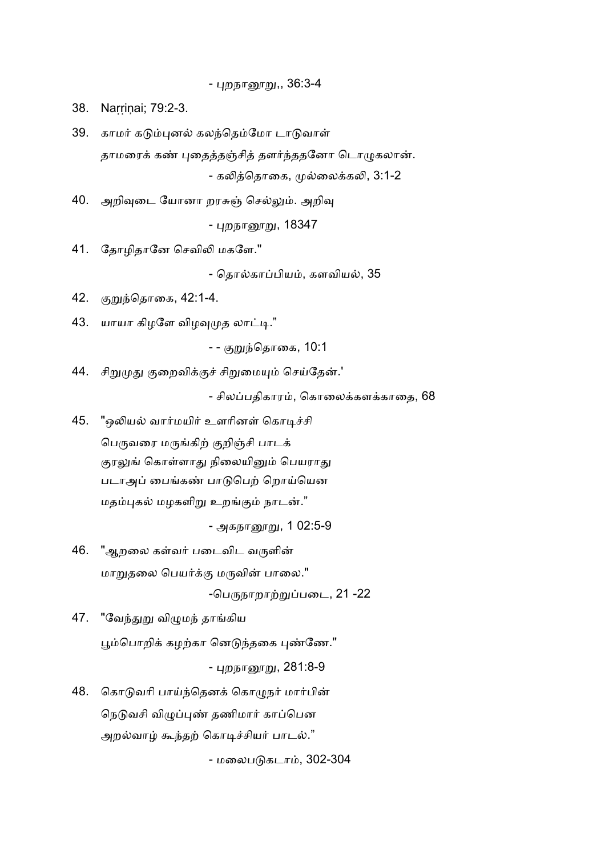<u>- புறநானூறு,,</u> 36:3-4

38. Narrinai; 79:2-3.

39. காமர் கடும்புனல் கலந்தெம்மோ டாடுவாள் தாமரைக் கண் புதைத்தஞ்சித் தளர்ந்ததனோ டொழுகலான். - கலித்தொகை, முல்லைக்கலி, 3:1-2

40. அறிவுடை யோனா றரசுஞ் செல்லும். அறிவு

<u>- புறநானூறு,</u> 18347

41. தோழிதானே செவிலி மகளே."

- தொல்காப்பியம், களவியல், 35

42. குறுந்தொகை, 42:1-4.

 $43.$  யாயா கிழளே விழவுமுத லாட்டி."

- - குறுந்தொகை, 10:1

44. சிறுமுது குறைவிக்குச் சிறுமையும் செய்தேன்.'

- சிலப்பதிகாரம், கொலைக்களக்காதை, 68

45. "ஒலியல் வார்மயிர் உளரினள் கொடிச்சி பெருவரை மருங்கிற் குறிஞ்சி பாடக் குரலுங் கொள்ளாது நிலையினும் பெயராது படாஅப் பைங்கண் பாடுபெற் றொய்யென மதம்புகல் மழகளிறு உறங்கும் நாடன்."

- அகநானூறு, 1 02:5-9

46. "ஆறலை கள்வர் படைவிட வருளின் மாறுதலை பெயர்க்கு மருவின் பாலை."

-பெருநாறாற்றுப்படை, 21 -22

47. "வேந்துறு விமுமந் தாங்கிய

பூம்பொறிக் கழற்கா னெடுந்தகை புண்ணே."

- புறநாரைறு, 281:8-9

48. கொடுவரி பாய்ந்தெனக் கொழுநர் மார்பின் நெடுவசி விழுப்புண் தணிமார் காப்பென அறல்வாழ் கூந்தற் கொடிச்சியர் பாடல்."

- மலைபடுகடாம், 302-304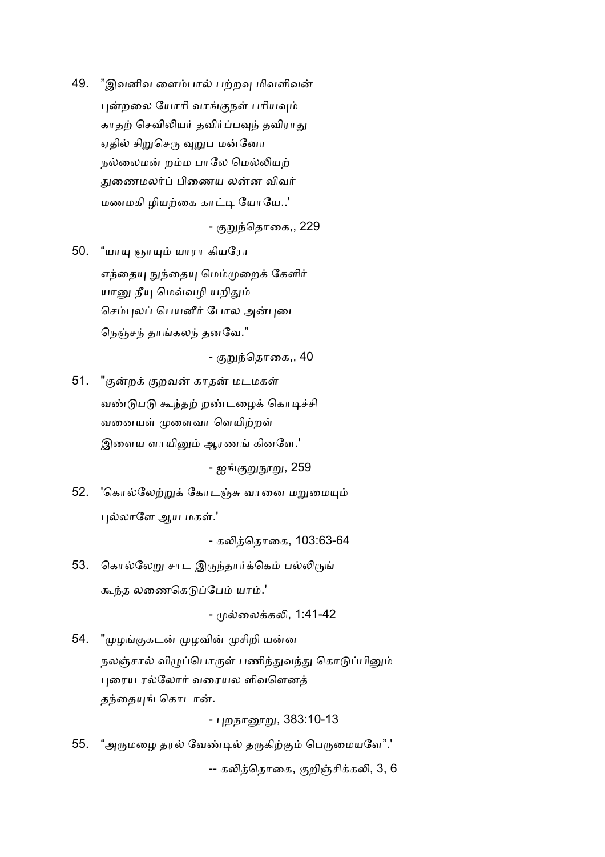49. "இவனிவ ளைம்பால் பற்றவு மிவளிவன் புன்றலை யோரி வாங்குநள் பரியவும் காதற் செவிலியர் தவிர்ப்பவுந் தவிராது ஏதில் சிறுசெரு வுறுப மன்னோ நல்லைமன் றம்ம பாலே மெல்லியற் துணைமலர்ப் பிணைய லன்ன விவர் மணமகி ழியற்கை காட்டி யோயே..'

- குறுந்தொகை,, 229

50. "யாயு ஞாயும் யாரா கியரோ எந்தையு நுந்தையு மெம்முறைக் கேளிர் யானு நீயு மெவ்வழி யறிதும் செம்புலப் பெயனீர் போல அன்புடை நெஞ்சந் தாங்கலந் தனவே."

- குறுந்தொகை,, 40

51. "குன்றக் குறவன் காதன் மடமகள் வண்டுபடு கூந்தற் றண்டழைக் கொடிச்சி வனையள் முளைவா ளெயிற்றள் இளைய ளாயினும் ஆரணங் கினளே.'

- ஐங்<u>குறுநூறு,</u> 259

52. 'கொல்லேற்றுக் கோடஞ்சு வானை மறுமையும் புல்லாளே ஆய மகள்.'

- கெதாைக, 103:63-64

53. கொல்லேறு சாட இருந்தார்க்கெம் பல்லிருங் கூந்த லணைகெடுப்பேம் யாம்.'

- முல்லைக்கலி. 1:41-42

54. "முழங்குகடன் முழவின் முசிறி யன்ன நலஞ்சால் விழுப்பொருள் பணிந்துவந்து கொடுப்பினும் புரைய ரல்லோர் வரையல ளிவளெனத் தந்தையுங் கொடான்.

- பறநாரைறு, 383:10-13

55. "அருமழை தரல் வேண்டில் தருகிற்கும் பெருமையளே".' -- கலித்தொகை, குறிஞ்சிக்கலி, 3, 6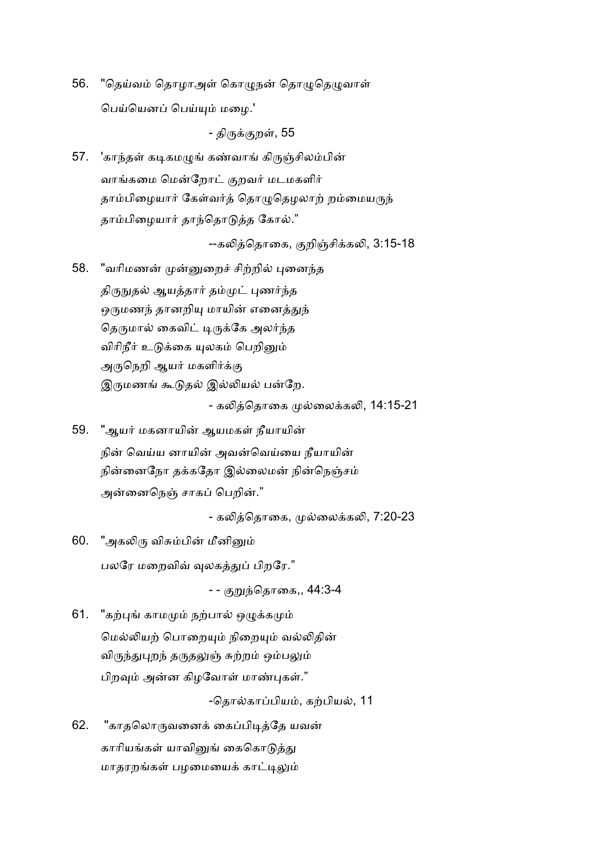56. "தெய்வம் தொழாஅள் கொழுநன் தொழுதெழுவாள் பெய்யெனப் பெய்யும் மழை.'

- திருக்குறள், 55

57. 'காந்தள் கடிகமழுங் கண்வாங் கிருஞ்சிலம்பின் வாங்கமை மென்றோட் குறவர் மடமகளிர் தாம்பிழையார் கேள்வர்த் தொழுதெழலாற் றம்மையருந் தாம்பிழையார் தாந்தொடுத்த கோல்."

--கலித்தொகை, குறிஞ்சிக்கலி, 3:15-18

- 58. "வரிமணன் முன்னுறைச் சிற்றில் புனைந்த திருநுதல் ஆயத்தார் தம்முட் புணர்ந்த ஒருமணந் தானறியு மாயின் எனைத்துந் தெருமால் கைவிட் டிருக்கே அலர்ந்த விரிநீர் உடுக்கை யுலகம் பெறினும் அருநெறி ஆயர் மகளிர்க்கு இருமணங் கூடுதல் இல்லியல் பன்றே. - கலித்தொகை முல்லைக்கலி, 14:15-21
- 59. "ஆயர் மகனாயின் ஆயமகள் நீயாயின் நின் வெய்ய னாயின் அவன்வெய்யை நீயாயின் நின்னைநோ தக்கதோ இல்லைமன் நின்நெஞ்சம் அன்னைநெஞ் சாகப் பெறின்."

- கலித்தொகை, முல்லைக்கலி, 7:20-23

60. "அகலிரு விசும்பின் மீனினும் பலரே மறைவிவ் வுலகத்துப் பிறரே."

- - குறுந்தொகை,, 44:3-4

61. "கற்புங் காமமும் நற்பால் ஒழுக்கமும் மெல்லியற் பொறையும் நிறையும் வல்லிதின் விருந்துபுறந் தருதலுஞ் சுற்றம் ஒம்பலும் பிறவும் அன்ன கிழவோள் மாண்புகள்."

-தொல்காப்பியம், கற்பியல், 11

62. "காதலொருவனைக் கைப்பிடித்தே யவன் காரியங்கள் யாவினுங் கைகொடுத்து மாதரறங்கள் பழமையைக் காட்டிலும்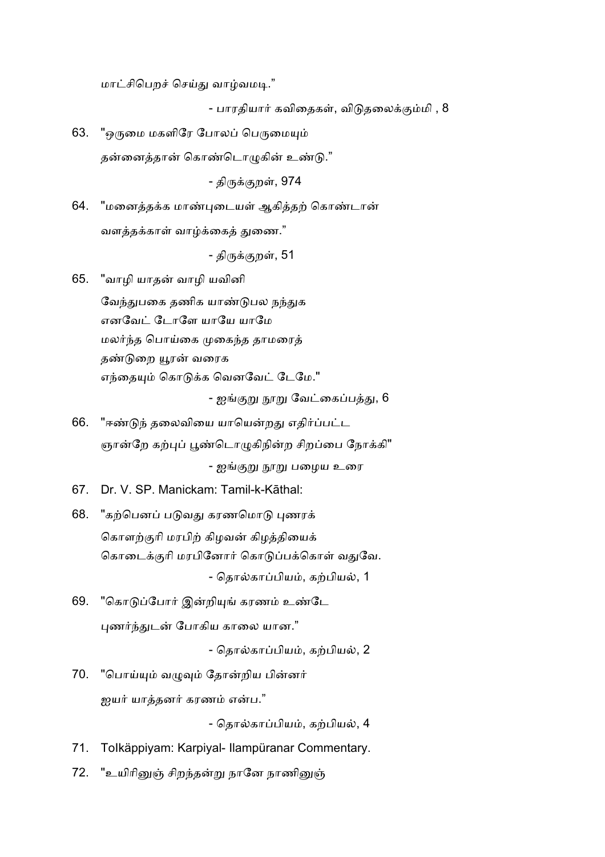மாட்சிபெறச் செய்து வாழ்வமடி."

- பாரதியார் கவிதைகள், விடுதலைக்கும்மி , 8

63. "ஒருமை மகளிரே போலப் பெருமையும் தன்னைத்தான் கொண்டொழுகின் உண்டு."

- திருக்குறள், **974** 

64. "மனைத்தக்க மாண்புடையள் ஆகித்தற் கொண்டான் வளக்கக்காள் வாம்க்கைக் குணை.<sup>"</sup>

- திருக்குறள், 51

65. "வாழி யாத வாழி யவினி

வேந்துபகை தணிக யாண்டுபல நந்துக எனவேட் டோளே யாயே யாமே மலர்ந்த பொய்கை முகைந்த தாமரைத் தண்டுறை யூரன் வரைக எந்தையும் கொடுக்க வெனவேட் டேமே."

- ஐங்குறு நூறு வேட்கைப்பத்து, 6

- 66. "ஈண்டுந் தலைவியை யாயென்றது எதிர்ப்பட்ட ஞான்றே கற்புப் பூண்டொழுகிநின்ற சிறப்பை நோக்கி" - ஐங்குறு நூறு பழைய உரை
- 67. Dr. V. SP. Manickam: Tamil-k-Kāthal:
- 68. "கற்பெனப் படுவது கரணமொடு புணரக் கொளற்குரி மரபிற் கிழவன் கிழத்தியைக் கொடைக்குரி மரபினோர் கொடுப்பக்கொள் வதுவே. - தொல்காப்பியம், கற்பியல், 1
- 69. "கொடுப்போர் இன்றியுங் கரணம் உண்டே புணர்ந்துடன் போகிய காலை யான."

- தொல்காப்பியம், கற்பியல், 2

70. "பொய்யும் வழுவும் தோன்றிய பின்னர் <u>ஜ</u>யர் யாக்கனர் கரணம் என்ப."

- தொல்காப்பியம், கற்பியல், 4

- 71. ToIkäppiyam: Karpiyal- Ilampüranar Commentary.
- 72. "உயிரினுஞ் சிறந்தன்று நானே நாணினுஞ்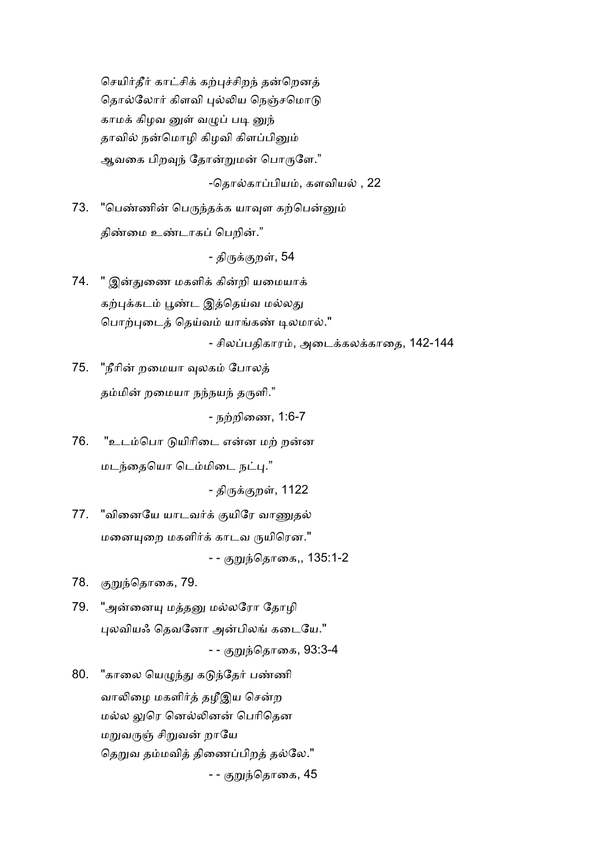செயிர்தீர் காட்சிக் கற்புச்சிறந் தன்றெனத் தொல்லோர் கிளவி புல்லிய நெஞ்சமொடு காமக் கிழவ னுள் வழுப் படி னுந் தாவில் நன்மொழி கிழவி கிளப்பினும் ஆவகை பிறவுந் தோன்றுமன் பொருளே."

-தொல்காப்பியம், களவியல் , 22

73. "பெண்ணின் பெருந்தக்க யாவுள கற்பென்னும் திண்மை உண்டாகப் பெறின்."

- திருக்குறள், 54

74. " இன்துணை மகளிக் கின்றி யமையாக் கற்புக்கடம் பூண்ட இத்தெய்வ மல்லது பொற்புடைத் தெய்வம் யாங்கண் டிலமால்."

- சிலப்பதிகாரம், அடைக்கலக்காதை, 142-144

75. "நீரின் றமையா வுலகம் போலத் தம்மின் றமையா நந்நயந் தருளி."

- நற்றிணை, 1:6-7

76. "உடம்பொ டுயிரிடை என்ன மற் றன்ன மடந்தையொ டெம்மிடை நட்பு."

- திருக்குறள், 1122

- 77. "வினையே யாடவர்க் குயிரே வாணுதல் மனையுறை மகளிர்க் காடவ ருயிரென." - - குறுந்தொகை,, 135:1-2
- 78. குறுந்தொகை, 79.
- 79. "அன்னையு மத்தனு மல்லரோ தோழி புலவியஃ தெவனோ அன்பிலங் கடையே." - - குறுந்தொகை, 93:3-4
- 80. "காலை யெழுந்து கடுந்தேர் பண்ணி வாலிழை மகளிர்த் தழீஇய சென்ற மல்ல லுரெ னெல்லினன் பெரிதென மறுவருஞ் சிறுவன் றாயே தெறுவ தம்மவித் திணைப்பிறத் தல்லே." - - குறுந்தொகை, 45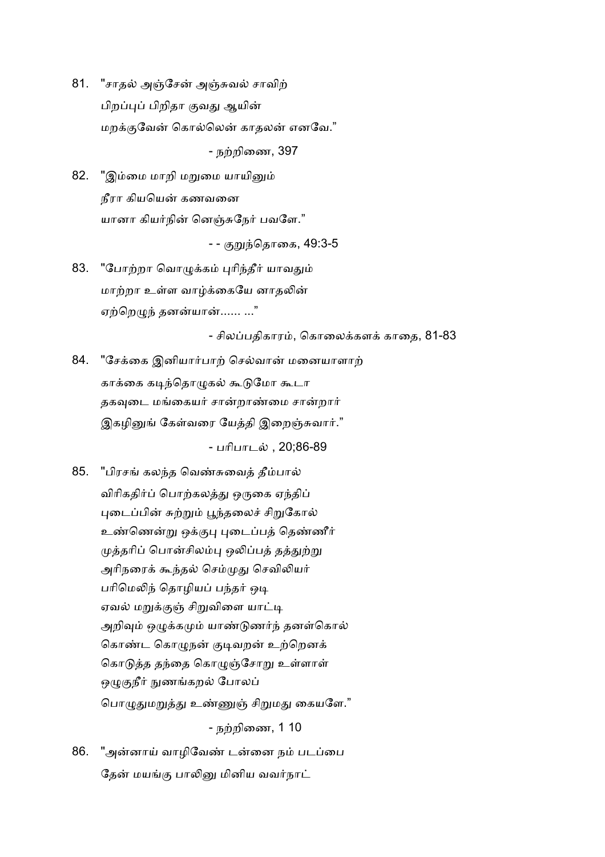81. "சாதல் அஞ்சேன் அஞ்சுவல் சாவிற் பிறப்புப் பிறிதா குவது ஆயின் மறக்குவேன் கொல்லென் காதலன் எனவே."

- நற்றிணை, 397

82. "இம்மை மாறி மறுமை யாயினும் நீரா கியயென் கணவனை யானா கியர்நின் னெஞ்சுநேர் பவளே."

- - குறுந்தொகை, 49:3-5

83. "போற்றா வொழுக்கம் புரிந்தீர் யாவதும் மாற்றா உள்ள வாழ்க்கையே னாகலின் ஏற்றெழுந் தனன்யான்...... ..."

- சிலப்பதிகாரம், கொலைக்களக் காதை, 81-83

84. "சேக்கை இனியார்பாற் செல்வான் மனையாளாற் காக்கை கடிந்தொழுகல் கூடுமோ கூடா தகவுடை மங்கையர் சான்றாண்மை சான்றார் இகழினுங் கேள்வரை யேத்தி இறைஞ்சுவார்."

- பரிபாடல் , 20;86-89

- 85. "பிரசங் கலந்த வெண்சுவைத் தீம்பால் விரிகதிர்ப் பொற்கலத்து ஒருகை ஏந்திப் புடைப்பின் சுற்றும் பூந்தலைச் சிறுகோல் உண்ணென்று ஒக்குபு புடைப்பத் தெண்ணீர் முத்தரிப் பொன்சிலம்பு ஒலிப்பத் தத்துற்று அரிநரைக் கூந்தல் செம்முது செவிலியர் பரிமெலிந் தொழியப் பந்தர் ஒடி ஏவல் மறுக்குஞ் சிறுவிளை யாட்டி அறிவும் ஒழுக்கமும் யாண்டுணர்ந் தனள்கொல் கொண்ட கொழுநன் குடிவறன் உற்றெனக் கொடுத்த தந்தை கொழுஞ்சோறு உள்ளாள் ஒழுகுநீர் நுணங்கறல் போலப் பொழுதுமறுத்து உண்ணுஞ் சிறுமது கையளே." - நற்றிணை, 1 10
- 86. "அன்னாய் வாழிவேண் டன்னை நம் படப்பை தேன் மயங்கு பாலினு மினிய வவர்நாட்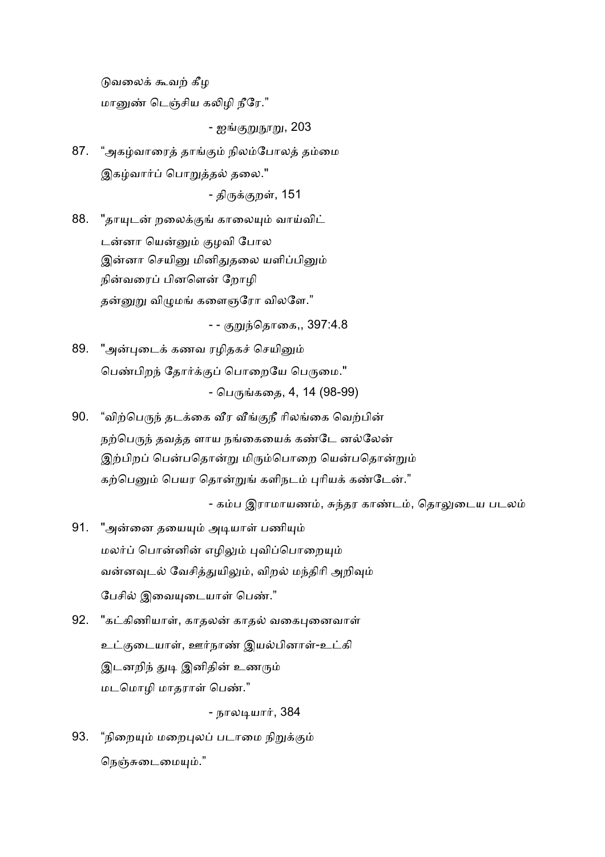டுவலைக் கூவற் கீழ மானுண் டெஞ்சிய கலிமி நீரே."

- ஐங்குறுநூறு, 203

87. "அகழ்வாரைத் தாங்கும் நிலம்போலத் தம்மை இகழ்வார்ப் பொறுத்தல் தலை." - திருக்குறள், 151

88. "தாயுடன் றலைக்குங் காலையும் வாய்விட் டன்னா யென்னும் குழவி போல இன்னா செயினு மினிதுதலை யளிப்பினும் நின்வரைப் பினளென் றோழி தன்னுறு விழுமங் களைஞரோ விலளே."

- - குறுந்தொகை,, 397:4.8

- 89. "அன்புடைக் கணவ ரழிதகச் செயினும் பெண்பிறந் தோர்க்குப் பொறையே பெருமை." - பெருங்கதை, 4, 14 (98-99)
- 90. "விற்பெருந் தடக்கை வீர வீங்குநீ ரிலங்கை வெற்பின் நற்பெருந் தவத்த ளாய நங்கையைக் கண்டே னல்லேன் இற்பிறப் பென்பதொன்று மிரும்பொறை யென்பதொன்றும் கற்பெனும் பெயர தொன்றுங் களிநடம் புரியக் கண்டேன்."

- கம்ப இராமாயணம், சுந்தர காண்டம், தொலுடைய படலம்

- 91. "அன்னை தயையும் அடியாள் பணியும் மலர்ப் பொன்னின் எழிலும் புவிப்பொறையும் வன்னவுடல் வேசித்துயிலும், விறல் மந்திரி அறிவும் பேசில் இவையுடையாள் பெண்."
- 92. "கட்கிணியாள், காதலன் காதல் வகைபுனைவாள் உட்குடையாள், ஊர்நாண் இயல்பினாள்-உட்கி இடனறிந் துடி இனிதின் உணரும் மடமொழி மாதராள் பெண்."

- நாலடியார், 384

93. "நிறையும் மறைபுலப் படாமை நிறுக்கும் நெஞ்சுடைமையும்."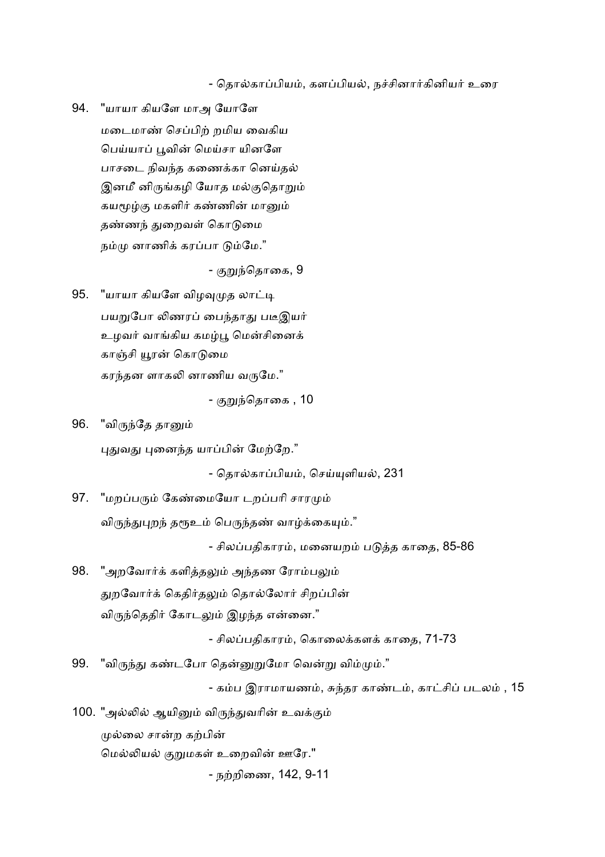- தொல்காப்பியம், களப்பியல், நச்சினார்கினியர் உரை

94. "யாயா கியளே மாஅ யோளே மடைமாண் செப்பிற் றமிய வைகிய பெய்யாப் பூவின் மெய்சா யினளே பாசடை நிவந்த கணைக்கா னெய்தல் இனமீ னிருங்கழி யோத மல்குதொறும் கயமூழ்கு மகளிர் கண்ணின் மானும் தண்ணந் துறைவள் கொடுமை நம்மு னாணிக் கரப்பா டும்மே."

- குறுந்தொகை, 9

- 95. "யாயா கியளே விழவுமுத லாட்டி பயறுபோ லிணரப் பைந்தாது படீஇயர் உழவர் வாங்கிய கமழ்பூ மென்சினைக் காஞ்சி யூரன் கொடுமை கரந்தன ளாகலி னாணிய வருமே."
	- குறுந்தொகை , 10
- 96. "விருந்தே தானும்

புதுவது புனைந்த யாப்பின் மேற்றே."

- தொல்காப்பியம், செய்யுளியல், 231

97. "மறப்பரும் கேண்மையோ டறப்பரி சாரமும் விருந்துபுறந் தரூஉம் பெருந்தண் வாழ்க்கையும்."

- சிலப்பதிகாரம், மனையறம் படுத்த காதை, 85-86

98. "அறவோர்க் களித்தலும் அந்தண ரோம்பலும் துறவோர்க் கெதிர்தலும் தொல்லோர் சிறப்பின் விருந்தெதிர் கோடலும் இழந்த என்னை."

- சிலப்பதிகாரம், கொலைக்களக் காதை, 71-73

99. "விருந்து கண்டபோ தென்னுறுமோ வென்று விம்மும்."

- கம்ப இராமாயணம், சுந்தர காண்டம், காட்சிப் படலம் , 15

100. "அல்லில் ஆயினும் விருந்துவரின் உவக்கும் முல்லை சான்ற கற்பின் மெல்லியல் குறுமகள் உறைவின் ஊரே."

- நற்றிணை, 142, 9-11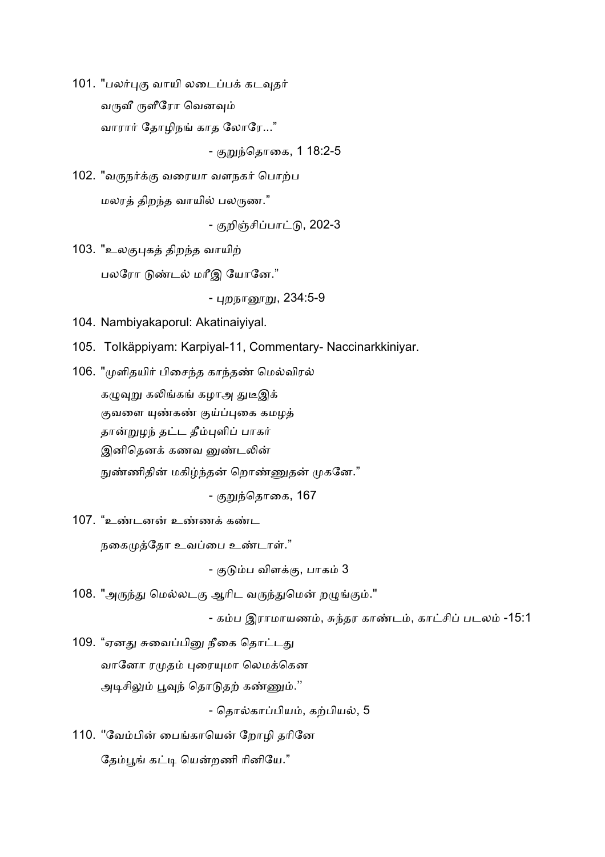101. "பலர்புகு வாயி லடைப்பக் கடவுதர் வருவீ ருளீரோ வெனவும் வாரார் தோழிநங் காத லோரே..."

- குறுந்தொகை, 1 18:2-5

102. "வருநர்க்கு வரையா வளநகர் பொற்ப மலரத் திறந்த வாயில் பலருண."

- குறிஞ்சிப்பாட்டு, 202-3

103. "உலகுபுகத் திறந்த வாயிற் பலரோ டுண்டல் மரீஇ யோனே."

- புறநானூறு, 234:5-9

104. Nambiyakaporul: Akatinaiyiyal.

- 105. ToIkäppiyam: Karpiyal-11, Commentary- Naccinarkkiniyar.
- 106. "முளிதயிர் பிசைந்த காந்தண் மெல்விரல் கழுவுறு கலிங்கங் கழாஅ துடீஇக் குவளை யுண்கண் குய்ப்புகை கமழத் தான்றுழந் தட்ட தீம்புளிப் பாகர் இனிதெனக் கணவ னுண்டலின் நுண்ணிதின் மகிழ்ந்தன் றொண்ணுதன் முகனே."

- குறுந்தொகை, **167** 

107. "உண்டனன் உண்ணக் கண்ட

நகைமுத்தோ உவப்பை உண்டாள்."

- குடும்ப விளக்கு, பாகம் 3

108. "அருந்து மெல்லடகு ஆரிட வருந்துமென் றழுங்கும்."

- கம்ப இராமாயணம், சுந்தர காண்டம், காட்சிப் படலம் -15:1

109. "ஏனது சுவைப்பினு நீகை தொட்டது வானோ ரமுதம் புரையுமா லெமக்கென அடிசிலும் பூவுந் தொடுதற் கண்ணும்.''

- தொல்காப்பியம், கற்பியல், 5

110. ''வேம்பின் பைங்காயென் றோழி தரினே தேம்பூங் கட்டி யென்றணி ரினியே."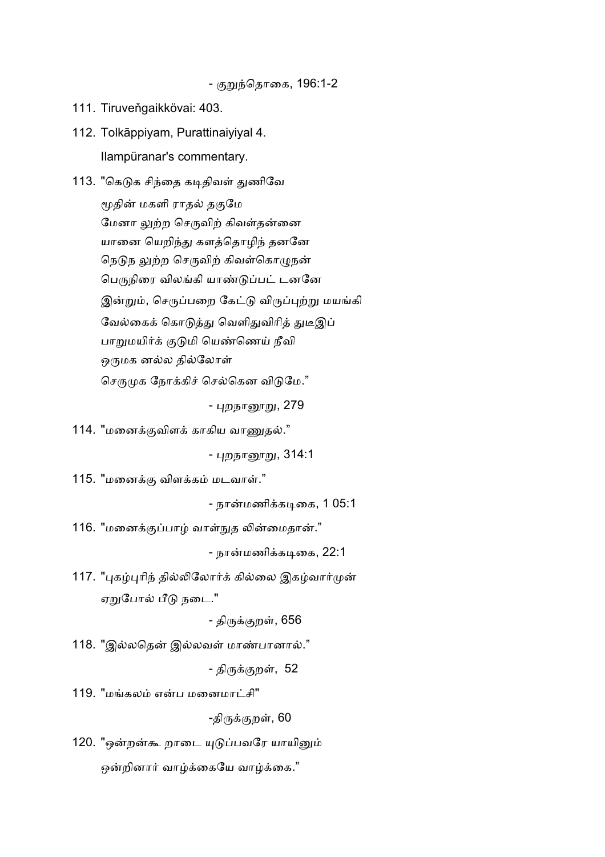- குறுந்தொகை, 196:1-2

111. Tiruveňgaikkövai: 403.

112. Tolkāppiyam, Purattinaiyiyal 4. Ilampüranar's commentary.

113. "கெடுக சிந்தை கடிதிவள் துணிவே மூதின் மகளி ராதல் தகுமே மேனா லுற்ற செருவிற் கிவள்தன்னை யானை யெறிந்து களத்தொழிந் தனனே நெடுந லுற்ற செருவிற் கிவள்கொழுநன் பெருநிரை விலங்கி யாண்டுப்பட் டனனே இன்றும், செருப்பறை கேட்டு விருப்புற்று மயங்கி வேல்கைக் கொடுத்து வெளிதுவிரித் துடீஇப் பாறுமயிர்க் குடுமி யெண்ணெய் நீவி ஒருமக னல்ல தில்லோள் செருமுக நோக்கிச் செல்கென விடுமே."

- புறநானூறு, 279

114. "மனைக்குவிளக் காகிய வாணுதல்."

<u>- புறநானூறு, 314:1</u>

115. "மனைக்கு விளக்கம் மடவாள்."

- நான்மணிக்கடிகை, 1 05:1

116. "மனைக்குப்பாழ் வாள்நுத லின்மைதான்."

- நான்மணிக்கடிகை, 22:1

117. "புகழ்புரிந் தில்லிலோர்க் கில்லை இகழ்வார்முன் ஏறுபோல் பீடு நடை."

- திருக்குறள், 656

118. "இல்லதென் இல்லவள் மாண்பானால்."

- திருக்குறள், 52

119. "மங்கலம் என்ப மனைமாட்சி"

-திருக்குறள், 60

120. "ஒன்றன்கூ றாடை யுடுப்பவரே யாயினும் ஒன்றினார் வாழ்க்கையே வாழ்க்கை."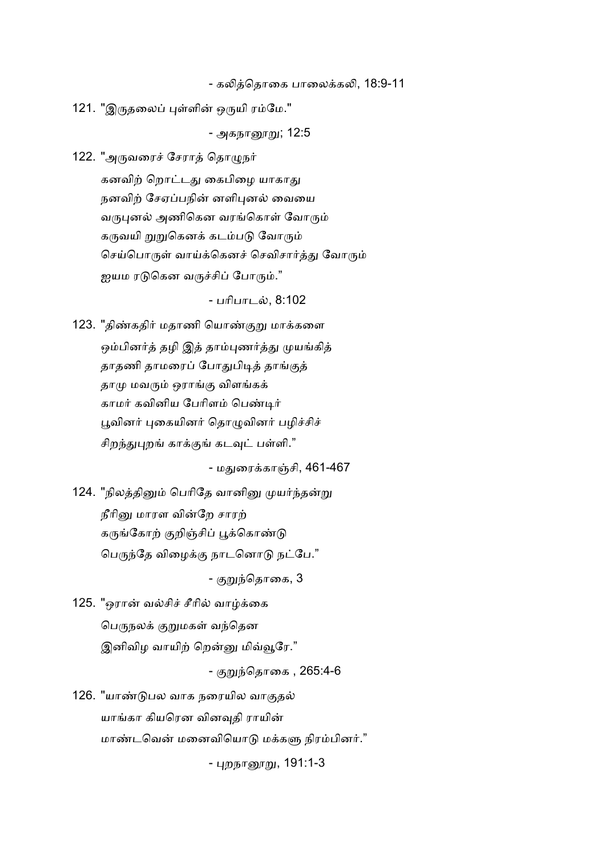- கலித்தொகை பாலைக்கலி, 18:9-11

121. "இருதலைப் புள்ளின் ஒருயி ரம்மே."

<u>- அகநானூறு; 12:5</u>

122. "அருவரைச் சேராத் தொழுநர் கனவிற் றொட்டது கைபிழை யாகாது நனவிற் சேஏப்பநின் னளிபுனல் வையை வருபுனல் அணிகென வரங்கொள் வோரும் கருவயி றுறுகெனக் கடம்படு வோரும் செய்பொருள் வாய்க்கெனச் செவிசார்த்து வோரும் ஐயம ரடுகென வருச்சிப் போரும்."

- பரிபாடல், 8:102

123. "திண்கதிர் மதாணி யொண்குறு மாக்களை ஒம்பினர்த் தழி இத் தாம்புணர்த்து முயங்கித் தாதணி தாமரைப் போதுபிடித் தாங்குத் தாமு மவரும் ஒராங்கு விளங்கக் காமர் கவினிய பேரிளம் பெண்டிர் பூவினர் புகையினர் தொழுவினர் பழிச்சிச் சிறந்துபுறங் காக்குங் கடவுட் பள்ளி."

- மகுரைக்காஞ்சி, 461-467

124. "நிலத்தினும் பெரிதே வானினு முயர்ந்தன்று நீரினு மாரள வின்றே சாரற் கருங்கோற் குறிஞ்சிப் பூக்கொண்டு பெருந்தே விழைக்கு நாடனொடு நட்பே."

- குறுந்தொகை, 3

125. "ஒரான் வல்சிச் சீரில் வாழ்க்கை பெருநலக் குறுமகள் வந்தென இனிவிழ வாயிற் றென்னு மிவ்வூரே."

- குறுந்தொகை , 265:4-6

126. "யாண்டுபல வாக நரையில வாகுதல் யாங்கா கியரென வினவுதி ராயின் மாண்டவென் மனைவியொடு மக்களு நிரம்பினர்."

- பறநாரைறு, 191:1-3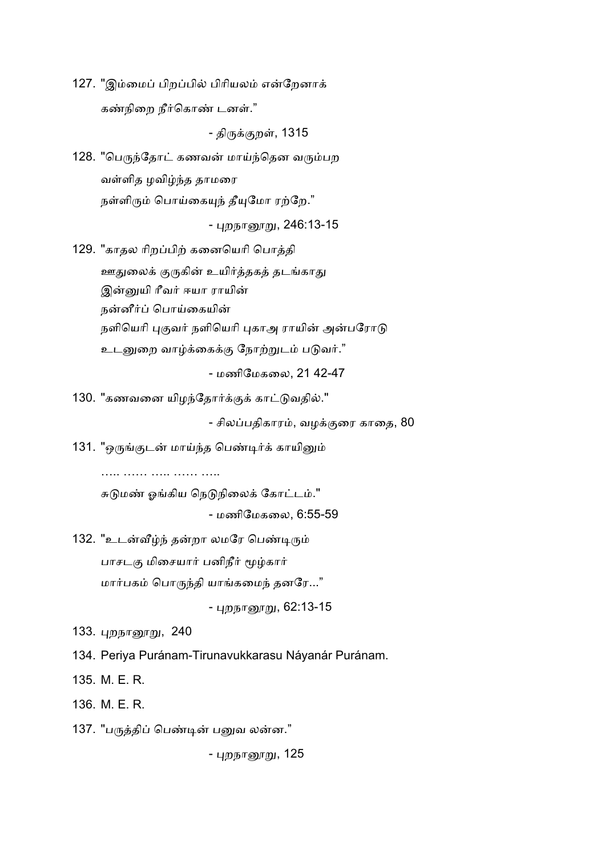127. "இம்மைப் பிறப்பில் பிரியலம் என்றேனாக் கண்நிறை நீர்கொண் டனள்."

- திருக்குறள், 1315

128. "பெருந்தோட் கணவன் மாய்ந்தென வரும்பற வள்ளித ழவிழ்ந்த தாமரை நள்ளிரும் பொய்கையுந் தீயுமோ ரற்றே."

<u>- புறநானூறு, 246:13-15</u>

129. "காதல ரிறப்பிற் கனையெரி பொத்தி ஊதுலைக் குருகின் உயிர்த்தகத் தடங்காது இன்னுயி ரீவர் ஈயா ராயின் நன்னீர்ப் பொய்கையின் நளியெரி புகுவர் நளியெரி புகாஅ ராயின் அன்பரோடு உடனுறை வாழ்க்கைக்கு நோற்றுடம் படுவர்."

- மணிேமகைல, 21 42-47

130. "கணவனை யிழந்தோர்க்குக் காட்டுவதில்."

- சிலப்பதிகாரம், வழக்குரை காதை, 80

131. "ஒருங்குடன் மாய்ந்த பெண்டிர்க் காயினும்

….. …… ….. …… …..

சுடுமண் ஓங்கிய நெடுநிலைக் கோட்டம்." - மணிேமகைல, 6:55-59

132. "உடன்வீழ்ந் தன்றா லமரே பெண்டிரும் பாசடகு மிசையார் பனிநீர் மூழ்கார் மார்பகம் பொருந்தி யாங்கமைந் தனரே..."

- புறநானூறு, 62:13-15

133. புறநானூறு, 240

- 134. Periya Puránam-Tirunavukkarasu Náyanár Puránam.
- 135. M. E. R.

136. M. E. R.

137. "பருத்திப் பெண்டின் பனுவ லன்ன."

- புறநாரைறு, 125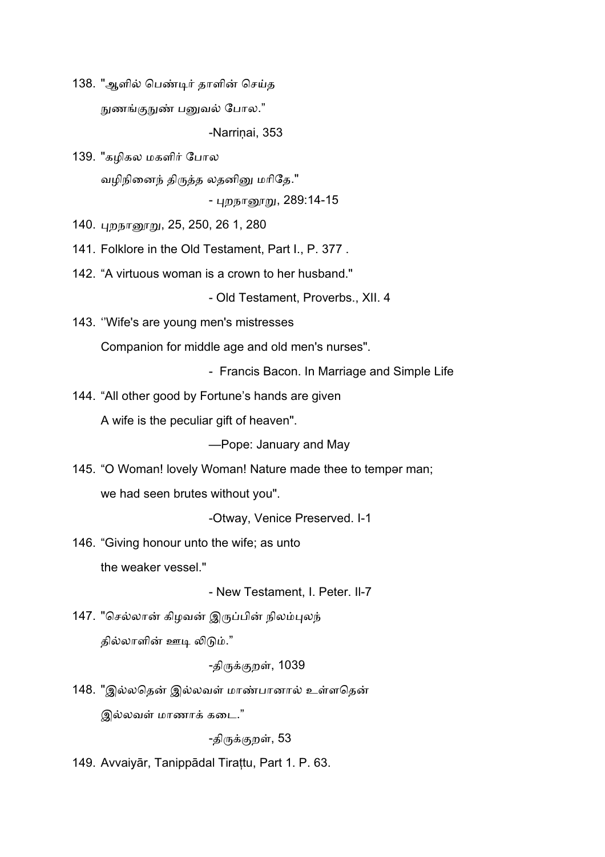138. "ஆளில் பெண்டிர் தாளின் செய்த நுணங்குநுண் பனுவல் போல."

-Narrinai, 353

139. "கழிகல மகளிர் போல வழிநினைந் திருத்த லதனினு மரிதே."

- புறநானூறு, 289:14-15

140. புறநானூறு, 25, 250, 26 1, 280

141. Folklore in the Old Testament, Part I., P. 377 .

142. "A virtuous woman is a crown to her husband."

- Old Testament, Proverbs., XII. 4

143. ''Wife's are young men's mistresses

Companion for middle age and old men's nurses".

- Francis Bacon. In Marriage and Simple Life

144. "All other good by Fortune's hands are given

A wife is the peculiar gift of heaven".

—Рope: January and Мау

145. "O Woman! lovely Woman! Nature made thee to tempər man; we had seen brutes without you".

-Otway, Venice Preserved. I-1

146. "Giving honour unto the wife; as unto the weaker vessel."

- New Testament, I. Peter. Il-7

147. "செல்லான் கிழவன் இருப்பின் நிலம்புலந் தில்லாளின் ஊடி லிடும்."

-திருக்குறள், 1039

148. "இல்லதென் இல்லவள் மாண்பானால் உள்ளதென் இல்லவள் மாணாக் கடை."

-திருக்குறள், 53

149. Avvaiyār, Tanippādal Tirațtu, Part 1. P. 63.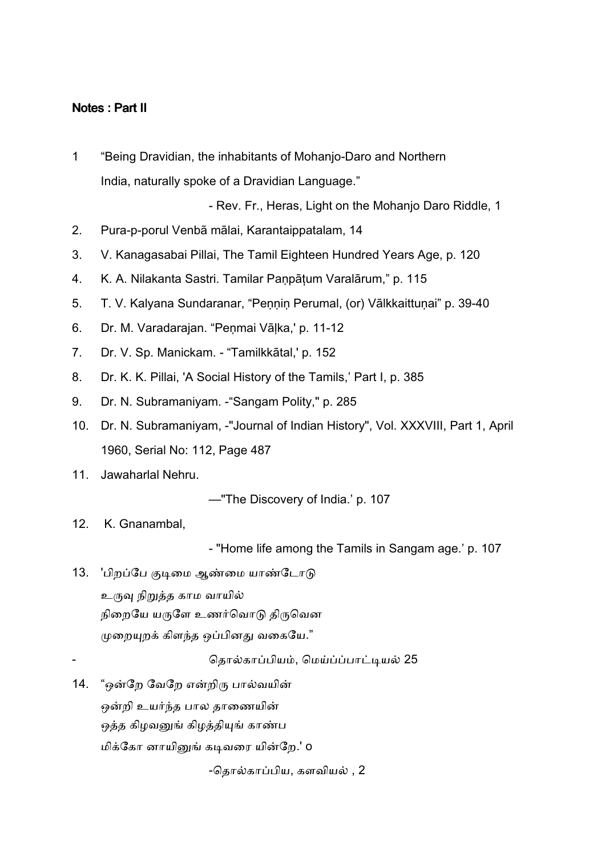## Notes : Part II

1 "Being Dravidian, the inhabitants of Mohanjo-Daro and Northern India, naturally spoke of a Dravidian Language."

- Rev. Fr., Heras, Light on the Mohanjo Daro Riddle, 1

- 2. Pura-p-porul Venbã mālai, Karantaippatalam, 14
- 3. V. Kanagasabai Pillai, The Tamil Eighteen Hundred Years Age, p. 120
- 4. K. A. Nilakanta Sastri. Tamilar Paņpāțum Varalārum," p. 115
- 5. T. V. Kalyana Sundaranar, "Peņņiņ Perumal, (or) Vālkkaittuņai" p. 39-40
- 6. Dr. M. Varadarajan. "Peņmai Vāļka,' p. 11-12
- 7. Dr. V. Sp. Manickam. "Tamilkkātal,' p. 152
- 8. Dr. K. K. Pillai, 'A Social History of the Tamils,' Part I, p. 385
- 9. Dr. N. Subramaniyam. -"Sangam Polity," p. 285
- 10. Dr. N. Subramaniyam, -"Journal of Indian History", Vol. XXXVIII, Part 1, April 1960, Serial No: 112, Page 487
- 11. Jawaharlal Nehru.

—"The Discovery of India.' p. 107

12. K. Gnanambal,

- "Home life among the Tamils in Sangam age.' p. 107

13. 'பிறப்பே குடிமை ஆண்மை யாண்டோடு உருவு நிறுத்த காம வாயில் நிறையே யருளே உணர்வொடு திருவென முறையுறக் கிளந்த ஒப்பினது வகையே."

தொல்காப்பியம், மெய்ப்ப்பாட்டியல் 25

14. "ஒன்றே வேறே என்றிரு பால்வயின் ஒன்றி உயர்ந்த பால தாணையின் ஒத்த கிழவனுங் கிழத்தியுங் காண்ப மிக்கோ னாயினுங் கடிவரை யின்றே.' o

-தொல்காப்பிய, களவியல் , 2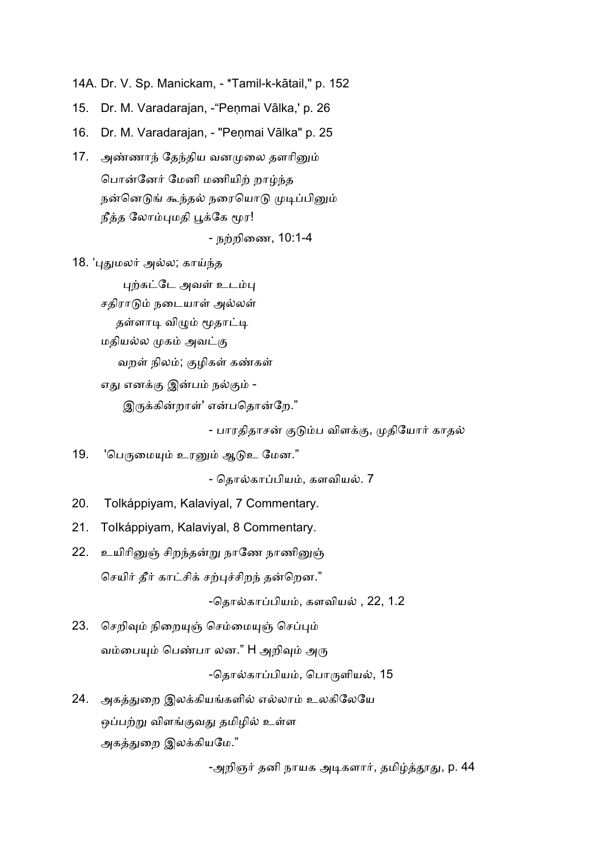14A. Dr. V. Sp. Manickam, - \*Tamil-k-kātail," p. 152

15. Dr. M. Varadarajan, - "Penmai Vālka,' p. 26

16. Dr. M. Varadarajan, - "Peņmai Vālka" p. 25

- 17. அண்ணாந் தேந்திய வனமுலை தளரினும் பொன்னேர் மேனி மணியிற் றாழ்ந்த நன்னெடுங் கூந்தல் நரையொடு முடிப்பினும் நீத்த லோம்புமதி பூக்கே மூர! - நற்றிணை, 10:1-4
- 18. 'புதுமலர் அல்ல; காய்ந்த

புற்கட்டே அவள் உடம்பு

சதிராடும் நடையாள் அல்லள்

தள்ளாடி விமும் மூதாட்டி

மதியல்ல முகம் அவட்கு

வறள் நிலம்; குழிகள் கண்கள்

எது எனக்கு இன்பம் நல்கும் -

இருக்கின்றாள்' என்பதொன்றே."

- பாரதிதாசன் குடும்ப விளக்கு, முதியோர் காதல்

19. 'பெருமையும் உரனும் ஆடுஉ மேன."

- தொல்காப்பியம், களவியல். 7

20. Tolkáppiyam, Kalaviyal, 7 Commentary.

- 21. ToIkáppiyam, Kalaviyal, 8 Commentary.
- 22. உயிரினுஞ் சிறந்தன்று நாணே நாணினுஞ் செயிர் தீர் காட்சிக் சற்புச்சிறந் தன்றென."

-தொல்காப்பியம், களவியல் , 22, 1.2

23. செறிவும் நிறையுஞ் செம்மையுஞ் செப்பும் வம்பையும் பெண்பா லன." H அறிவும் அரு

-தொல்காப்பியம், பொருளியல், 15

24. அகத்துறை இலக்கியங்களில் எல்லாம் உலகிலேயே ஒப்பற்று விளங்குவது தமிழில் உள்ள அகத்துறை இலக்கியமே."

-அறிஞர் தனி நாயக அடிகளார், தமிழ்த்தூது, p. 44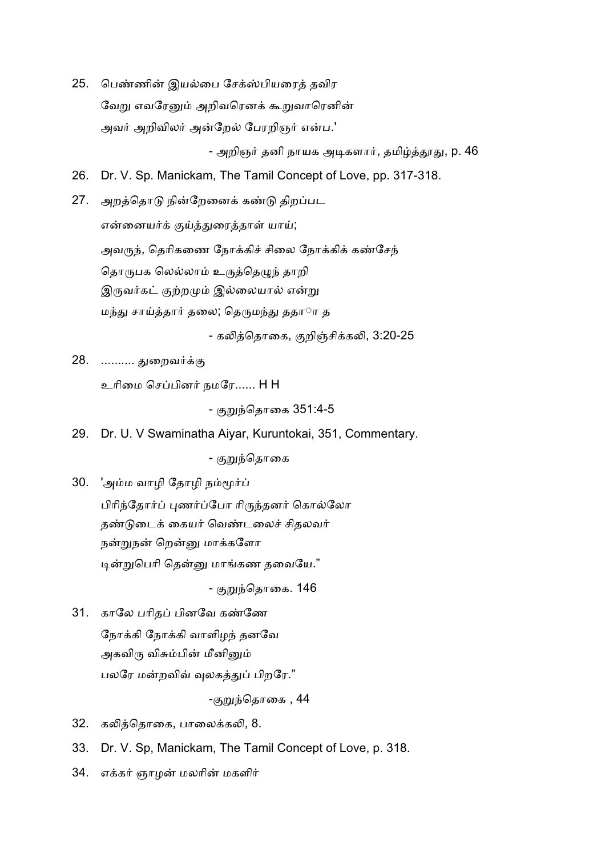25. பெண்ணின் இயல்பை சேக்ஸ்பியரைத் தவிர வேறு எவரேனும் அறிவரெனக் கூறுவாரெனின் அவர் அறிவிலர் அன்றேல் பேரறிஞர் என்ப.'

- அறிஞர் தனி நாயக அடிகளார், தமிழ்த்தூது, p. 46

26. Dr. V. Sp. Manickam, The Tamil Concept of Love, pp. 317-318.

27. அறத்தொடு நின்றேனைக் கண்டு திறப்பட என்னையர்க் குய்த்துரைத்தாள் யாய்; அவருந், தெரிகணை நோக்கிச் சிலை நோக்கிக் கண்சேந் தொருபக லெல்லாம் உருத்தெழுந் தாறி இருவர்கட் குற்றமும் இல்லையால் என்று மந்து சாய்த்தார் தலை; தெருமந்து ததார் த

- கலித்தொகை, குறிஞ்சிக்கலி, 3:20-25

28. ………. துறைவர்க்கு

உரிமை செப்பினர் நமரே...... H H

- குறுந்தொகை 351:4-5

29. Dr. U. V Swaminatha Aiyar, Kuruntokai, 351, Commentary.

- குறுந்தொகை

30. 'அம்ம வாழி தோழி நம்மூர்ப் பிரிந்தோர்ப் புணர்ப்போ ரிருந்தனர் கொல்லோ தண்டுடைக் கையர் வெண்டலைச் சிதலவர் நன்றுநன் றென்னு மாக்களோ டின்றுபெரி தென்னு மாங்கண தவையே."

- குறுந்தொகை. **146** 

31. காலே பரிதப் பினவே கண்ணே நோக்கி வாளிழந் தனவே அகவிரு விசும்பின் மீனினும் பலரே மன்றவிவ் வுலகத்துப் பிறரே."

-குறுந்தொகை , 44

- 32. கலித்தொகை, பாலைக்கலி, 8.
- 33. Dr. V. Sp, Manickam, The Tamil Concept of Love, p. 318.
- 34. எக்கர் ஞாழன் மலரின் மகளிர்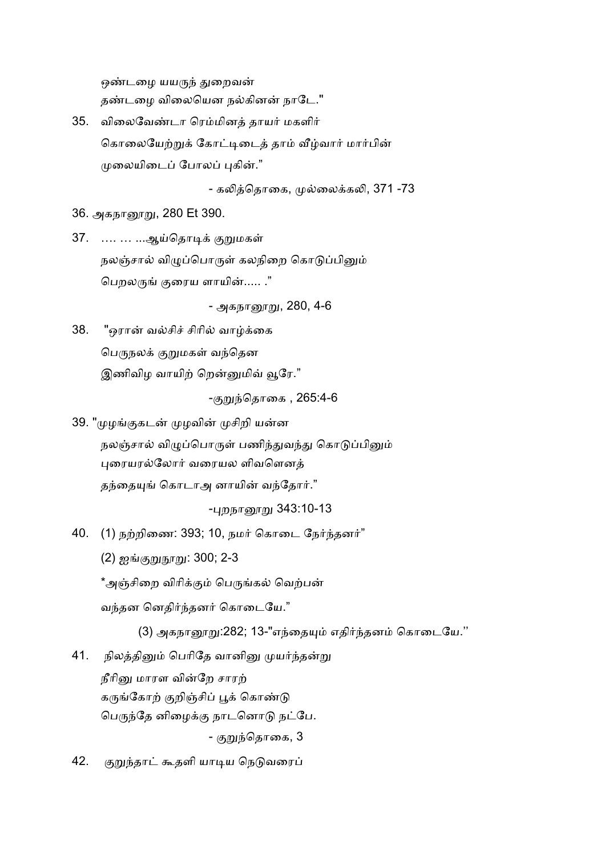ஒண்டழை யயருந் துறைவன் தண்டழை விலையென நல்கினன் நாடே."

35. விலைவேண்டா ரெம்மினத் தாயர் மகளிர் கொலையேற்றுக் கோட்டிடைத் தாம் வீழ்வார் மார்பின் முலையிடைப் போலப் பகின்."

- கலித்தொகை, முல்லைக்கலி, 371 -73

36. அகநானூறு, 280 Et 390.

37. …. … …ஆய்தொடிக் குறுமகள் நலஞ்சால் விழுப்பொருள் கலநிறை கொடுப்பினும் பெறலருங் குரைய ளாயின்..... ."

- அகநானூறு, 280, 4-6

38. "ஒரான் வல்சிச் சிரில் வாழ்க்கை பெருநலக் குறுமகள் வந்தென இணிவிழ வாயிற் றென்னுமிவ் வூரே."

-குறுந்தொகை , 265:4-6

39. "முழங்குகடன் முழவின் முசிறி யன்ன நலஞ்சால் விழுப்பொருள் பணிந்துவந்து கொடுப்பினும் புரையரல்லோர் வரையல ளிவளெனக் தந்தையுங் கொடாஅ னாயின் வந்தோர்."

-பறநாரைறு 343:10-13

 $40.$  (1) நற்றிணை: 393; 10, நமர் கொடை நேர்ந்தனர்"

(2) ஐங்குறுநூறு: 300; 2-3

\*அஞ்சிறை விரிக்கும் பெருங்கல் வெற்பன்

வந்தன னெதிர்ந்தனர் கொடையே."

(3) அகநானூறு:282; 13-"எந்தையும் எதிர்ந்தனம் கொடையே.''

41. நிலத்தினும் பெரிதே வானினு முயர்ந்தன்று

நீரினு மாரள வின்றே சாரற்

கருங்கோற் குறிஞ்சிப் பூக் கொண்டு

பெருந்தே னிழைக்கு நாடனொடு நட்பே.

- குறுந்தொகை, 3

42. குறுந்தாட் கூதளி யாடிய நெடுவரைப்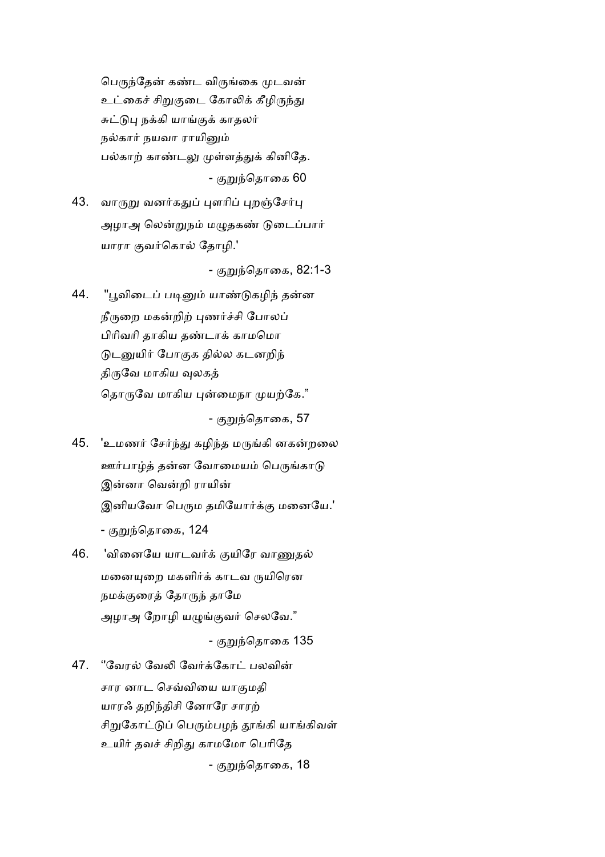பெருந்தேன் கண்ட விருங்கை முடவன் உட்கைச் சிறுகுடை கோலிக் கீழிருந்து சுட்டுபு நக்கி யாங்குக் காதலர் நல்கார் நயவா ராயினும் பல்காற் காண்டலு முள்ளத்துக் கினிதே. - குறுந்தொகை 60

43. வாருறு வனர்கதுப் புளரிப் புறஞ்சேர்பு அழாஅ லென்றுநம் மழுதகண் டுடைப்பார் யாரா குவர்கொல் தோழி.'

- குறுந்தொகை, 82:1-3

44. "பூவிடைப் படினும் யாண்டுகழிந் தன்ன நீருறை மகன்றிற் புணர்ச்சி போலப் பிரிவரி தாகிய தண்டாக் காமமொ டுடனுயிர் போகுக தில்ல கடனறிந் திருவே மாகிய வுலகத் தொருவே மாகிய புன்மைநா முயற்கே."

- குறுந்தொகை, 57

- 45. 'உமணர் சேர்ந்து கழிந்த மருங்கி னகன்றலை ஊர்பாழ்த் தன்ன வோமையம் பெருங்காடு இன்னா வென்றி ராயின் இனியவோ பெரும தமியோர்க்கு மனையே.' - குறுந்தொகை, 124
- 46. 'வினையே யாடவர்க் குயிரே வாணுகல் மனையுறை மகளிர்க் காடவ ருயிரென நமக்குரைத் தோருந் தாமே அழாஅ றோழி யழுங்குவர் செலவே."

- குறுந்தொகை 135

47. "வேரல் வேலி வேர்க்கோட் பலவின் சார னாட செவ்வியை யாகுமதி யாரஃ தறிந்திசி னோரே சாரற் சிறுகோட்டுப் பெரும்பழந் தூங்கி யாங்கிவள் உயிர் தவச் சிறிது காமமோ பெரிதே - குறுந்தொகை, 18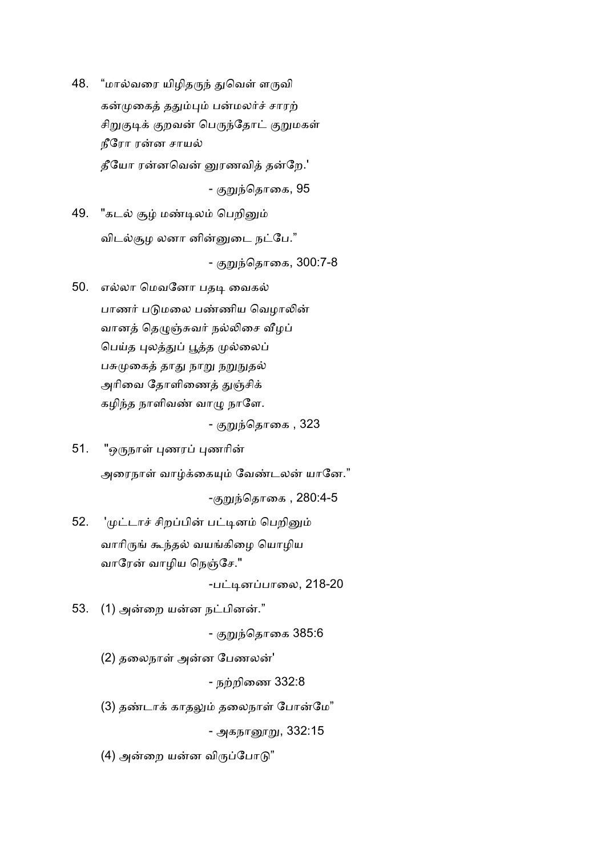48. "மால்வரை யிழிதருந் துவெள் ளருவி கன்முகைத் ததும்பும் பன்மலர்ச் சாரற் சிறுகுடிக் குறவன் பெருந்தோட் குறுமகள் நீரோ ரன்ன சாயல் தீயோ ரன்னவென் னுரணவித் தன்றே.'

- குறுந்தொகை, 95

- 49. "கடல் சூழ் மண்டிலம் பெறினும் விடல்சூழ லனா னின்னுடை நட்பே." - குறுந்தொகை, 300:7-8
- 50. எல்லா மெவனோ பதடி வைகல் பாணர் படுமலை பண்ணிய வெழாலின் வானத் தெழுஞ்சுவர் நல்லிசை வீழப் பெய்த புலத்துப் பூத்த முல்லைப் பசுமுகைத் தாது நாறு நறுநுதல் அரிவை தோளிணைத் துஞ்சிக் கழிந்த நாளிவண் வாழு நாளே.

- குறுந்தொகை , 323

51. "ஒருநாள் புணரப் புணரின்

அரைநாள் வாம்க்கையும் வேண்டலன் யானே."

-குறுந்தொகை , 280:4-5

52. 'முட்டாச் சிறப்பின் பட்டினம் பெறினும் வாரிருங் கூந்தல் வயங்கிழை யொழிய வாரேன் வாழிய நெஞ்சே."

-பட்டினப்பாலை, 218-20

53.  $(1)$  அன்றை யன்ன நட்பினன்."

- குறுந்தொகை 385:6

(2) தலைநாள் அன்ன பேணலன்'

- நற்றிணை 332:8

(3) தண்டாக் காதலும் தலைநாள் போன்மே"

- அகநாரைறு, 332:15

(4) அன்றை யன்ன விருப்போடு"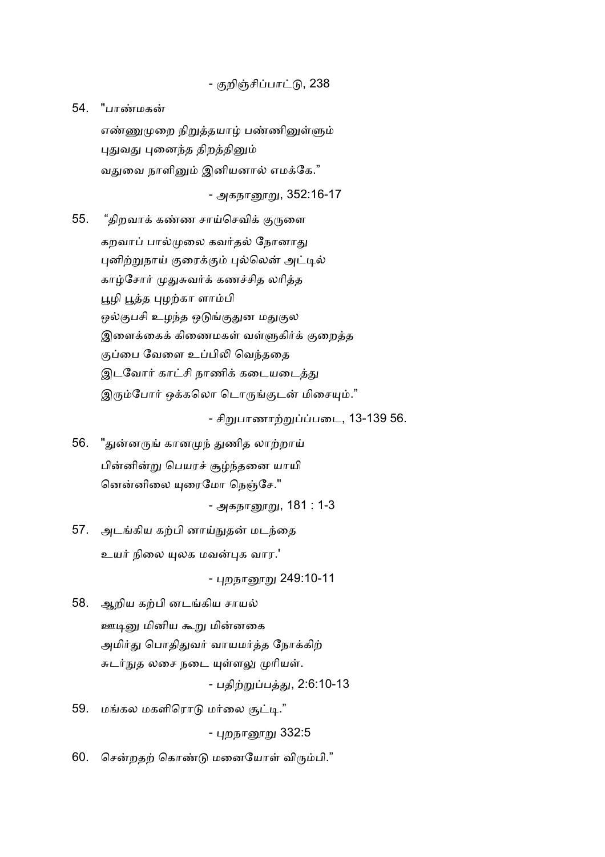- குறிஞ்சிப்பாட்டு, 238

54. "பாமக

எண்ணுமுறை நிறுத்தயாழ் பண்ணினுள்ளும் புதுவது புனைந்த திறத்தினும் வதுவை நாளினும் இனியனால் எமக்கே."

- அகநானூறு, 352:16-17

55. "திறவாக் கண்ண சாய்செவிக் குருளை கறவாப் பால்முலை கவர்தல் நோனாது புனிற்றுநாய் குரைக்கும் புல்லென் அட்டில் காழ்சோர் முதுசுவர்க் கணச்சித லரித்த பூழி பூத்த புழற்கா ளாம்பி ஒல்குபசி உழந்த ஒடுங்குதுன மதுகுல இளைக்கைக் கிணைமகள் வள்ளுகிர்க் குறைத்த குப்பை வேளை உப்பிலி வெந்ததை இடவோர் காட்சி நாணிக் கடையடைத்து இரும்போர் ஒக்கலொ டொருங்குடன் மிசையும்."

- சிறுபாணாற்றுப்ப்படை, 13-139 56.

56. "துன்னருங் கானமுந் துணித லாற்றாய் பின்னின்று பெயரச் சூழ்ந்தனை யாயி னென்னிலை யுரைமோ நெஞ்சே."

- அகநானூறு, 181 : 1-3

57. அடங்கிய கற்பி னாய்நுதன் மடந்தை உயர் நிலை யுலக மவன்பக வார.'

- புறநாரைறு 249:10-11

58. ஆறிய கற்பி னடங்கிய சாயல் ஊடினு மினிய கூறு மின்னகை அமிர்து பொதிதுவர் வாயமர்த்த நோக்கிற் சுடர்நுத லசை நடை யுள்ளலு முரியள்.

- பதிற்றுப்பத்து, 2:6:10-13

59. மங்கல மகளிரொடு மர்லை சூட்டி."

- புறநானூறு 332:5

60. சென்றதற் கொண்டு மனையோள் விரும்பி."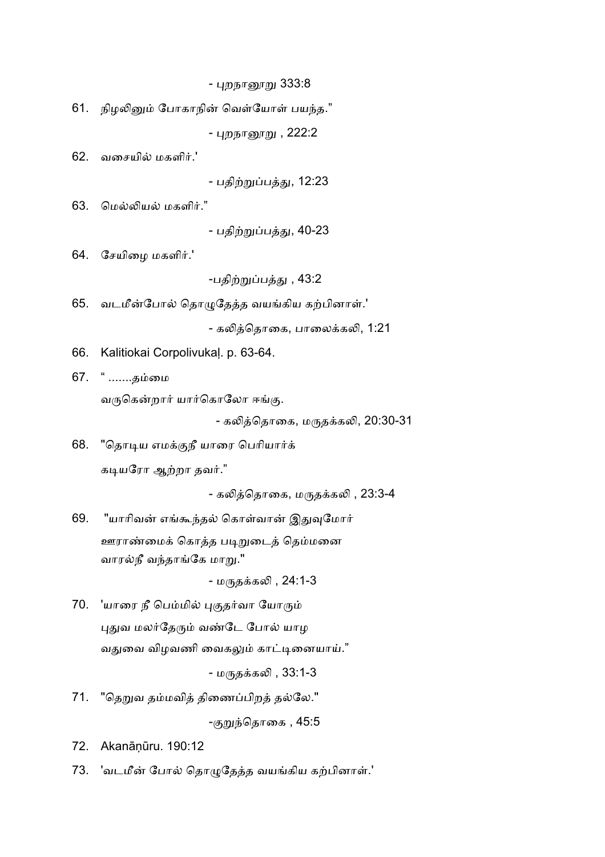<u>- புறநானூறு</u> 333:8

61. நிழலினும் போகாநின் வெள்யோள் பயந்த."

- புறநானூறு , 222:2

 $62.$  வசையில் மகளிர்.'

- பதிற்றுப்பத்து, 12:23

 $63.$  மெல்லியல் மகளிர்."

- பதிற்றுப்பத்து, 40-23

 $64.$  சேயிமை மகளிர்.'

-பதிற்றுப்பத்து , 43:2

65. வடமீன்போல் தொழுதேத்த வயங்கிய கற்பினாள்.'

- கலித்தொகை, பாலைக்கலி, 1:21

- 66. Kalitiokai Corpolivukaļ. p. 63-64.
- 67. " .......தைம

வருகென்றார் யார்கொலோ ஈங்கு.

- கலித்தொகை, மருதக்கலி, 20:30-31

68. "தொடிய எமக்குநீ யாரை பெரியார்க் கடியரோ ஆற்றா தவர்."

- கலித்தொகை, மருதக்கலி , 23:3-4

69. "யாரிவன் எங்கூந்தல் கொள்வான் இதுவுமோர் ஊராண்மைக் கொத்த படிறுடைத் தெம்மனை வாரல்நீ வந்தாங்கே மாறு."

- மருதக்கலி , 24:1-3

70. 'யாரை நீ பெம்மில் புகுதர்வா யோரும் புதுவ மலர்தேரும் வண்டே போல் யாழ வதுவை விழவணி வைகலும் காட்டினையாய்."

- மருதக்கலி , 33:1-3

71. "தெறுவ தம்மவித் திணைப்பிறத் தல்லே." -குறுந்தொகை , 45:5

72. Akanāņūru. 190:12

73. 'வடமீன் போல் தொழுதேத்த வயங்கிய கற்பினாள்.'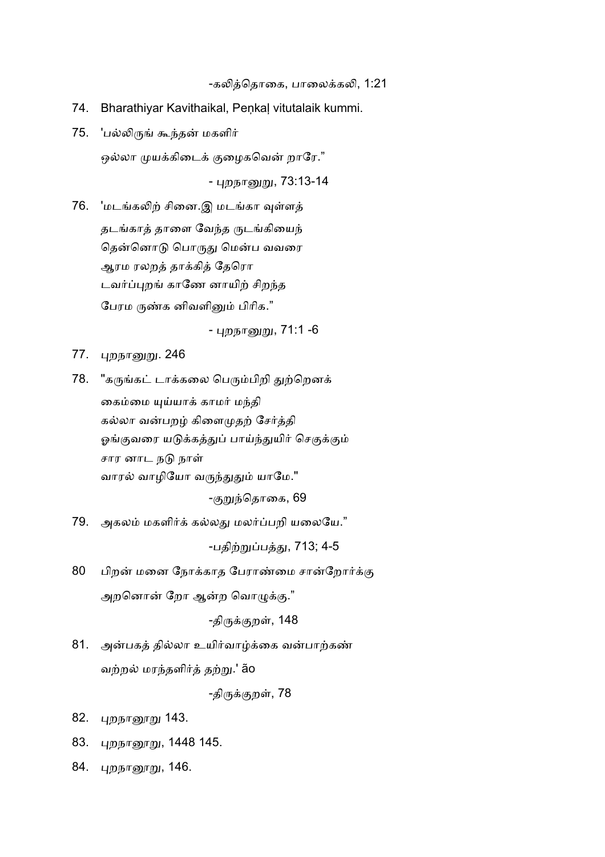-கலித்தொகை, பாலைக்கலி, 1:21

- 74. Bharathiyar Kavithaikal, Peņkaļ vitutalaik kummi.
- 75. 'பல்லிருங் கூந்தன் மகளிர்

ஒல்லா முயக்கிடைக் குழைகவென் றாரே."

- புறநானுறு, 73:13-14

76. 'மடங்கலிற் சினை.இ மடங்கா வுள்ளத் தடங்காத் தாளை வேந்த ருடங்கியைந் தென்னொடு பொருது மென்ப வவரை ஆரம ரலறத் தாக்கித் தேரொ டவர்ப்புறங் காணே னாயிற் சிறந்த பேரம ருண்க னிவளினும் பிரிக."

- புறநானுறு, 71:1 -6

- 77. புறநானுறு. 246
- 78. "கருங்கட் டாக்கலை பெரும்பிறி துற்றெனக் கைம்மை யுய்யாக் காமர் மந்தி கல்லா வன்பறழ் கிளைமுதற் சேர்த்தி ஓங்குவரை யடுக்கத்துப் பாய்ந்துயிர் செகுக்கும் சார னாட நடு நாள் வாரல் வாழியோ வருந்துதும் யாமே." -குறுந்தொகை, 69
- 79. அகலம் மகளிர்க் கல்லது மலர்ப்பறி யலையே."

-பதிற்றுப்பத்து, 713; 4-5

80 பிறன் மனை நோக்காத பேராண்மை சான்றோர்க்கு அறனொன் றோ ஆன்ற வொழுக்கு."

-திருக்குறள், 148

81. அன்பகத் தில்லா உயிர்வாழ்க்கை வன்பாற்கண் வற்றல் மரந்தளிர்த் தற்று.' ão

-திருக்குறள், 78

- 82. புறநானூறு 143.
- 83. புறநானூறு, 1448 145.
- 84. புறநானூறு, 146.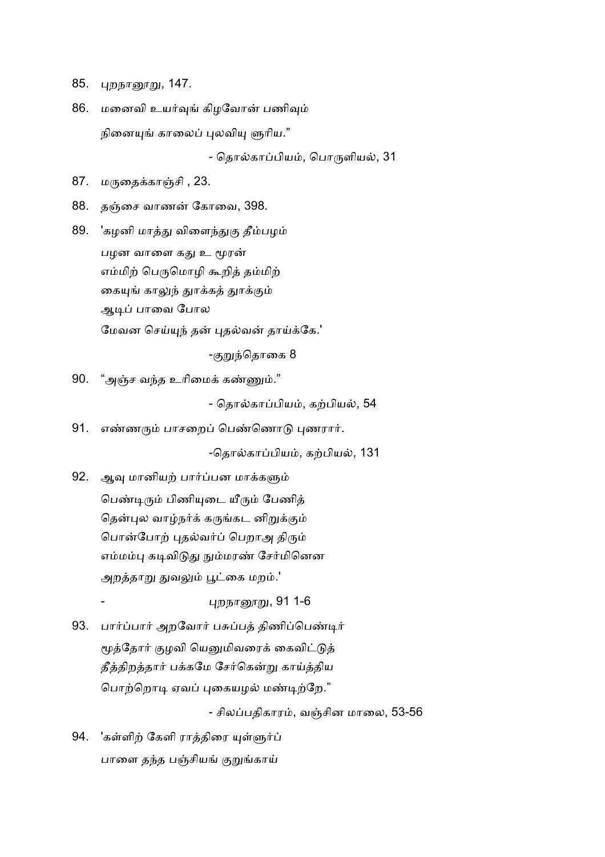- 85. புறநானூறு, 147.
- 86. மனைவி உயர்வுங் கிழவோன் பணிவும் நினையுங் காலைப் புலவியு ளுரிய." - தொல்காப்பியம், பொருளியல், 31
- $87.$ ைத
கா:சி , 23.
- 88. தஞ்சை வாணன் கோவை, 398.
- 89. 'கழனி மாத்து விளைந்துகு தீம்பழம் பழன வாளை கது உ மூரன் எம்மிற் பெருமொழி கூறித் தம்மிற் கையுங் காலுந் துாக்கத் துாக்கும் ஆடிப் பாவை போல மேவன செய்யுந் தன் புதல்வன் தாய்க்கே.'

-குறுந்தொகை 8

90. "அஞ்ச வந்த உரிமைக் கண்ணும்."

- தொல்காப்பியம், கற்பியல், 54

91. எண்ணரும் பாசறைப் பெண்ணொடு புணரார்.

-தொல்காப்பியம், கற்பியல், 131

92. ஆவு மானியற் பார்ப்பன மாக்களும் பெண்டிரும் பிணியுடை யீரும் பேணித் தென்புல வாழ்நர்க் கருங்கட னிறுக்கும் பொன்போற் புதல்வர்ப் பெறாஅ திரும் எம்மம்பு கடிவிடுது நும்மரண் சேர்மினென அறத்தாறு துவலும் பூட்கை மறம்.'

<u>புறநானூறு,</u> 91 1-6

93. பார்ப்பார் அறவோர் பசுப்பத் திணிப்பெண்டிர் மூத்தோர் குழவி யெனுமிவரைக் கைவிட்டுத் தீத்திறத்தார் பக்கமே சேர்கென்று காய்த்திய பொற்றொடி ஏவப் புகையழல் மண்டிற்றே."

- சிலப்பதிகாரம், வஞ்சின மாலை, 53-56

94. 'கள்ளிற் கேளி ராத்திரை யுள்ளுர்ப் பாளை தந்த பஞ்சியங் குறுங்காய்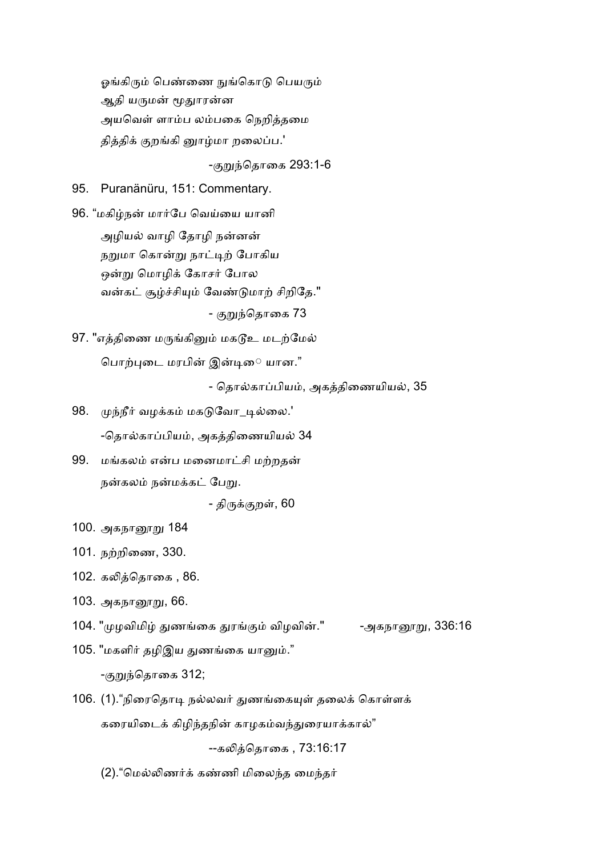ஓங்கிரும் பெண்ணை நுங்கொடு பெயரும் ஆதி யருமன் மூதுாரன்ன அயவெள் ளாம்ப லம்பகை நெறித்தமை தித்திக் குறங்கி னூழ்மா றலைப்ப.'

-குறுந்தொகை 293:1-6

95. Puranänüru, 151: Commentary.

96. "மகிழ்நன் மார்பே வெய்யை யானி அழியல் வாழி தோழி நன்னன் நறுமா கொன்று நாட்டிற் போகிய ஒன்று மொழிக் கோசர் போல வன்கட் சூழ்ச்சியும் வேண்டுமாற் சிறிதே." - குறுந்தொகை 73

97. "எத்திணை மருங்கினும் மகடூஉ மடற்மேல் பொற்புடை மரபின் இன்டிை யான."

- தொல்காப்பியம், அகத்திணையியல், 35

- 98. முந்நீர் வழக்கம் மகடுவோ\_டில்லை.' -தொல்காப்பியம், அகத்திணையியல் 34
- 99. மங்கலம் என்ப மனைமாட்சி மற்றதன் நன்கலம் நன்மக்கட் பேறு.

- திருக்குறள், 60

- 100. அகநானூறு 184
- 101. நற்றிணை, 330.
- 102. கலித்தொகை, 86.
- 103. அகந<u>ாரை</u>று, 66.
- 104. "முழவிமிழ் துணங்கை துரங்கும் விழவின்." -அகநானூறு, 336:16
- 105. "மகளிர் தழிஇய துணங்கை யானும்." -குறுந்தொகை 312;
- 106. (1)."நிரைதொடி நல்லவர் துணங்கையுள் தலைக் கொள்ளக் கரையிடைக் கிழிந்தநின் காழகம்வந்துரையாக்கால்"

--கெதாைக , 73:16:17

(2). "மெல்லிணர்க் கண்ணி மிலைந்த மைந்தர்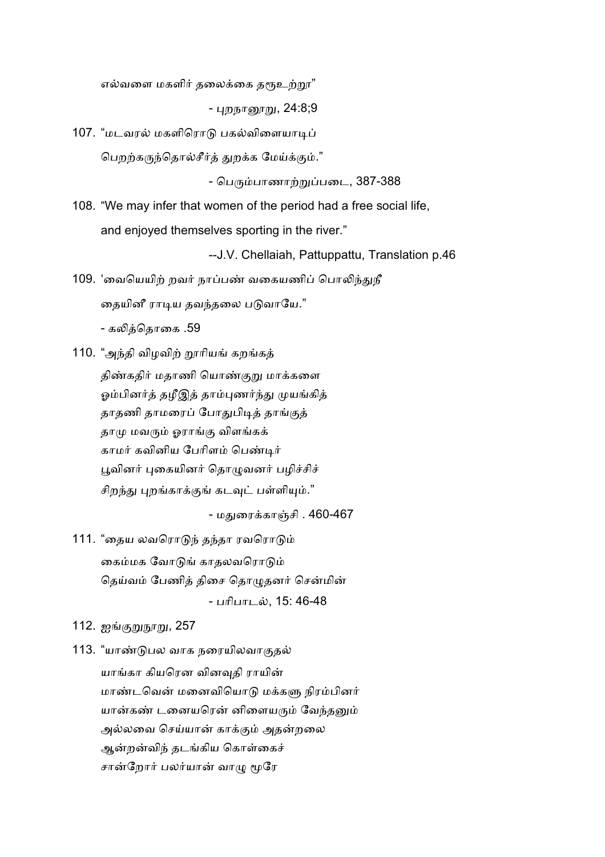எல்வளை மகளிர் தலைக்கை தர<u>ூஉற்ற</u>ா"

- புறந<u>ாரைறு,</u> 24:8;9

107. "மடவரல் மகளிரொடு பகல்விளையாடிப் பெறற்கருந்தொல்சீர்த் துறக்க மேய்க்கும்."

- பெரும்பாணாற்றுப்படை, 387-388

108. "We may infer that women of the period had a free social life, and enjoyed themselves sporting in the river."

--J.V. Chellaiah, Pattuppattu, Translation p.46

109. 'வையெயிற் றவர் நாப்பண் வகையணிப் பொலிந்துநீ தையினீ ராடிய தவந்தலை படுவாயே."

- கலித்தொகை .59

110. "அந்தி விழவிற் றூரியங் கறங்கக் திண்கதிர் மதாணி யொண்குறு மாக்களை ஓம்பினர்த் தழீஇத் தாம்புணர்ந்து முயங்கித் தாதணி தாமரைப் போதுபிடித் தாங்குத் தாமு மவரும் ஓராங்கு விளங்கக் காமர் கவினிய பேரிளம் பெண்டிர் பூவினர் புகையினர் தொழுவனர் பழிச்சிச் சிறந்து புறங்காக்குங் கடவுட் பள்ளியும்."

- மதுரைக்காஞ்சி . 460-467

111. "தைய லவரொடுந் தந்தா ரவரொடும் கைம்மக வோடுங் காதலவரொடும் தெய்வம் பேணித் திசை தொழுதனர் சென்மின் - பரிபாடல், 15: 46-48

112. ஐங்குறுநூறு, 257

113. "யாண்டுபல வாக நரையிலவாகுதல் யாங்கா கியரென வினவுதி ராயின் மாண்டவென் மனைவியொடு மக்களு நிரம்பினர் யான்கண் டனையரென் னிளையரும் வேந்தனும் அல்லவை செய்யான் காக்கும் அதன்றலை ஆன்றன்விந் தடங்கிய கொள்கைச் சான்றோர் பலர்யான் வாமு மூரே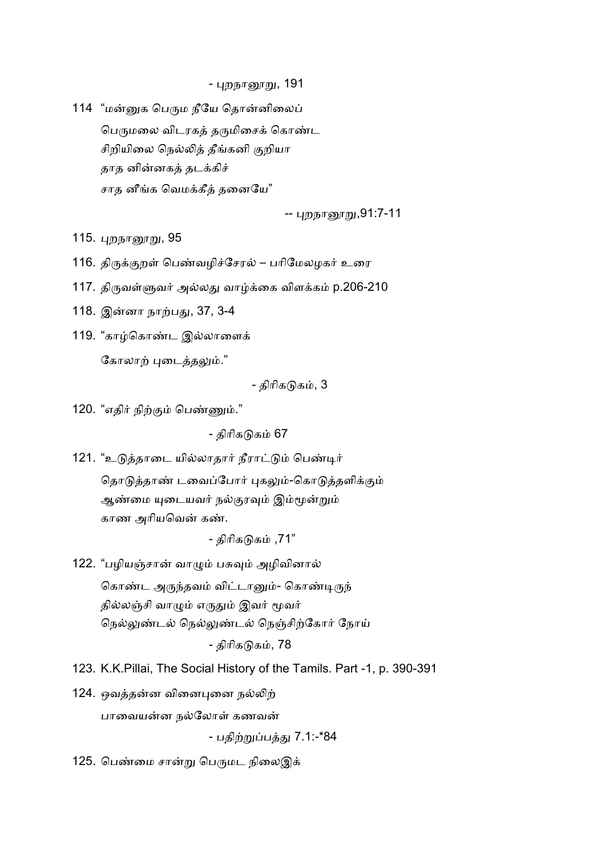<u>- புறநானூறு,</u> 191

114 "மன்னுக பெரும நீயே தொன்னிலைப் பெருமலை விடரகத் தருமிசைக் கொண்ட சிறியிலை நெல்லித் தீங்கனி குறியா தாத னின்னகத் தடக்கிச் சாத னீங்க வெமக்கீத் தனையே"

-- புறநானூறு,91:7-11

115. புறநானூறு, 95

- 116. திருக்குறள் பெண்வழிச்சேரல் பரிமேலழகர் உரை
- 117. திருவள்ளுவர் அல்லது வாழ்க்கை விளக்கம் p.206-210
- 118. இன்னா நாற்பது, 37, 3-4
- 119. "காழ்கொண்ட இல்லாளைக் கோலாற் புடைத்தலும்."

- கிரிகடுகம், 3

120. "எதிர் நிற்கும் பெண்ணும்."

- திரிகடுகம் 67

121. "உடுத்தாடை யில்லாதார் நீராட்டும் பெண்டிர்

தொடுத்தாண் டவைப்போர் புகலும்-கொடுத்தளிக்கும் ஆண்மை யுடையவர் நல்குரவும் இம்மூன்றும் காண அரியவென் கண்.

- திரிகடுகம் ,71"

122. "பழியஞ்சான் வாழும் பசுவும் அழிவினால் கொண்ட அருந்தவம் விட்டானும்- கொண்டிருந் தில்லஞ்சி வாழும் எருதும் இவர் மூவர் நெல்லுண்டல் நெல்லுண்டல் நெஞ்சிற்கோர் நோய்

- திரிகடுகம், 78

- 123. K.K.Pillai, The Social History of the Tamils. Part -1, p. 390-391
- 124. ஒவத்தன்ன வினைபுனை நல்லிற் பாவையன்ன நல்லோள் கணவன்

- பதிற்றுப்பத்து 7.1:-\*84

125. பெண்மை சான்று பெருமட நிலைஇக்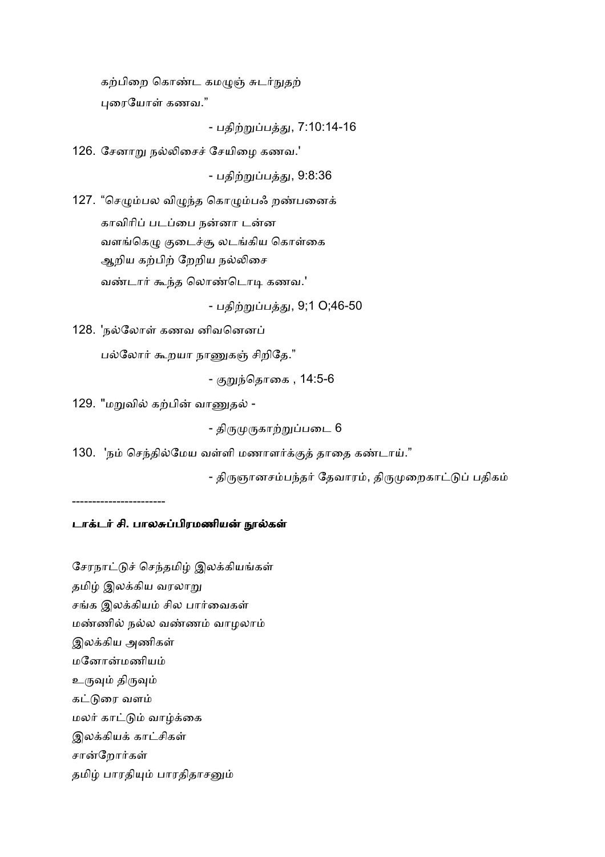கற்பிறை கொண்ட கமழுஞ் சுடர்நுதற் புரையோள் கணவ."

- பதிற்றுப்பத்து, 7:10:14-16

126. சேனாறு நல்லிசைச் சேயிழை கணவ.'

- பதிற்றுப்பத்து, 9:8:36

127. "செழும்பல விழுந்த கொழும்பஃ றண்பனைக் காவிரிப் படப்பை நன்னா டன்ன வளங்கெழு குடைச்சூ லடங்கிய கொள்கை ஆறிய கற்பிற் றேறிய நல்லிசை வண்டார் கூந்த லொண்டொடி கணவ.'

- பதிற்றுப்பத்து, 9;1 O;46-50

128. 'நல்லோள் கணவ னிவனெனப்

பல்லோர் கூறயா நாணுகஞ் சிறிதே."

- குறுந்தொகை , 14:5-6

129. "மறுவில் கற்பின் வாணுதல் -

- திருமுருகாற்றுப்படை 6

130. 'நம் செந்தில்மேய வள்ளி மணாளர்க்குத் தாதை கண்டாய்."

- திருஞானசம்பந்தர் தேவாரம், திருமுறைகாட்டுப் பதிகம்

-----------------------

## டாக்டர் சி. பாலசுப்பிரமணியன் நூல்கள்

சேரநாட்டுச் செந்தமிழ் இலக்கியங்கள் தமிழ் இலக்கிய வரலாறு சங்க இலக்கியம் சில பார்வைகள் மண்ணில் நல்ல வண்ணம் வாழலாம் இலக்கிய அணிகள் மனோன்மணியம் உருவும் திருவும் கட்டுரை வளம் மலர் காட்டும் வாழ்க்கை இலக்கியக் காட்சிகள் சான்றோர்கள் தமிழ் பாரதியும் பாரதிதாசனும்